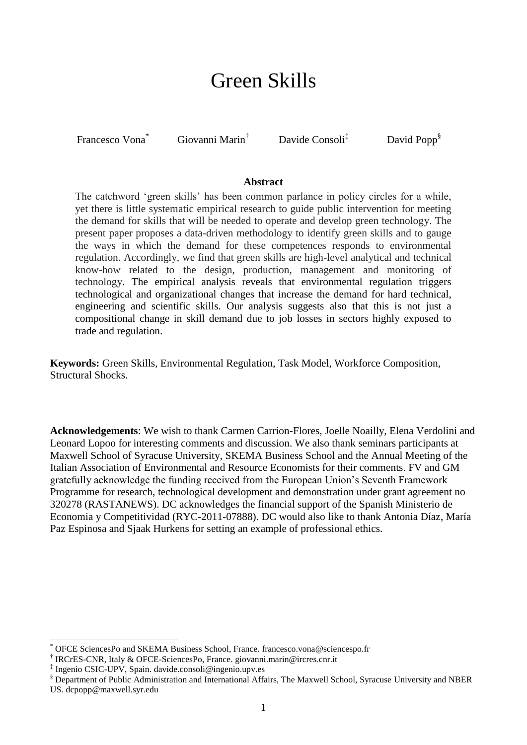# Green Skills

Francesco Vona<sup>\*</sup> Giovanni Marin<sup>†</sup> Davide Consoli<sup>‡</sup> David Popp<sup>§</sup>

#### **Abstract**

The catchword 'green skills' has been common parlance in policy circles for a while, yet there is little systematic empirical research to guide public intervention for meeting the demand for skills that will be needed to operate and develop green technology. The present paper proposes a data-driven methodology to identify green skills and to gauge the ways in which the demand for these competences responds to environmental regulation. Accordingly, we find that green skills are high-level analytical and technical know-how related to the design, production, management and monitoring of technology. The empirical analysis reveals that environmental regulation triggers technological and organizational changes that increase the demand for hard technical, engineering and scientific skills. Our analysis suggests also that this is not just a compositional change in skill demand due to job losses in sectors highly exposed to trade and regulation.

**Keywords:** Green Skills, Environmental Regulation, Task Model, Workforce Composition, Structural Shocks.

**Acknowledgements**: We wish to thank Carmen Carrion-Flores, Joelle Noailly, Elena Verdolini and Leonard Lopoo for interesting comments and discussion. We also thank seminars participants at Maxwell School of Syracuse University, SKEMA Business School and the Annual Meeting of the Italian Association of Environmental and Resource Economists for their comments. FV and GM gratefully acknowledge the funding received from the European Union's Seventh Framework Programme for research, technological development and demonstration under grant agreement no 320278 (RASTANEWS). DC acknowledges the financial support of the Spanish Ministerio de Economia y Competitividad (RYC-2011-07888). DC would also like to thank Antonia Díaz, María Paz Espinosa and Sjaak Hurkens for setting an example of professional ethics.

 $\overline{a}$ 

OFCE SciencesPo and SKEMA Business School, France. francesco.vona@sciencespo.fr

<sup>†</sup> IRCrES-CNR, Italy & OFCE-SciencesPo, France. giovanni.marin@ircres.cnr.it

<sup>‡</sup> Ingenio CSIC-UPV, Spain. davide.consoli@ingenio.upv.es

<sup>§</sup> Department of Public Administration and International Affairs, The Maxwell School, Syracuse University and NBER US. dcpopp@maxwell.syr.edu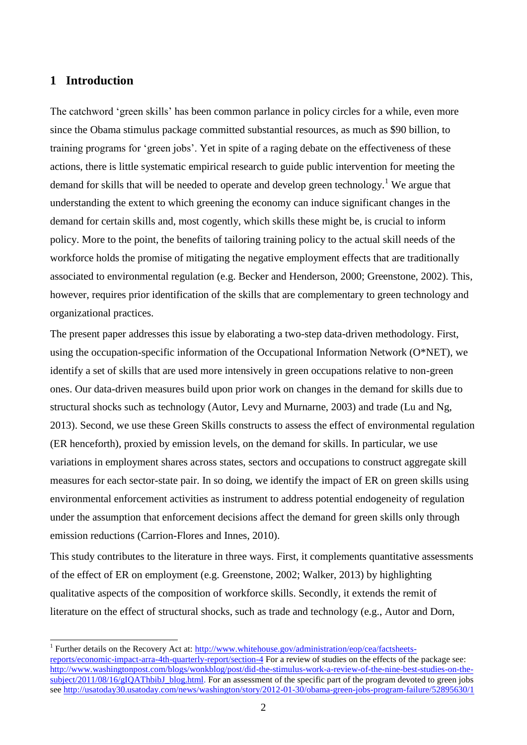### **1 Introduction**

 $\overline{a}$ 

The catchword 'green skills' has been common parlance in policy circles for a while, even more since the Obama stimulus package committed substantial resources, as much as \$90 billion, to training programs for 'green jobs'. Yet in spite of a raging debate on the effectiveness of these actions, there is little systematic empirical research to guide public intervention for meeting the demand for skills that will be needed to operate and develop green technology.<sup>1</sup> We argue that understanding the extent to which greening the economy can induce significant changes in the demand for certain skills and, most cogently, which skills these might be, is crucial to inform policy. More to the point, the benefits of tailoring training policy to the actual skill needs of the workforce holds the promise of mitigating the negative employment effects that are traditionally associated to environmental regulation (e.g. Becker and Henderson, 2000; Greenstone, 2002). This, however, requires prior identification of the skills that are complementary to green technology and organizational practices.

The present paper addresses this issue by elaborating a two-step data-driven methodology. First, using the occupation-specific information of the Occupational Information Network ( $O^*NET$ ), we identify a set of skills that are used more intensively in green occupations relative to non-green ones. Our data-driven measures build upon prior work on changes in the demand for skills due to structural shocks such as technology (Autor, Levy and Murnarne, 2003) and trade (Lu and Ng, 2013). Second, we use these Green Skills constructs to assess the effect of environmental regulation (ER henceforth), proxied by emission levels, on the demand for skills. In particular, we use variations in employment shares across states, sectors and occupations to construct aggregate skill measures for each sector-state pair. In so doing, we identify the impact of ER on green skills using environmental enforcement activities as instrument to address potential endogeneity of regulation under the assumption that enforcement decisions affect the demand for green skills only through emission reductions (Carrion-Flores and Innes, 2010).

This study contributes to the literature in three ways. First, it complements quantitative assessments of the effect of ER on employment (e.g. Greenstone, 2002; Walker, 2013) by highlighting qualitative aspects of the composition of workforce skills. Secondly, it extends the remit of literature on the effect of structural shocks, such as trade and technology (e.g., Autor and Dorn,

<sup>&</sup>lt;sup>1</sup> Further details on the Recovery Act at: [http://www.whitehouse.gov/administration/eop/cea/factsheets](http://www.whitehouse.gov/administration/eop/cea/factsheets-reports/economic-impact-arra-4th-quarterly-report/section-4)[reports/economic-impact-arra-4th-quarterly-report/section-4](http://www.whitehouse.gov/administration/eop/cea/factsheets-reports/economic-impact-arra-4th-quarterly-report/section-4) For a review of studies on the effects of the package see: [http://www.washingtonpost.com/blogs/wonkblog/post/did-the-stimulus-work-a-review-of-the-nine-best-studies-on-the](http://www.washingtonpost.com/blogs/wonkblog/post/did-the-stimulus-work-a-review-of-the-nine-best-studies-on-the-subject/2011/08/16/gIQAThbibJ_blog.html)[subject/2011/08/16/gIQAThbibJ\\_blog.html.](http://www.washingtonpost.com/blogs/wonkblog/post/did-the-stimulus-work-a-review-of-the-nine-best-studies-on-the-subject/2011/08/16/gIQAThbibJ_blog.html) For an assessment of the specific part of the program devoted to green jobs see http://usatoday30.usatoday.com/news/washington/story/2012-01-30/obama-green-jobs-program-failure/52895630/1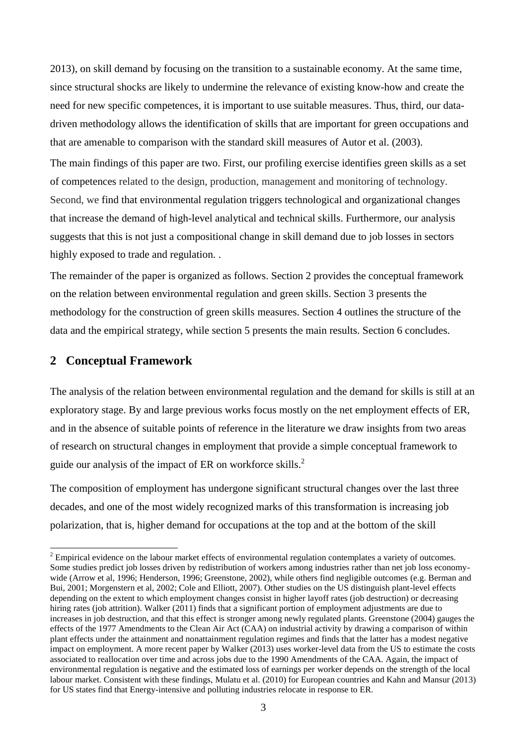2013), on skill demand by focusing on the transition to a sustainable economy. At the same time, since structural shocks are likely to undermine the relevance of existing know-how and create the need for new specific competences, it is important to use suitable measures. Thus, third, our datadriven methodology allows the identification of skills that are important for green occupations and that are amenable to comparison with the standard skill measures of Autor et al. (2003).

The main findings of this paper are two. First, our profiling exercise identifies green skills as a set of competences related to the design, production, management and monitoring of technology. Second, we find that environmental regulation triggers technological and organizational changes that increase the demand of high-level analytical and technical skills. Furthermore, our analysis suggests that this is not just a compositional change in skill demand due to job losses in sectors highly exposed to trade and regulation. .

The remainder of the paper is organized as follows. Section 2 provides the conceptual framework on the relation between environmental regulation and green skills. Section 3 presents the methodology for the construction of green skills measures. Section 4 outlines the structure of the data and the empirical strategy, while section 5 presents the main results. Section 6 concludes.

#### **2 Conceptual Framework**

 $\overline{a}$ 

The analysis of the relation between environmental regulation and the demand for skills is still at an exploratory stage. By and large previous works focus mostly on the net employment effects of ER, and in the absence of suitable points of reference in the literature we draw insights from two areas of research on structural changes in employment that provide a simple conceptual framework to guide our analysis of the impact of ER on workforce skills.<sup>2</sup>

The composition of employment has undergone significant structural changes over the last three decades, and one of the most widely recognized marks of this transformation is increasing job polarization, that is, higher demand for occupations at the top and at the bottom of the skill

<sup>&</sup>lt;sup>2</sup> Empirical evidence on the labour market effects of environmental regulation contemplates a variety of outcomes. Some studies predict job losses driven by redistribution of workers among industries rather than net job loss economywide (Arrow et al, 1996; Henderson, 1996; Greenstone, 2002), while others find negligible outcomes (e.g. Berman and Bui, 2001; Morgenstern et al, 2002; Cole and Elliott, 2007). Other studies on the US distinguish plant-level effects depending on the extent to which employment changes consist in higher layoff rates (job destruction) or decreasing hiring rates (job attrition). Walker (2011) finds that a significant portion of employment adjustments are due to increases in job destruction, and that this effect is stronger among newly regulated plants. Greenstone (2004) gauges the effects of the 1977 Amendments to the Clean Air Act (CAA) on industrial activity by drawing a comparison of within plant effects under the attainment and nonattainment regulation regimes and finds that the latter has a modest negative impact on employment. A more recent paper by Walker (2013) uses worker-level data from the US to estimate the costs associated to reallocation over time and across jobs due to the 1990 Amendments of the CAA. Again, the impact of environmental regulation is negative and the estimated loss of earnings per worker depends on the strength of the local labour market. Consistent with these findings, Mulatu et al. (2010) for European countries and Kahn and Mansur (2013) for US states find that Energy-intensive and polluting industries relocate in response to ER.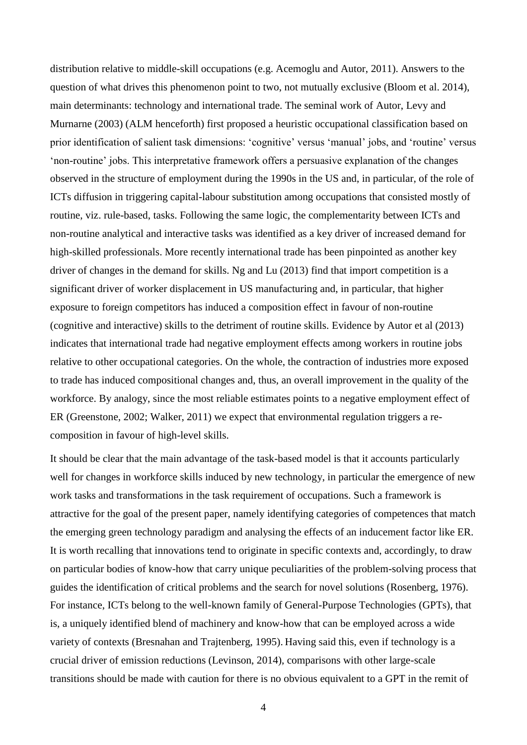distribution relative to middle-skill occupations (e.g. Acemoglu and Autor, 2011). Answers to the question of what drives this phenomenon point to two, not mutually exclusive (Bloom et al. 2014), main determinants: technology and international trade. The seminal work of Autor, Levy and Murnarne (2003) (ALM henceforth) first proposed a heuristic occupational classification based on prior identification of salient task dimensions: 'cognitive' versus 'manual' jobs, and 'routine' versus 'non-routine' jobs. This interpretative framework offers a persuasive explanation of the changes observed in the structure of employment during the 1990s in the US and, in particular, of the role of ICTs diffusion in triggering capital-labour substitution among occupations that consisted mostly of routine, viz. rule-based, tasks. Following the same logic, the complementarity between ICTs and non-routine analytical and interactive tasks was identified as a key driver of increased demand for high-skilled professionals. More recently international trade has been pinpointed as another key driver of changes in the demand for skills. Ng and Lu (2013) find that import competition is a significant driver of worker displacement in US manufacturing and, in particular, that higher exposure to foreign competitors has induced a composition effect in favour of non-routine (cognitive and interactive) skills to the detriment of routine skills. Evidence by Autor et al (2013) indicates that international trade had negative employment effects among workers in routine jobs relative to other occupational categories. On the whole, the contraction of industries more exposed to trade has induced compositional changes and, thus, an overall improvement in the quality of the workforce. By analogy, since the most reliable estimates points to a negative employment effect of ER (Greenstone, 2002; Walker, 2011) we expect that environmental regulation triggers a recomposition in favour of high-level skills.

It should be clear that the main advantage of the task-based model is that it accounts particularly well for changes in workforce skills induced by new technology, in particular the emergence of new work tasks and transformations in the task requirement of occupations. Such a framework is attractive for the goal of the present paper, namely identifying categories of competences that match the emerging green technology paradigm and analysing the effects of an inducement factor like ER. It is worth recalling that innovations tend to originate in specific contexts and, accordingly, to draw on particular bodies of know-how that carry unique peculiarities of the problem-solving process that guides the identification of critical problems and the search for novel solutions (Rosenberg, 1976). For instance, ICTs belong to the well-known family of General-Purpose Technologies (GPTs), that is, a uniquely identified blend of machinery and know-how that can be employed across a wide variety of contexts (Bresnahan and Trajtenberg, 1995). Having said this, even if technology is a crucial driver of emission reductions (Levinson, 2014), comparisons with other large-scale transitions should be made with caution for there is no obvious equivalent to a GPT in the remit of

4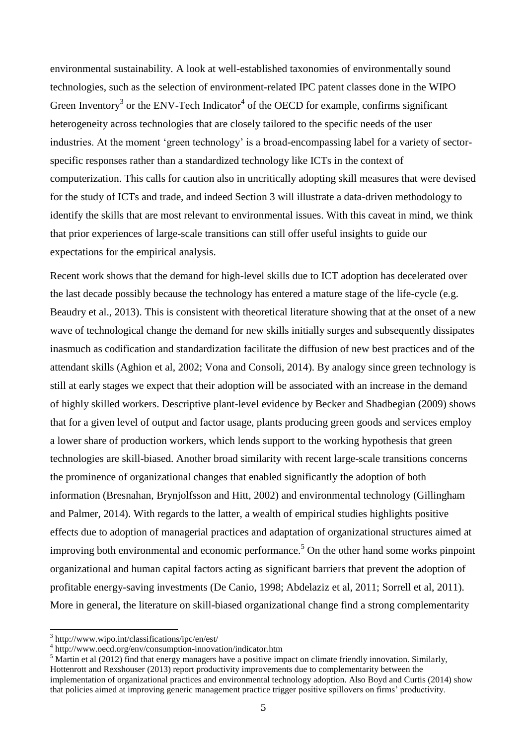environmental sustainability. A look at well-established taxonomies of environmentally sound technologies, such as the selection of environment-related IPC patent classes done in the WIPO Green Inventory<sup>3</sup> or the ENV-Tech Indicator<sup>4</sup> of the OECD for example, confirms significant heterogeneity across technologies that are closely tailored to the specific needs of the user industries. At the moment 'green technology' is a broad-encompassing label for a variety of sectorspecific responses rather than a standardized technology like ICTs in the context of computerization. This calls for caution also in uncritically adopting skill measures that were devised for the study of ICTs and trade, and indeed Section 3 will illustrate a data-driven methodology to identify the skills that are most relevant to environmental issues. With this caveat in mind, we think that prior experiences of large-scale transitions can still offer useful insights to guide our expectations for the empirical analysis.

Recent work shows that the demand for high-level skills due to ICT adoption has decelerated over the last decade possibly because the technology has entered a mature stage of the life-cycle (e.g. Beaudry et al., 2013). This is consistent with theoretical literature showing that at the onset of a new wave of technological change the demand for new skills initially surges and subsequently dissipates inasmuch as codification and standardization facilitate the diffusion of new best practices and of the attendant skills (Aghion et al, 2002; Vona and Consoli, 2014). By analogy since green technology is still at early stages we expect that their adoption will be associated with an increase in the demand of highly skilled workers. Descriptive plant-level evidence by Becker and Shadbegian (2009) shows that for a given level of output and factor usage, plants producing green goods and services employ a lower share of production workers, which lends support to the working hypothesis that green technologies are skill-biased. Another broad similarity with recent large-scale transitions concerns the prominence of organizational changes that enabled significantly the adoption of both information (Bresnahan, Brynjolfsson and Hitt, 2002) and environmental technology (Gillingham and Palmer, 2014). With regards to the latter, a wealth of empirical studies highlights positive effects due to adoption of managerial practices and adaptation of organizational structures aimed at improving both environmental and economic performance.<sup>5</sup> On the other hand some works pinpoint organizational and human capital factors acting as significant barriers that prevent the adoption of profitable energy-saving investments (De Canio, 1998; Abdelaziz et al, 2011; Sorrell et al, 2011). More in general, the literature on skill-biased organizational change find a strong complementarity

 3 http://www.wipo.int/classifications/ipc/en/est/

<sup>4</sup> http://www.oecd.org/env/consumption-innovation/indicator.htm

 $<sup>5</sup>$  Martin et al (2012) find that energy managers have a positive impact on climate friendly innovation. Similarly,</sup> Hottenrott and Rexshouser (2013) report productivity improvements due to complementarity between the implementation of organizational practices and environmental technology adoption. Also Boyd and Curtis (2014) show that policies aimed at improving generic management practice trigger positive spillovers on firms' productivity.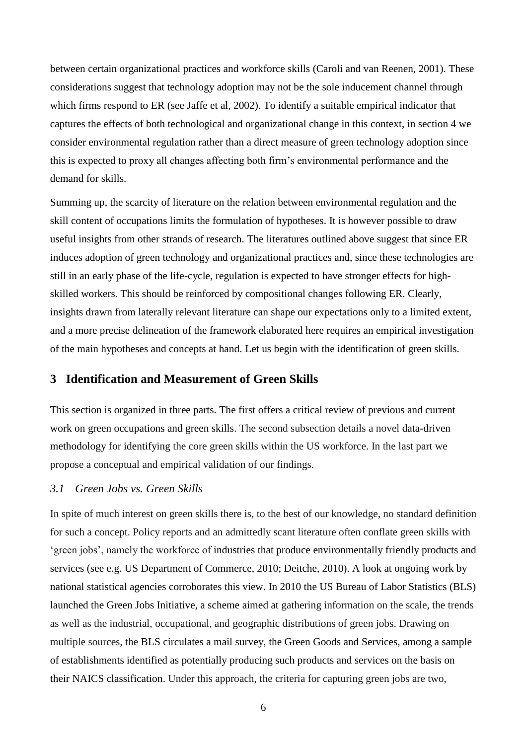between certain organizational practices and workforce skills (Caroli and van Reenen, 2001). These considerations suggest that technology adoption may not be the sole inducement channel through which firms respond to ER (see Jaffe et al, 2002). To identify a suitable empirical indicator that captures the effects of both technological and organizational change in this context, in section 4 we consider environmental regulation rather than a direct measure of green technology adoption since this is expected to proxy all changes affecting both firm's environmental performance and the demand for skills.

Summing up, the scarcity of literature on the relation between environmental regulation and the skill content of occupations limits the formulation of hypotheses. It is however possible to draw useful insights from other strands of research. The literatures outlined above suggest that since ER induces adoption of green technology and organizational practices and, since these technologies are still in an early phase of the life-cycle, regulation is expected to have stronger effects for highskilled workers. This should be reinforced by compositional changes following ER. Clearly, insights drawn from laterally relevant literature can shape our expectations only to a limited extent, and a more precise delineation of the framework elaborated here requires an empirical investigation of the main hypotheses and concepts at hand. Let us begin with the identification of green skills.

#### **3 Identification and Measurement of Green Skills**

This section is organized in three parts. The first offers a critical review of previous and current work on green occupations and green skills. The second subsection details a novel data-driven methodology for identifying the core green skills within the US workforce. In the last part we propose a conceptual and empirical validation of our findings.

#### *3.1 Green Jobs vs. Green Skills*

In spite of much interest on green skills there is, to the best of our knowledge, no standard definition for such a concept. Policy reports and an admittedly scant literature often conflate green skills with 'green jobs', namely the workforce of industries that produce environmentally friendly products and services (see e.g. US Department of Commerce, 2010; Deitche, 2010). A look at ongoing work by national statistical agencies corroborates this view. In 2010 the US Bureau of Labor Statistics (BLS) launched the Green Jobs Initiative, a scheme aimed at gathering information on the scale, the trends as well as the industrial, occupational, and geographic distributions of green jobs. Drawing on multiple sources, the BLS circulates a mail survey, the Green Goods and Services, among a sample of establishments identified as potentially producing such products and services on the basis on their NAICS classification. Under this approach, the criteria for capturing green jobs are two,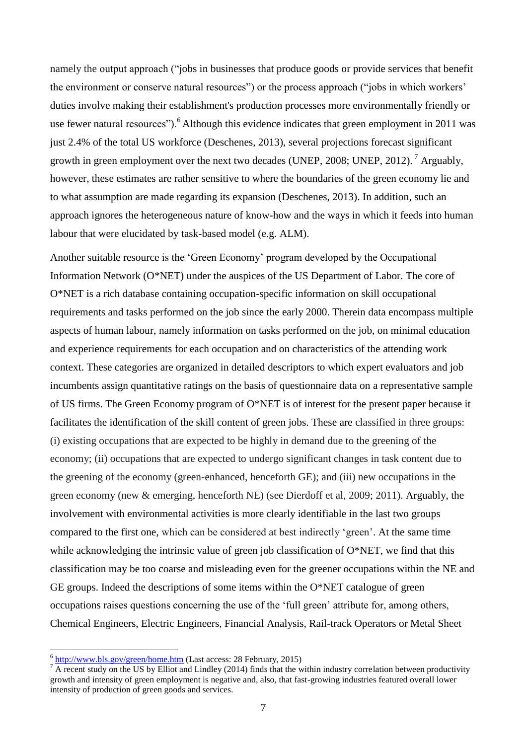namely the output approach ("jobs in businesses that produce goods or provide services that benefit the environment or conserve natural resources") or the process approach ("jobs in which workers' duties involve making their establishment's production processes more environmentally friendly or use fewer natural resources").<sup>6</sup> Although this evidence indicates that green employment in 2011 was just 2.4% of the total US workforce (Deschenes, 2013), several projections forecast significant growth in green employment over the next two decades (UNEP, 2008; UNEP, 2012).<sup>7</sup> Arguably, however, these estimates are rather sensitive to where the boundaries of the green economy lie and to what assumption are made regarding its expansion (Deschenes, 2013). In addition, such an approach ignores the heterogeneous nature of know-how and the ways in which it feeds into human labour that were elucidated by task-based model (e.g. ALM).

Another suitable resource is the 'Green Economy' program developed by the Occupational Information Network (O\*NET) under the auspices of the US Department of Labor. The core of O\*NET is a rich database containing occupation-specific information on skill occupational requirements and tasks performed on the job since the early 2000. Therein data encompass multiple aspects of human labour, namely information on tasks performed on the job, on minimal education and experience requirements for each occupation and on characteristics of the attending work context. These categories are organized in detailed descriptors to which expert evaluators and job incumbents assign quantitative ratings on the basis of questionnaire data on a representative sample of US firms. The Green Economy program of O\*NET is of interest for the present paper because it facilitates the identification of the skill content of green jobs. These are classified in three groups: (i) existing occupations that are expected to be highly in demand due to the greening of the economy; (ii) occupations that are expected to undergo significant changes in task content due to the greening of the economy (green-enhanced, henceforth GE); and (iii) new occupations in the green economy (new & emerging, henceforth NE) (see Dierdoff et al, 2009; 2011). Arguably, the involvement with environmental activities is more clearly identifiable in the last two groups compared to the first one, which can be considered at best indirectly 'green'. At the same time while acknowledging the intrinsic value of green job classification of  $O^*NET$ , we find that this classification may be too coarse and misleading even for the greener occupations within the NE and GE groups. Indeed the descriptions of some items within the O\*NET catalogue of green occupations raises questions concerning the use of the 'full green' attribute for, among others, Chemical Engineers, Electric Engineers, Financial Analysis, Rail-track Operators or Metal Sheet

 6 <http://www.bls.gov/green/home.htm> (Last access: 28 February, 2015)

 $\frac{1}{4}$  A recent study on the US by Elliot and Lindley (2014) finds that the within industry correlation between productivity growth and intensity of green employment is negative and, also, that fast-growing industries featured overall lower intensity of production of green goods and services.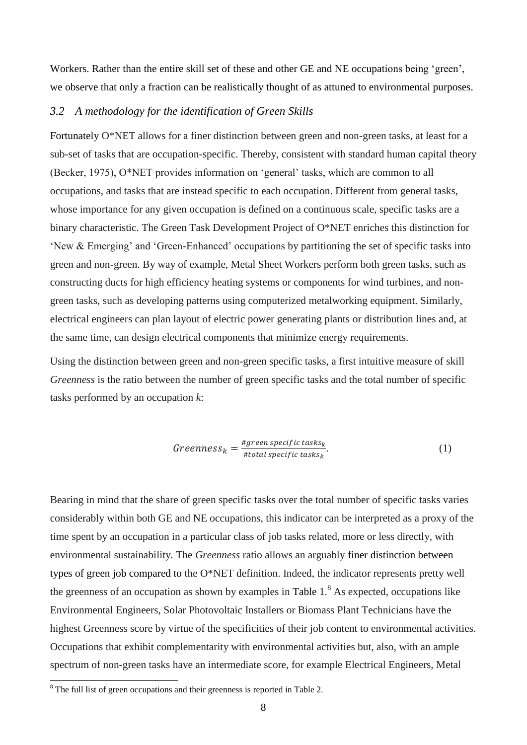Workers. Rather than the entire skill set of these and other GE and NE occupations being 'green', we observe that only a fraction can be realistically thought of as attuned to environmental purposes.

#### *3.2 A methodology for the identification of Green Skills*

Fortunately O\*NET allows for a finer distinction between green and non-green tasks, at least for a sub-set of tasks that are occupation-specific. Thereby, consistent with standard human capital theory (Becker, 1975), O\*NET provides information on 'general' tasks, which are common to all occupations, and tasks that are instead specific to each occupation. Different from general tasks, whose importance for any given occupation is defined on a continuous scale, specific tasks are a binary characteristic. The Green Task Development Project of O\*NET enriches this distinction for 'New & Emerging' and 'Green-Enhanced' occupations by partitioning the set of specific tasks into green and non-green. By way of example, Metal Sheet Workers perform both green tasks, such as constructing ducts for high efficiency heating systems or components for wind turbines, and nongreen tasks, such as developing patterns using computerized metalworking equipment. Similarly, electrical engineers can plan layout of electric power generating plants or distribution lines and, at the same time, can design electrical components that minimize energy requirements.

Using the distinction between green and non-green specific tasks, a first intuitive measure of skill *Greenness* is the ratio between the number of green specific tasks and the total number of specific tasks performed by an occupation *k*:

$$
Greenness_k = \frac{\#green\, specific\, tasks_k}{\#total\, specific\, tasks_k}.\tag{1}
$$

Bearing in mind that the share of green specific tasks over the total number of specific tasks varies considerably within both GE and NE occupations, this indicator can be interpreted as a proxy of the time spent by an occupation in a particular class of job tasks related, more or less directly, with environmental sustainability. The *Greenness* ratio allows an arguably finer distinction between types of green job compared to the O\*NET definition. Indeed, the indicator represents pretty well the greenness of an occupation as shown by examples in Table  $1<sup>8</sup>$  As expected, occupations like Environmental Engineers, Solar Photovoltaic Installers or Biomass Plant Technicians have the highest Greenness score by virtue of the specificities of their job content to environmental activities. Occupations that exhibit complementarity with environmental activities but, also, with an ample spectrum of non-green tasks have an intermediate score, for example Electrical Engineers, Metal

 $\overline{a}$ 

 $8$  The full list of green occupations and their greenness is reported in [Table 2.](#page-33-1)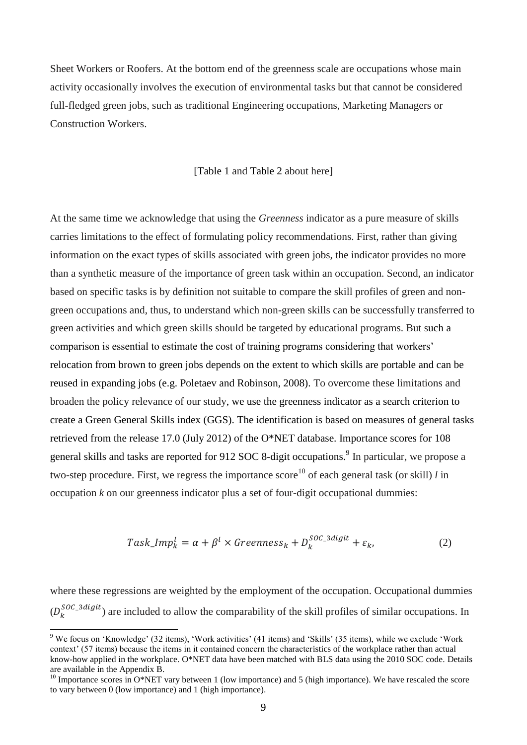Sheet Workers or Roofers. At the bottom end of the greenness scale are occupations whose main activity occasionally involves the execution of environmental tasks but that cannot be considered full-fledged green jobs, such as traditional Engineering occupations, Marketing Managers or Construction Workers.

[\[Table 1](#page-33-0) and [Table 2](#page-33-1) about here]

At the same time we acknowledge that using the *Greenness* indicator as a pure measure of skills carries limitations to the effect of formulating policy recommendations. First, rather than giving information on the exact types of skills associated with green jobs, the indicator provides no more than a synthetic measure of the importance of green task within an occupation. Second, an indicator based on specific tasks is by definition not suitable to compare the skill profiles of green and nongreen occupations and, thus, to understand which non-green skills can be successfully transferred to green activities and which green skills should be targeted by educational programs. But such a comparison is essential to estimate the cost of training programs considering that workers' relocation from brown to green jobs depends on the extent to which skills are portable and can be reused in expanding jobs (e.g. Poletaev and Robinson, 2008). To overcome these limitations and broaden the policy relevance of our study, we use the greenness indicator as a search criterion to create a Green General Skills index (GGS). The identification is based on measures of general tasks retrieved from the release 17.0 (July 2012) of the O\*NET database. Importance scores for 108 general skills and tasks are reported for  $912$  SOC 8-digit occupations.<sup>9</sup> In particular, we propose a two-step procedure. First, we regress the importance score<sup>10</sup> of each general task (or skill) *l* in occupation *k* on our greenness indicator plus a set of four-digit occupational dummies:

$$
Task\_Imp_k^l = \alpha + \beta^l \times Greenness_k + D_k^{SOC\_3 digit} + \varepsilon_k, \tag{2}
$$

where these regressions are weighted by the employment of the occupation. Occupational dummies  $(D_k^{SOC_3digit})$  are included to allow the comparability of the skill profiles of similar occupations. In

1

<sup>9</sup> We focus on 'Knowledge' (32 items), 'Work activities' (41 items) and 'Skills' (35 items), while we exclude 'Work context' (57 items) because the items in it contained concern the characteristics of the workplace rather than actual know-how applied in the workplace. O\*NET data have been matched with BLS data using the 2010 SOC code. Details are available in the Appendix B.

<sup>&</sup>lt;sup>10</sup> Importance scores in O\*NET vary between 1 (low importance) and 5 (high importance). We have rescaled the score to vary between 0 (low importance) and 1 (high importance).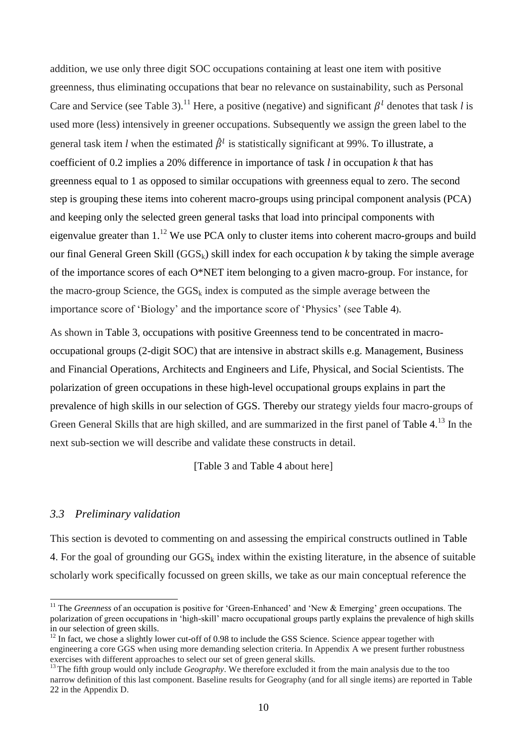addition, we use only three digit SOC occupations containing at least one item with positive greenness, thus eliminating occupations that bear no relevance on sustainability, such as Personal Care and Service (see Table 3).<sup>11</sup> Here, a positive (negative) and significant  $\beta^l$  denotes that task *l* is used more (less) intensively in greener occupations. Subsequently we assign the green label to the general task item *l* when the estimated  $\hat{\beta}^l$  is statistically significant at 99%. To illustrate, a coefficient of 0.2 implies a 20% difference in importance of task *l* in occupation *k* that has greenness equal to 1 as opposed to similar occupations with greenness equal to zero. The second step is grouping these items into coherent macro-groups using principal component analysis (PCA) and keeping only the selected green general tasks that load into principal components with eigenvalue greater than  $1<sup>12</sup>$  We use PCA only to cluster items into coherent macro-groups and build our final General Green Skill ( $GGS_k$ ) skill index for each occupation *k* by taking the simple average of the importance scores of each O\*NET item belonging to a given macro-group. For instance, for the macro-group Science, the  $GSS_k$  index is computed as the simple average between the importance score of 'Biology' and the importance score of 'Physics' (see [Table 4](#page-36-0)).

As shown in Table 3, occupations with positive Greenness tend to be concentrated in macrooccupational groups (2-digit SOC) that are intensive in abstract skills e.g. Management, Business and Financial Operations, Architects and Engineers and Life, Physical, and Social Scientists. The polarization of green occupations in these high-level occupational groups explains in part the prevalence of high skills in our selection of GGS. Thereby our strategy yields four macro-groups of Green General Skills that are high skilled, and are summarized in the first panel of [Table 4.](#page-36-0)<sup>13</sup> In the next sub-section we will describe and validate these constructs in detail.

[Table 3 and [Table 4](#page-36-0) about here]

#### *3.3 Preliminary validation*

-

This section is devoted to commenting on and assessing the empirical constructs outlined in [Table](#page-36-0)  [4.](#page-36-0) For the goal of grounding our  $GGS_k$  index within the existing literature, in the absence of suitable scholarly work specifically focussed on green skills, we take as our main conceptual reference the

<sup>&</sup>lt;sup>11</sup> The *Greenness* of an occupation is positive for 'Green-Enhanced' and 'New & Emerging' green occupations. The polarization of green occupations in 'high-skill' macro occupational groups partly explains the prevalence of high skills in our selection of green skills.

 $12$  In fact, we chose a slightly lower cut-off of 0.98 to include the GSS Science. Science appear together with engineering a core GGS when using more demanding selection criteria. In Appendix A we present further robustness exercises with different approaches to select our set of green general skills.

<sup>&</sup>lt;sup>13</sup> The fifth group would only include *Geography*. We therefore excluded it from the main analysis due to the too narrow definition of this last component. Baseline results for Geography (and for all single items) are reported in [Table](#page-46-0)  [22](#page-46-0) in the Appendix D.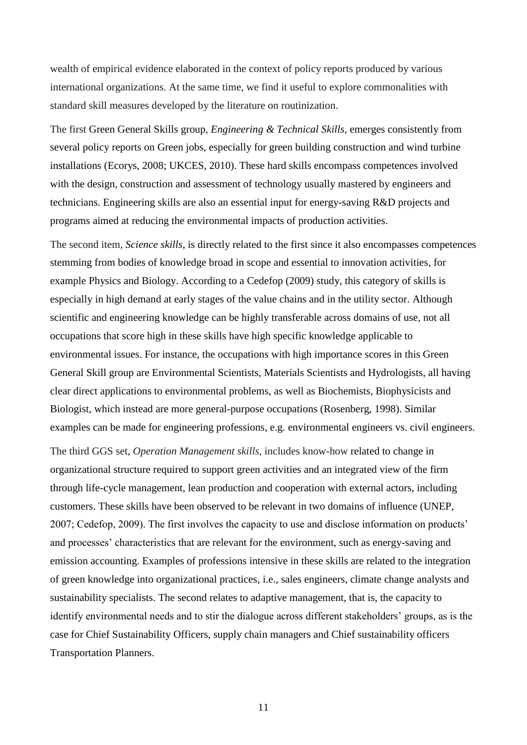wealth of empirical evidence elaborated in the context of policy reports produced by various international organizations. At the same time, we find it useful to explore commonalities with standard skill measures developed by the literature on routinization.

The first Green General Skills group, *Engineering & Technical Skills*, emerges consistently from several policy reports on Green jobs, especially for green building construction and wind turbine installations (Ecorys, 2008; UKCES, 2010). These hard skills encompass competences involved with the design, construction and assessment of technology usually mastered by engineers and technicians. Engineering skills are also an essential input for energy-saving R&D projects and programs aimed at reducing the environmental impacts of production activities.

The second item, *Science skills*, is directly related to the first since it also encompasses competences stemming from bodies of knowledge broad in scope and essential to innovation activities, for example Physics and Biology. According to a Cedefop (2009) study, this category of skills is especially in high demand at early stages of the value chains and in the utility sector. Although scientific and engineering knowledge can be highly transferable across domains of use, not all occupations that score high in these skills have high specific knowledge applicable to environmental issues. For instance, the occupations with high importance scores in this Green General Skill group are Environmental Scientists, Materials Scientists and Hydrologists, all having clear direct applications to environmental problems, as well as Biochemists, Biophysicists and Biologist, which instead are more general-purpose occupations (Rosenberg, 1998). Similar examples can be made for engineering professions, e.g. environmental engineers vs. civil engineers.

The third GGS set, *Operation Management skills*, includes know-how related to change in organizational structure required to support green activities and an integrated view of the firm through life-cycle management, lean production and cooperation with external actors, including customers. These skills have been observed to be relevant in two domains of influence (UNEP, 2007; Cedefop, 2009). The first involves the capacity to use and disclose information on products' and processes' characteristics that are relevant for the environment, such as energy-saving and emission accounting. Examples of professions intensive in these skills are related to the integration of green knowledge into organizational practices, i.e., sales engineers, climate change analysts and sustainability specialists. The second relates to adaptive management, that is, the capacity to identify environmental needs and to stir the dialogue across different stakeholders' groups, as is the case for Chief Sustainability Officers, supply chain managers and Chief sustainability officers Transportation Planners.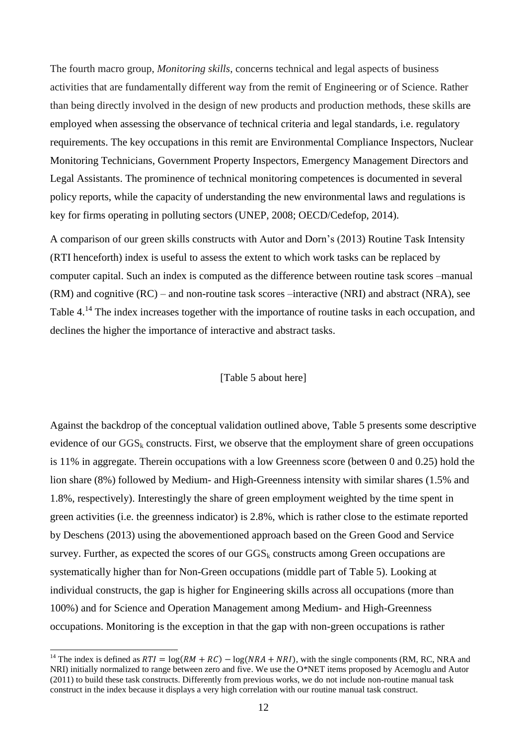The fourth macro group, *Monitoring skills*, concerns technical and legal aspects of business activities that are fundamentally different way from the remit of Engineering or of Science. Rather than being directly involved in the design of new products and production methods, these skills are employed when assessing the observance of technical criteria and legal standards, i.e. regulatory requirements. The key occupations in this remit are Environmental Compliance Inspectors, Nuclear Monitoring Technicians, Government Property Inspectors, Emergency Management Directors and Legal Assistants. The prominence of technical monitoring competences is documented in several policy reports, while the capacity of understanding the new environmental laws and regulations is key for firms operating in polluting sectors (UNEP, 2008; OECD/Cedefop, 2014).

A comparison of our green skills constructs with Autor and Dorn's (2013) Routine Task Intensity (RTI henceforth) index is useful to assess the extent to which work tasks can be replaced by computer capital. Such an index is computed as the difference between routine task scores –manual (RM) and cognitive (RC) – and non-routine task scores –interactive (NRI) and abstract (NRA), see [Table 4.](#page-36-0)<sup>14</sup> The index increases together with the importance of routine tasks in each occupation, and declines the higher the importance of interactive and abstract tasks.

#### [\[Table 5](#page-36-1) about here]

Against the backdrop of the conceptual validation outlined above, [Table 5](#page-36-1) presents some descriptive evidence of our  $GSS_k$  constructs. First, we observe that the employment share of green occupations is 11% in aggregate. Therein occupations with a low Greenness score (between 0 and 0.25) hold the lion share (8%) followed by Medium- and High-Greenness intensity with similar shares (1.5% and 1.8%, respectively). Interestingly the share of green employment weighted by the time spent in green activities (i.e. the greenness indicator) is 2.8%, which is rather close to the estimate reported by Deschens (2013) using the abovementioned approach based on the Green Good and Service survey. Further, as expected the scores of our  $GSS_k$  constructs among Green occupations are systematically higher than for Non-Green occupations (middle part of [Table 5\)](#page-36-1). Looking at individual constructs, the gap is higher for Engineering skills across all occupations (more than 100%) and for Science and Operation Management among Medium- and High-Greenness occupations. Monitoring is the exception in that the gap with non-green occupations is rather

-

<sup>&</sup>lt;sup>14</sup> The index is defined as  $RTI = \log(RM + RC) - \log(NRA + NRI)$ , with the single components (RM, RC, NRA and NRI) initially normalized to range between zero and five. We use the O\*NET items proposed by Acemoglu and Autor (2011) to build these task constructs. Differently from previous works, we do not include non-routine manual task construct in the index because it displays a very high correlation with our routine manual task construct.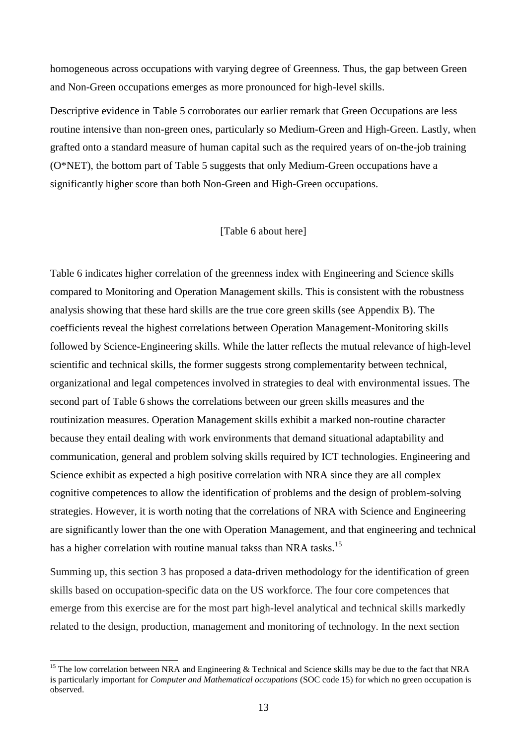homogeneous across occupations with varying degree of Greenness. Thus, the gap between Green and Non-Green occupations emerges as more pronounced for high-level skills.

Descriptive evidence in [Table 5](#page-36-1) corroborates our earlier remark that Green Occupations are less routine intensive than non-green ones, particularly so Medium-Green and High-Green. Lastly, when grafted onto a standard measure of human capital such as the required years of on-the-job training (O\*NET), the bottom part of [Table 5](#page-36-1) suggests that only Medium-Green occupations have a significantly higher score than both Non-Green and High-Green occupations.

#### [\[Table 6](#page-37-0) about here]

[Table 6](#page-37-0) indicates higher correlation of the greenness index with Engineering and Science skills compared to Monitoring and Operation Management skills. This is consistent with the robustness analysis showing that these hard skills are the true core green skills (see Appendix B). The coefficients reveal the highest correlations between Operation Management-Monitoring skills followed by Science-Engineering skills. While the latter reflects the mutual relevance of high-level scientific and technical skills, the former suggests strong complementarity between technical, organizational and legal competences involved in strategies to deal with environmental issues. The second part of Table 6 shows the correlations between our green skills measures and the routinization measures. Operation Management skills exhibit a marked non-routine character because they entail dealing with work environments that demand situational adaptability and communication, general and problem solving skills required by ICT technologies. Engineering and Science exhibit as expected a high positive correlation with NRA since they are all complex cognitive competences to allow the identification of problems and the design of problem-solving strategies. However, it is worth noting that the correlations of NRA with Science and Engineering are significantly lower than the one with Operation Management, and that engineering and technical has a higher correlation with routine manual takss than NRA tasks.<sup>15</sup>

Summing up, this section 3 has proposed a data-driven methodology for the identification of green skills based on occupation-specific data on the US workforce. The four core competences that emerge from this exercise are for the most part high-level analytical and technical skills markedly related to the design, production, management and monitoring of technology. In the next section

-

<sup>&</sup>lt;sup>15</sup> The low correlation between NRA and Engineering  $\&$  Technical and Science skills may be due to the fact that NRA is particularly important for *Computer and Mathematical occupations* (SOC code 15) for which no green occupation is observed.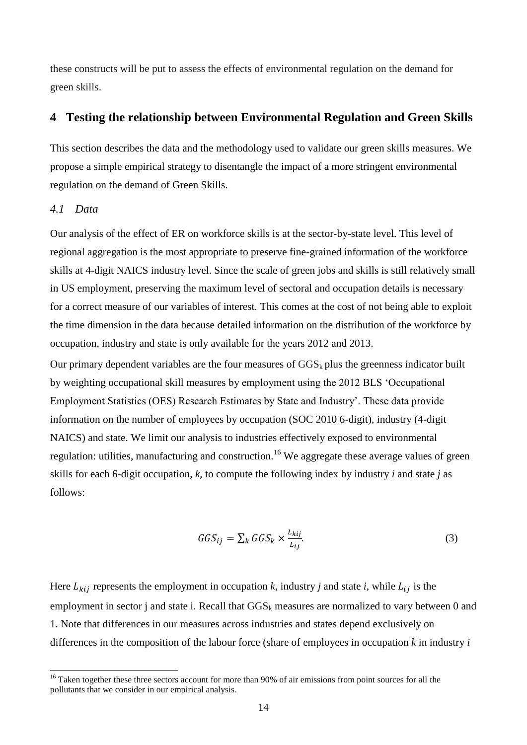these constructs will be put to assess the effects of environmental regulation on the demand for green skills.

#### **4 Testing the relationship between Environmental Regulation and Green Skills**

This section describes the data and the methodology used to validate our green skills measures. We propose a simple empirical strategy to disentangle the impact of a more stringent environmental regulation on the demand of Green Skills.

#### *4.1 Data*

-

Our analysis of the effect of ER on workforce skills is at the sector-by-state level. This level of regional aggregation is the most appropriate to preserve fine-grained information of the workforce skills at 4-digit NAICS industry level. Since the scale of green jobs and skills is still relatively small in US employment, preserving the maximum level of sectoral and occupation details is necessary for a correct measure of our variables of interest. This comes at the cost of not being able to exploit the time dimension in the data because detailed information on the distribution of the workforce by occupation, industry and state is only available for the years 2012 and 2013.

Our primary dependent variables are the four measures of  $GGS_k$  plus the greenness indicator built by weighting occupational skill measures by employment using the 2012 BLS 'Occupational Employment Statistics (OES) Research Estimates by State and Industry'. These data provide information on the number of employees by occupation (SOC 2010 6-digit), industry (4-digit NAICS) and state. We limit our analysis to industries effectively exposed to environmental regulation: utilities, manufacturing and construction.<sup>16</sup> We aggregate these average values of green skills for each 6-digit occupation, *k,* to compute the following index by industry *i* and state *j* as follows:

$$
GGS_{ij} = \sum_{k} GGS_{k} \times \frac{L_{kij}}{L_{ij}}.
$$
 (3)

Here  $L_{kij}$  represents the employment in occupation *k*, industry *j* and state *i*, while  $L_{ij}$  is the employment in sector j and state i. Recall that  $GGS_k$  measures are normalized to vary between 0 and 1. Note that differences in our measures across industries and states depend exclusively on differences in the composition of the labour force (share of employees in occupation *k* in industry *i*

<sup>&</sup>lt;sup>16</sup> Taken together these three sectors account for more than 90% of air emissions from point sources for all the pollutants that we consider in our empirical analysis.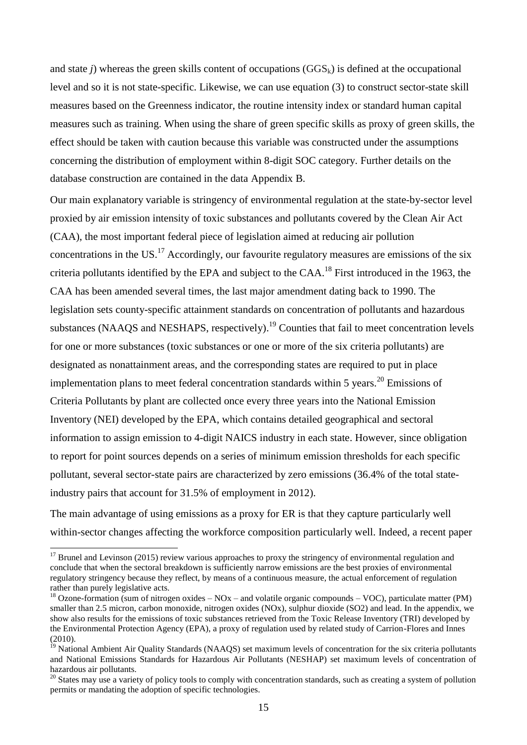and state *j*) whereas the green skills content of occupations  $(GGS_k)$  is defined at the occupational level and so it is not state-specific. Likewise, we can use equation (3) to construct sector-state skill measures based on the Greenness indicator, the routine intensity index or standard human capital measures such as training. When using the share of green specific skills as proxy of green skills, the effect should be taken with caution because this variable was constructed under the assumptions concerning the distribution of employment within 8-digit SOC category. Further details on the database construction are contained in the data Appendix B.

Our main explanatory variable is stringency of environmental regulation at the state-by-sector level proxied by air emission intensity of toxic substances and pollutants covered by the Clean Air Act (CAA), the most important federal piece of legislation aimed at reducing air pollution concentrations in the US.<sup>17</sup> Accordingly, our favourite regulatory measures are emissions of the six criteria pollutants identified by the EPA and subject to the CAA.<sup>18</sup> First introduced in the 1963, the CAA has been amended several times, the last major amendment dating back to 1990. The legislation sets county-specific attainment standards on concentration of pollutants and hazardous substances (NAAQS and NESHAPS, respectively).<sup>19</sup> Counties that fail to meet concentration levels for one or more substances (toxic substances or one or more of the six criteria pollutants) are designated as nonattainment areas, and the corresponding states are required to put in place implementation plans to meet federal concentration standards within 5 years.<sup>20</sup> Emissions of Criteria Pollutants by plant are collected once every three years into the National Emission Inventory (NEI) developed by the EPA, which contains detailed geographical and sectoral information to assign emission to 4-digit NAICS industry in each state. However, since obligation to report for point sources depends on a series of minimum emission thresholds for each specific pollutant, several sector-state pairs are characterized by zero emissions (36.4% of the total stateindustry pairs that account for 31.5% of employment in 2012).

The main advantage of using emissions as a proxy for ER is that they capture particularly well within-sector changes affecting the workforce composition particularly well. Indeed, a recent paper

 $\overline{a}$ 

 $17$  Brunel and Levinson (2015) review various approaches to proxy the stringency of environmental regulation and conclude that when the sectoral breakdown is sufficiently narrow emissions are the best proxies of environmental regulatory stringency because they reflect, by means of a continuous measure, the actual enforcement of regulation rather than purely legislative acts.

<sup>&</sup>lt;sup>18</sup> Ozone-formation (sum of nitrogen oxides – NOx – and volatile organic compounds – VOC), particulate matter (PM) smaller than 2.5 micron, carbon monoxide, nitrogen oxides (NOx), sulphur dioxide (SO2) and lead. In the appendix, we show also results for the emissions of toxic substances retrieved from the Toxic Release Inventory (TRI) developed by the Environmental Protection Agency (EPA), a proxy of regulation used by related study of Carrion-Flores and Innes  $(2010)$ .

<sup>&</sup>lt;sup>19</sup> National Ambient Air Quality Standards (NAAQS) set maximum levels of concentration for the six criteria pollutants and National Emissions Standards for Hazardous Air Pollutants (NESHAP) set maximum levels of concentration of hazardous air pollutants.

<sup>&</sup>lt;sup>20</sup> States may use a variety of policy tools to comply with concentration standards, such as creating a system of pollution permits or mandating the adoption of specific technologies.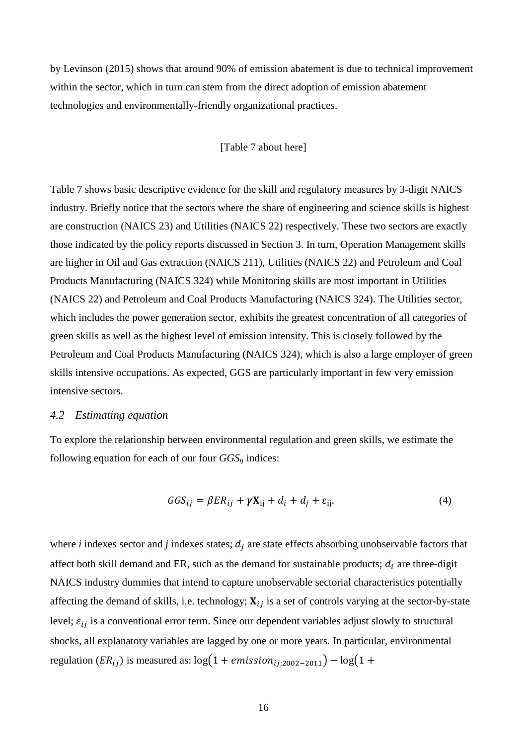by Levinson (2015) shows that around 90% of emission abatement is due to technical improvement within the sector, which in turn can stem from the direct adoption of emission abatement technologies and environmentally-friendly organizational practices.

#### [\[Table 7](#page-37-1) about here]

[Table 7](#page-37-1) shows basic descriptive evidence for the skill and regulatory measures by 3-digit NAICS industry. Briefly notice that the sectors where the share of engineering and science skills is highest are construction (NAICS 23) and Utilities (NAICS 22) respectively. These two sectors are exactly those indicated by the policy reports discussed in Section 3. In turn, Operation Management skills are higher in Oil and Gas extraction (NAICS 211), Utilities (NAICS 22) and Petroleum and Coal Products Manufacturing (NAICS 324) while Monitoring skills are most important in Utilities (NAICS 22) and Petroleum and Coal Products Manufacturing (NAICS 324). The Utilities sector, which includes the power generation sector, exhibits the greatest concentration of all categories of green skills as well as the highest level of emission intensity. This is closely followed by the Petroleum and Coal Products Manufacturing (NAICS 324), which is also a large employer of green skills intensive occupations. As expected, GGS are particularly important in few very emission intensive sectors.

#### *4.2 Estimating equation*

To explore the relationship between environmental regulation and green skills, we estimate the following equation for each of our four *GGSij* indices:

$$
GGS_{ij} = \beta ER_{ij} + \gamma \mathbf{X}_{ij} + d_i + d_j + \varepsilon_{ij}.
$$
\n(4)

where *i* indexes sector and *j* indexes states;  $d_i$  are state effects absorbing unobservable factors that affect both skill demand and ER, such as the demand for sustainable products;  $d_i$  are three-digit NAICS industry dummies that intend to capture unobservable sectorial characteristics potentially affecting the demand of skills, i.e. technology;  $X_{ij}$  is a set of controls varying at the sector-by-state level;  $\varepsilon_{ij}$  is a conventional error term. Since our dependent variables adjust slowly to structural shocks, all explanatory variables are lagged by one or more years. In particular, environmental regulation ( $ER_{ij}$ ) is measured as: log(1 + emission<sub>ij:2002−2011</sub>) – log(1 +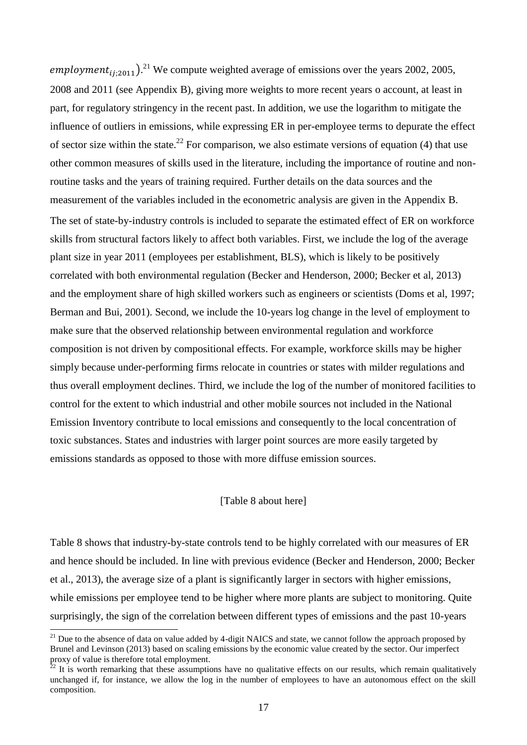employment<sub>ij;2011</sub>).<sup>21</sup> We compute weighted average of emissions over the years 2002, 2005, 2008 and 2011 (see Appendix B), giving more weights to more recent years o account, at least in part, for regulatory stringency in the recent past. In addition, we use the logarithm to mitigate the influence of outliers in emissions, while expressing ER in per-employee terms to depurate the effect of sector size within the state.<sup>22</sup> For comparison, we also estimate versions of equation (4) that use other common measures of skills used in the literature, including the importance of routine and nonroutine tasks and the years of training required. Further details on the data sources and the measurement of the variables included in the econometric analysis are given in the Appendix B. The set of state-by-industry controls is included to separate the estimated effect of ER on workforce skills from structural factors likely to affect both variables. First, we include the log of the average plant size in year 2011 (employees per establishment, BLS), which is likely to be positively correlated with both environmental regulation (Becker and Henderson, 2000; Becker et al, 2013) and the employment share of high skilled workers such as engineers or scientists (Doms et al, 1997; Berman and Bui, 2001). Second, we include the 10-years log change in the level of employment to make sure that the observed relationship between environmental regulation and workforce composition is not driven by compositional effects. For example, workforce skills may be higher simply because under-performing firms relocate in countries or states with milder regulations and thus overall employment declines. Third, we include the log of the number of monitored facilities to control for the extent to which industrial and other mobile sources not included in the National Emission Inventory contribute to local emissions and consequently to the local concentration of toxic substances. States and industries with larger point sources are more easily targeted by emissions standards as opposed to those with more diffuse emission sources.

#### [\[Table 8](#page-38-0) about here]

[Table 8](#page-38-0) shows that industry-by-state controls tend to be highly correlated with our measures of ER and hence should be included. In line with previous evidence (Becker and Henderson, 2000; Becker et al., 2013), the average size of a plant is significantly larger in sectors with higher emissions, while emissions per employee tend to be higher where more plants are subject to monitoring. Quite surprisingly, the sign of the correlation between different types of emissions and the past 10-years

1

 $21$  Due to the absence of data on value added by 4-digit NAICS and state, we cannot follow the approach proposed by Brunel and Levinson (2013) based on scaling emissions by the economic value created by the sector. Our imperfect proxy of value is therefore total employment.

 $^{22}$  It is worth remarking that these assumptions have no qualitative effects on our results, which remain qualitatively unchanged if, for instance, we allow the log in the number of employees to have an autonomous effect on the skill composition.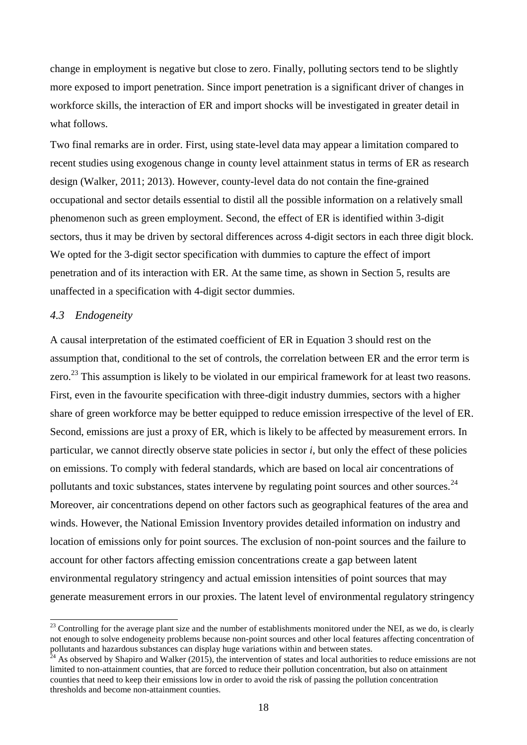change in employment is negative but close to zero. Finally, polluting sectors tend to be slightly more exposed to import penetration. Since import penetration is a significant driver of changes in workforce skills, the interaction of ER and import shocks will be investigated in greater detail in what follows.

Two final remarks are in order. First, using state-level data may appear a limitation compared to recent studies using exogenous change in county level attainment status in terms of ER as research design (Walker, 2011; 2013). However, county-level data do not contain the fine-grained occupational and sector details essential to distil all the possible information on a relatively small phenomenon such as green employment. Second, the effect of ER is identified within 3-digit sectors, thus it may be driven by sectoral differences across 4-digit sectors in each three digit block. We opted for the 3-digit sector specification with dummies to capture the effect of import penetration and of its interaction with ER. At the same time, as shown in Section 5, results are unaffected in a specification with 4-digit sector dummies.

#### *4.3 Endogeneity*

 $\overline{a}$ 

A causal interpretation of the estimated coefficient of ER in Equation 3 should rest on the assumption that, conditional to the set of controls, the correlation between ER and the error term is zero.<sup>23</sup> This assumption is likely to be violated in our empirical framework for at least two reasons. First, even in the favourite specification with three-digit industry dummies, sectors with a higher share of green workforce may be better equipped to reduce emission irrespective of the level of ER. Second, emissions are just a proxy of ER, which is likely to be affected by measurement errors. In particular, we cannot directly observe state policies in sector *i*, but only the effect of these policies on emissions. To comply with federal standards, which are based on local air concentrations of pollutants and toxic substances, states intervene by regulating point sources and other sources.<sup>24</sup> Moreover, air concentrations depend on other factors such as geographical features of the area and winds. However, the National Emission Inventory provides detailed information on industry and location of emissions only for point sources. The exclusion of non-point sources and the failure to account for other factors affecting emission concentrations create a gap between latent environmental regulatory stringency and actual emission intensities of point sources that may generate measurement errors in our proxies. The latent level of environmental regulatory stringency

 $^{23}$  Controlling for the average plant size and the number of establishments monitored under the NEI, as we do, is clearly not enough to solve endogeneity problems because non-point sources and other local features affecting concentration of pollutants and hazardous substances can display huge variations within and between states.

 $^{24}$  As observed by Shapiro and Walker (2015), the intervention of states and local authorities to reduce emissions are not limited to non-attainment counties, that are forced to reduce their pollution concentration, but also on attainment counties that need to keep their emissions low in order to avoid the risk of passing the pollution concentration thresholds and become non-attainment counties.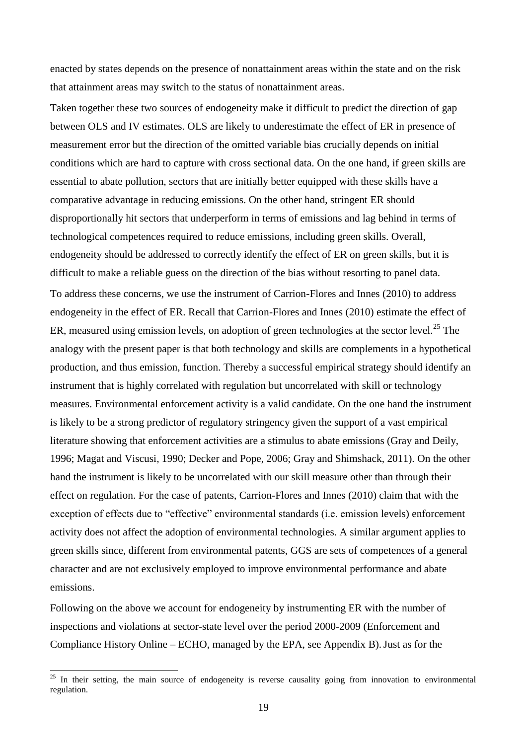enacted by states depends on the presence of nonattainment areas within the state and on the risk that attainment areas may switch to the status of nonattainment areas.

Taken together these two sources of endogeneity make it difficult to predict the direction of gap between OLS and IV estimates. OLS are likely to underestimate the effect of ER in presence of measurement error but the direction of the omitted variable bias crucially depends on initial conditions which are hard to capture with cross sectional data. On the one hand, if green skills are essential to abate pollution, sectors that are initially better equipped with these skills have a comparative advantage in reducing emissions. On the other hand, stringent ER should disproportionally hit sectors that underperform in terms of emissions and lag behind in terms of technological competences required to reduce emissions, including green skills. Overall, endogeneity should be addressed to correctly identify the effect of ER on green skills, but it is difficult to make a reliable guess on the direction of the bias without resorting to panel data. To address these concerns, we use the instrument of Carrion-Flores and Innes (2010) to address endogeneity in the effect of ER. Recall that Carrion-Flores and Innes (2010) estimate the effect of ER, measured using emission levels, on adoption of green technologies at the sector level.<sup>25</sup> The analogy with the present paper is that both technology and skills are complements in a hypothetical production, and thus emission, function. Thereby a successful empirical strategy should identify an instrument that is highly correlated with regulation but uncorrelated with skill or technology measures. Environmental enforcement activity is a valid candidate. On the one hand the instrument is likely to be a strong predictor of regulatory stringency given the support of a vast empirical literature showing that enforcement activities are a stimulus to abate emissions (Gray and Deily, 1996; Magat and Viscusi, 1990; Decker and Pope, 2006; Gray and Shimshack, 2011). On the other hand the instrument is likely to be uncorrelated with our skill measure other than through their effect on regulation. For the case of patents, Carrion-Flores and Innes (2010) claim that with the exception of effects due to "effective" environmental standards (i.e. emission levels) enforcement activity does not affect the adoption of environmental technologies. A similar argument applies to green skills since, different from environmental patents, GGS are sets of competences of a general character and are not exclusively employed to improve environmental performance and abate emissions.

Following on the above we account for endogeneity by instrumenting ER with the number of inspections and violations at sector-state level over the period 2000-2009 (Enforcement and Compliance History Online – ECHO, managed by the EPA, see Appendix B).Just as for the

-

 $25$  In their setting, the main source of endogeneity is reverse causality going from innovation to environmental regulation.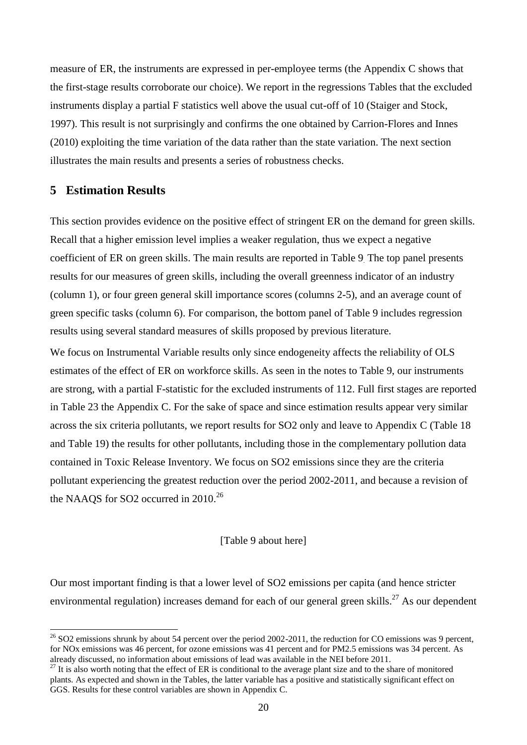measure of ER, the instruments are expressed in per-employee terms (the Appendix C shows that the first-stage results corroborate our choice). We report in the regressions Tables that the excluded instruments display a partial F statistics well above the usual cut-off of 10 (Staiger and Stock, 1997). This result is not surprisingly and confirms the one obtained by Carrion-Flores and Innes (2010) exploiting the time variation of the data rather than the state variation. The next section illustrates the main results and presents a series of robustness checks.

# **5 Estimation Results**

1

This section provides evidence on the positive effect of stringent ER on the demand for green skills. Recall that a higher emission level implies a weaker regulation, thus we expect a negative coefficient of ER on green skills. The main results are reported in [Table 9](#page-38-1). The top panel presents results for our measures of green skills, including the overall greenness indicator of an industry (column 1), or four green general skill importance scores (columns 2-5), and an average count of green specific tasks (column 6). For comparison, the bottom panel of Table 9 includes regression results using several standard measures of skills proposed by previous literature.

We focus on Instrumental Variable results only since endogeneity affects the reliability of OLS estimates of the effect of ER on workforce skills. As seen in the notes to Table 9, our instruments are strong, with a partial F-statistic for the excluded instruments of 112. Full first stages are reported in [Table 23](#page-46-1) the Appendix C. For the sake of space and since estimation results appear very similar across the six criteria pollutants, we report results for SO2 only and leave to Appendix C [\(Table 18](#page-43-0) and [Table 19\)](#page-44-0) the results for other pollutants, including those in the complementary pollution data contained in Toxic Release Inventory. We focus on SO2 emissions since they are the criteria pollutant experiencing the greatest reduction over the period 2002-2011, and because a revision of the NAAQS for SO2 occurred in 2010.<sup>26</sup>

[\[Table 9](#page-38-1) about here]

Our most important finding is that a lower level of SO2 emissions per capita (and hence stricter environmental regulation) increases demand for each of our general green skills.<sup>27</sup> As our dependent

 $^{26}$  SO2 emissions shrunk by about 54 percent over the period 2002-2011, the reduction for CO emissions was 9 percent, for NOx emissions was 46 percent, for ozone emissions was 41 percent and for PM2.5 emissions was 34 percent. As already discussed, no information about emissions of lead was available in the NEI before 2011.

 $27$  It is also worth noting that the effect of ER is conditional to the average plant size and to the share of monitored plants. As expected and shown in the Tables, the latter variable has a positive and statistically significant effect on GGS. Results for these control variables are shown in Appendix C.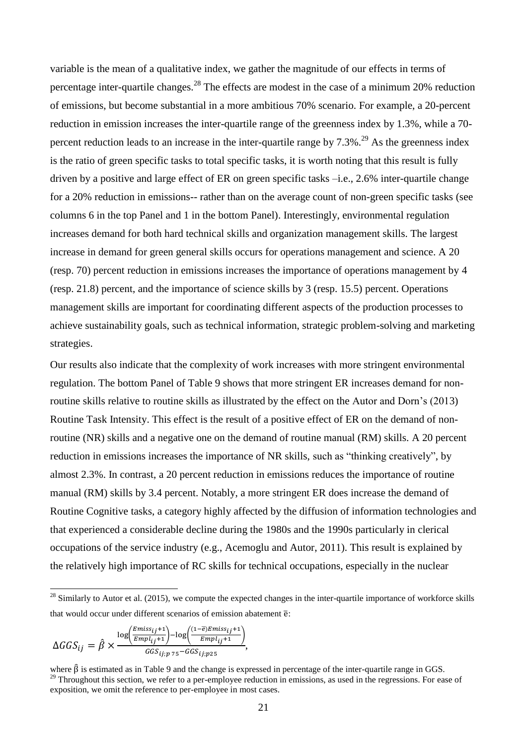variable is the mean of a qualitative index, we gather the magnitude of our effects in terms of percentage inter-quartile changes.<sup>28</sup> The effects are modest in the case of a minimum 20% reduction of emissions, but become substantial in a more ambitious 70% scenario. For example, a 20-percent reduction in emission increases the inter-quartile range of the greenness index by 1.3%, while a 70 percent reduction leads to an increase in the inter-quartile range by  $7.3\%$ .<sup>29</sup> As the greenness index is the ratio of green specific tasks to total specific tasks, it is worth noting that this result is fully driven by a positive and large effect of ER on green specific tasks –i.e., 2.6% inter-quartile change for a 20% reduction in emissions-- rather than on the average count of non-green specific tasks (see columns 6 in the top Panel and 1 in the bottom Panel). Interestingly, environmental regulation increases demand for both hard technical skills and organization management skills. The largest increase in demand for green general skills occurs for operations management and science. A 20 (resp. 70) percent reduction in emissions increases the importance of operations management by 4 (resp. 21.8) percent, and the importance of science skills by 3 (resp. 15.5) percent. Operations management skills are important for coordinating different aspects of the production processes to achieve sustainability goals, such as technical information, strategic problem-solving and marketing strategies.

Our results also indicate that the complexity of work increases with more stringent environmental regulation. The bottom Panel of [Table 9](#page-38-1) shows that more stringent ER increases demand for nonroutine skills relative to routine skills as illustrated by the effect on the Autor and Dorn's (2013) Routine Task Intensity. This effect is the result of a positive effect of ER on the demand of nonroutine (NR) skills and a negative one on the demand of routine manual (RM) skills. A 20 percent reduction in emissions increases the importance of NR skills, such as "thinking creatively", by almost 2.3%. In contrast, a 20 percent reduction in emissions reduces the importance of routine manual (RM) skills by 3.4 percent. Notably, a more stringent ER does increase the demand of Routine Cognitive tasks, a category highly affected by the diffusion of information technologies and that experienced a considerable decline during the 1980s and the 1990s particularly in clerical occupations of the service industry (e.g., Acemoglu and Autor, 2011). This result is explained by the relatively high importance of RC skills for technical occupations, especially in the nuclear

$$
\Delta G G S_{ij} = \hat{\beta} \times \frac{\log \left( \frac{Emiss_{ij} + 1}{Empl_{ij} + 1} \right) - \log \left( \frac{(1 - \overline{e}) Emiss_{ij} + 1}{Empl_{ij} + 1} \right)}{G G S_{ij; p \, 75} - G G S_{ij; p 25}},
$$

 $\overline{a}$ 

 $28$  Similarly to Autor et al. (2015), we compute the expected changes in the inter-quartile importance of workforce skills that would occur under different scenarios of emission abatement  $\overline{e}$ :

where  $\hat{\beta}$  is estimated as in [Table 9](#page-38-1) and the change is expressed in percentage of the inter-quartile range in GGS. <sup>29</sup> Throughout this section, we refer to a per-employee reduction in emissions, as used in the regressions. For ease of exposition, we omit the reference to per-employee in most cases.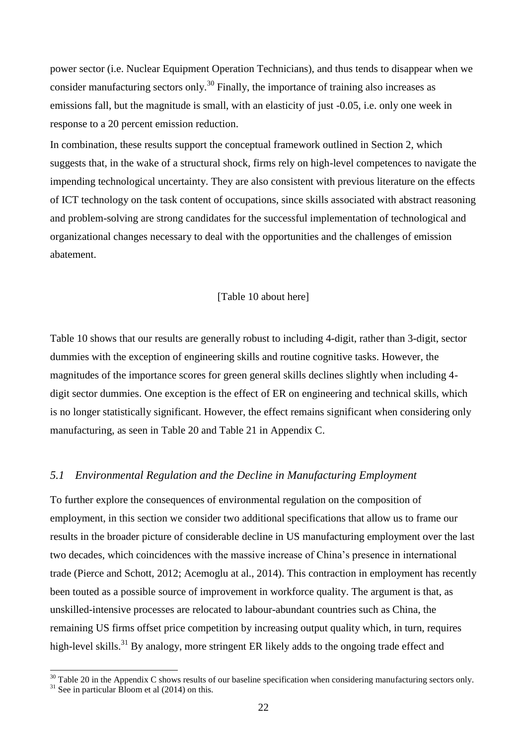power sector (i.e. Nuclear Equipment Operation Technicians), and thus tends to disappear when we consider manufacturing sectors only.<sup>30</sup> Finally, the importance of training also increases as emissions fall, but the magnitude is small, with an elasticity of just -0.05, i.e. only one week in response to a 20 percent emission reduction.

In combination, these results support the conceptual framework outlined in Section 2, which suggests that, in the wake of a structural shock, firms rely on high-level competences to navigate the impending technological uncertainty. They are also consistent with previous literature on the effects of ICT technology on the task content of occupations, since skills associated with abstract reasoning and problem-solving are strong candidates for the successful implementation of technological and organizational changes necessary to deal with the opportunities and the challenges of emission abatement.

#### [\[Table 10](#page-39-0) about here]

[Table 10](#page-39-0) shows that our results are generally robust to including 4-digit, rather than 3-digit, sector dummies with the exception of engineering skills and routine cognitive tasks. However, the magnitudes of the importance scores for green general skills declines slightly when including 4 digit sector dummies. One exception is the effect of ER on engineering and technical skills, which is no longer statistically significant. However, the effect remains significant when considering only manufacturing, as seen in [Table 20](#page-45-0) and [Table 21](#page-45-1) in Appendix C.

#### *5.1 Environmental Regulation and the Decline in Manufacturing Employment*

To further explore the consequences of environmental regulation on the composition of employment, in this section we consider two additional specifications that allow us to frame our results in the broader picture of considerable decline in US manufacturing employment over the last two decades, which coincidences with the massive increase of China's presence in international trade (Pierce and Schott, 2012; Acemoglu at al., 2014). This contraction in employment has recently been touted as a possible source of improvement in workforce quality. The argument is that, as unskilled-intensive processes are relocated to labour-abundant countries such as China, the remaining US firms offset price competition by increasing output quality which, in turn, requires high-level skills.<sup>31</sup> By analogy, more stringent ER likely adds to the ongoing trade effect and

-

 $30$  [Table 20](#page-45-0) in the Appendix C shows results of our baseline specification when considering manufacturing sectors only.  $31$  See in particular Bloom et al (2014) on this.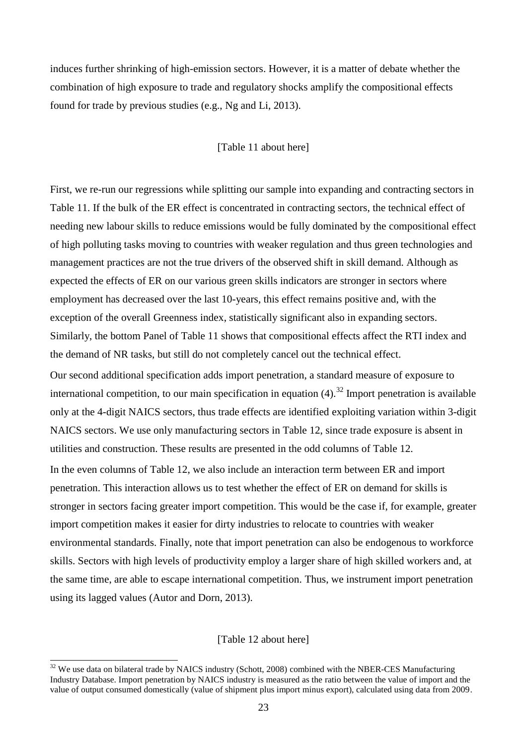induces further shrinking of high-emission sectors. However, it is a matter of debate whether the combination of high exposure to trade and regulatory shocks amplify the compositional effects found for trade by previous studies (e.g., Ng and Li, 2013).

#### [\[Table 11](#page-39-1) about here]

First, we re-run our regressions while splitting our sample into expanding and contracting sectors in [Table 11.](#page-39-1) If the bulk of the ER effect is concentrated in contracting sectors, the technical effect of needing new labour skills to reduce emissions would be fully dominated by the compositional effect of high polluting tasks moving to countries with weaker regulation and thus green technologies and management practices are not the true drivers of the observed shift in skill demand. Although as expected the effects of ER on our various green skills indicators are stronger in sectors where employment has decreased over the last 10-years, this effect remains positive and, with the exception of the overall Greenness index, statistically significant also in expanding sectors. Similarly, the bottom Panel of [Table 11](#page-39-1) shows that compositional effects affect the RTI index and the demand of NR tasks, but still do not completely cancel out the technical effect.

Our second additional specification adds import penetration, a standard measure of exposure to international competition, to our main specification in equation  $(4)$ .<sup>32</sup> Import penetration is available only at the 4-digit NAICS sectors, thus trade effects are identified exploiting variation within 3-digit NAICS sectors. We use only manufacturing sectors in Table 12, since trade exposure is absent in utilities and construction. These results are presented in the odd columns of Table 12.

In the even columns of Table 12, we also include an interaction term between ER and import penetration. This interaction allows us to test whether the effect of ER on demand for skills is stronger in sectors facing greater import competition. This would be the case if, for example, greater import competition makes it easier for dirty industries to relocate to countries with weaker environmental standards. Finally, note that import penetration can also be endogenous to workforce skills. Sectors with high levels of productivity employ a larger share of high skilled workers and, at the same time, are able to escape international competition. Thus, we instrument import penetration using its lagged values (Autor and Dorn, 2013).

#### [\[Table 12](#page-40-0) about here]

-

 $32$  We use data on bilateral trade by NAICS industry (Schott, 2008) combined with the NBER-CES Manufacturing Industry Database. Import penetration by NAICS industry is measured as the ratio between the value of import and the value of output consumed domestically (value of shipment plus import minus export), calculated using data from 2009.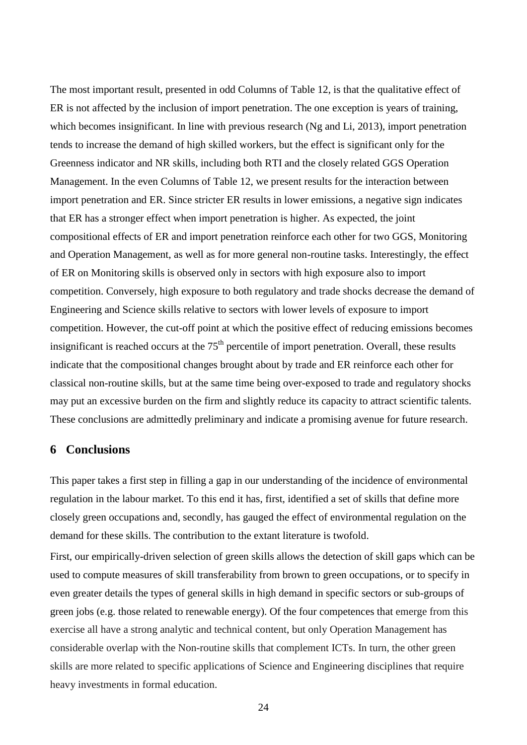The most important result, presented in odd Columns of [Table 12,](#page-40-0) is that the qualitative effect of ER is not affected by the inclusion of import penetration. The one exception is years of training, which becomes insignificant. In line with previous research (Ng and Li, 2013), import penetration tends to increase the demand of high skilled workers, but the effect is significant only for the Greenness indicator and NR skills, including both RTI and the closely related GGS Operation Management. In the even Columns of [Table 12,](#page-40-0) we present results for the interaction between import penetration and ER. Since stricter ER results in lower emissions, a negative sign indicates that ER has a stronger effect when import penetration is higher. As expected, the joint compositional effects of ER and import penetration reinforce each other for two GGS, Monitoring and Operation Management, as well as for more general non-routine tasks. Interestingly, the effect of ER on Monitoring skills is observed only in sectors with high exposure also to import competition. Conversely, high exposure to both regulatory and trade shocks decrease the demand of Engineering and Science skills relative to sectors with lower levels of exposure to import competition. However, the cut-off point at which the positive effect of reducing emissions becomes insignificant is reached occurs at the  $75<sup>th</sup>$  percentile of import penetration. Overall, these results indicate that the compositional changes brought about by trade and ER reinforce each other for classical non-routine skills, but at the same time being over-exposed to trade and regulatory shocks may put an excessive burden on the firm and slightly reduce its capacity to attract scientific talents. These conclusions are admittedly preliminary and indicate a promising avenue for future research.

### **6 Conclusions**

This paper takes a first step in filling a gap in our understanding of the incidence of environmental regulation in the labour market. To this end it has, first, identified a set of skills that define more closely green occupations and, secondly, has gauged the effect of environmental regulation on the demand for these skills. The contribution to the extant literature is twofold.

First, our empirically-driven selection of green skills allows the detection of skill gaps which can be used to compute measures of skill transferability from brown to green occupations, or to specify in even greater details the types of general skills in high demand in specific sectors or sub-groups of green jobs (e.g. those related to renewable energy). Of the four competences that emerge from this exercise all have a strong analytic and technical content, but only Operation Management has considerable overlap with the Non-routine skills that complement ICTs. In turn, the other green skills are more related to specific applications of Science and Engineering disciplines that require heavy investments in formal education.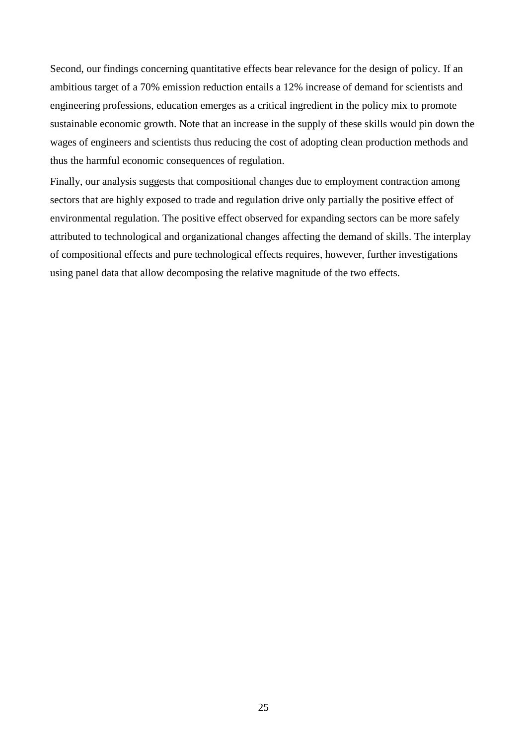Second, our findings concerning quantitative effects bear relevance for the design of policy. If an ambitious target of a 70% emission reduction entails a 12% increase of demand for scientists and engineering professions, education emerges as a critical ingredient in the policy mix to promote sustainable economic growth. Note that an increase in the supply of these skills would pin down the wages of engineers and scientists thus reducing the cost of adopting clean production methods and thus the harmful economic consequences of regulation.

Finally, our analysis suggests that compositional changes due to employment contraction among sectors that are highly exposed to trade and regulation drive only partially the positive effect of environmental regulation. The positive effect observed for expanding sectors can be more safely attributed to technological and organizational changes affecting the demand of skills. The interplay of compositional effects and pure technological effects requires, however, further investigations using panel data that allow decomposing the relative magnitude of the two effects.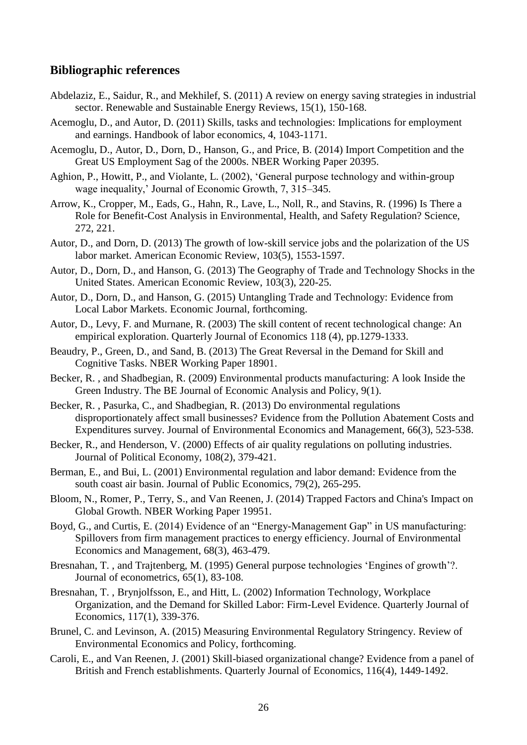#### **Bibliographic references**

- Abdelaziz, E., Saidur, R., and Mekhilef, S. (2011) A review on energy saving strategies in industrial sector. Renewable and Sustainable Energy Reviews, 15(1), 150-168.
- Acemoglu, D., and Autor, D. (2011) Skills, tasks and technologies: Implications for employment and earnings. Handbook of labor economics, 4, 1043-1171.
- Acemoglu, D., Autor, D., Dorn, D., Hanson, G., and Price, B. (2014) Import Competition and the Great US Employment Sag of the 2000s. NBER Working Paper 20395.
- Aghion, P., Howitt, P., and Violante, L. (2002), 'General purpose technology and within-group wage inequality,' Journal of Economic Growth, 7, 315–345.
- Arrow, K., Cropper, M., Eads, G., Hahn, R., Lave, L., Noll, R., and Stavins, R. (1996) Is There a Role for Benefit-Cost Analysis in Environmental, Health, and Safety Regulation? Science, 272, 221.
- Autor, D., and Dorn, D. (2013) The growth of low-skill service jobs and the polarization of the US labor market. American Economic Review, 103(5), 1553-1597.
- Autor, D., Dorn, D., and Hanson, G. (2013) The Geography of Trade and Technology Shocks in the United States. American Economic Review, 103(3), 220-25.
- Autor, D., Dorn, D., and Hanson, G. (2015) [Untangling Trade and Technology:](https://ideas.repec.org/p/nbr/nberwo/18938.html) Evidence from [Local Labor Markets.](https://ideas.repec.org/p/nbr/nberwo/18938.html) Economic Journal, forthcoming.
- Autor, D., Levy, F. and Murnane, R. (2003) The skill content of recent technological change: An empirical exploration. Quarterly Journal of Economics 118 (4), pp.1279-1333.
- Beaudry, P., Green, D., and Sand, B. (2013) The Great Reversal in the Demand for Skill and Cognitive Tasks. NBER Working Paper 18901.
- Becker, R. , and Shadbegian, R. (2009) Environmental products manufacturing: A look Inside the Green Industry. The BE Journal of Economic Analysis and Policy, 9(1).
- Becker, R. , Pasurka, C., and Shadbegian, R. (2013) Do environmental regulations disproportionately affect small businesses? Evidence from the Pollution Abatement Costs and Expenditures survey. Journal of Environmental Economics and Management, 66(3), 523-538.
- Becker, R., and Henderson, V. (2000) Effects of air quality regulations on polluting industries. Journal of Political Economy, 108(2), 379-421.
- Berman, E., and Bui, L. (2001) Environmental regulation and labor demand: Evidence from the south coast air basin. Journal of Public Economics, 79(2), 265-295.
- Bloom, N., Romer, P., Terry, S., and Van Reenen, J. (2014) Trapped Factors and China's Impact on Global Growth. NBER Working Paper 19951.
- Boyd, G., and Curtis, E. (2014) Evidence of an "Energy-Management Gap" in US manufacturing: Spillovers from firm management practices to energy efficiency. Journal of Environmental Economics and Management, 68(3), 463-479.
- Bresnahan, T. , and Trajtenberg, M. (1995) General purpose technologies 'Engines of growth'?. Journal of econometrics, 65(1), 83-108.
- Bresnahan, T. , Brynjolfsson, E., and Hitt, L. (2002) Information Technology, Workplace Organization, and the Demand for Skilled Labor: Firm-Level Evidence. Quarterly Journal of Economics, 117(1), 339-376.
- Brunel, C. and Levinson, A. (2015) Measuring Environmental Regulatory Stringency. Review of Environmental Economics and Policy, forthcoming.
- Caroli, E., and Van Reenen, J. (2001) Skill-biased organizational change? Evidence from a panel of British and French establishments. Quarterly Journal of Economics, 116(4), 1449-1492.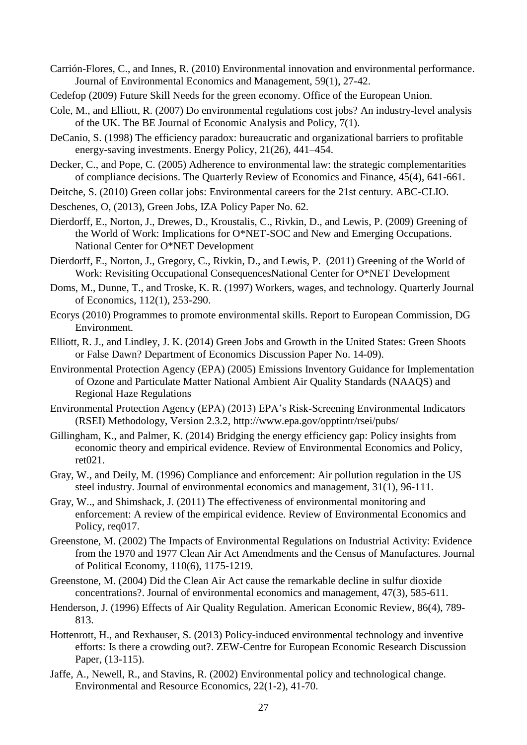- Carrión-Flores, C., and Innes, R. (2010) Environmental innovation and environmental performance. Journal of Environmental Economics and Management, 59(1), 27-42.
- Cedefop (2009) Future Skill Needs for the green economy. Office of the European Union.
- Cole, M., and Elliott, R. (2007) Do environmental regulations cost jobs? An industry-level analysis of the UK. The BE Journal of Economic Analysis and Policy, 7(1).
- DeCanio, S. (1998) The efficiency paradox: bureaucratic and organizational barriers to profitable energy-saving investments. Energy Policy, 21(26), 441–454.
- Decker, C., and Pope, C. (2005) Adherence to environmental law: the strategic complementarities of compliance decisions. The Quarterly Review of Economics and Finance, 45(4), 641-661.
- Deitche, S. (2010) Green collar jobs: Environmental careers for the 21st century. ABC-CLIO.
- Deschenes, O, (2013), Green Jobs, IZA Policy Paper No. 62.
- Dierdorff, E., Norton, J., Drewes, D., Kroustalis, C., Rivkin, D., and Lewis, P. (2009) Greening of the World of Work: Implications for O\*NET-SOC and New and Emerging Occupations. National Center for O\*NET Development
- Dierdorff, E., Norton, J., Gregory, C., Rivkin, D., and Lewis, P. (2011) Greening of the World of Work: Revisiting Occupational ConsequencesNational Center for O\*NET Development
- Doms, M., Dunne, T., and Troske, K. R. (1997) Workers, wages, and technology. Quarterly Journal of Economics, 112(1), 253-290.
- Ecorys (2010) Programmes to promote environmental skills. Report to European Commission, DG Environment.
- Elliott, R. J., and Lindley, J. K. (2014) Green Jobs and Growth in the United States: Green Shoots or False Dawn? Department of Economics Discussion Paper No. 14-09).
- Environmental Protection Agency (EPA) (2005) Emissions Inventory Guidance for Implementation of Ozone and Particulate Matter National Ambient Air Quality Standards (NAAQS) and Regional Haze Regulations
- Environmental Protection Agency (EPA) (2013) EPA's Risk-Screening Environmental Indicators (RSEI) Methodology, Version 2.3.2,<http://www.epa.gov/opptintr/rsei/pubs/>
- Gillingham, K., and Palmer, K. (2014) Bridging the energy efficiency gap: Policy insights from economic theory and empirical evidence. Review of Environmental Economics and Policy, ret021.
- Gray, W., and Deily, M. (1996) Compliance and enforcement: Air pollution regulation in the US steel industry. Journal of environmental economics and management, 31(1), 96-111.
- Gray, W.., and Shimshack, J. (2011) The effectiveness of environmental monitoring and enforcement: A review of the empirical evidence. Review of Environmental Economics and Policy, req017.
- Greenstone, M. (2002) The Impacts of Environmental Regulations on Industrial Activity: Evidence from the 1970 and 1977 Clean Air Act Amendments and the Census of Manufactures. Journal of Political Economy, 110(6), 1175-1219.
- Greenstone, M. (2004) Did the Clean Air Act cause the remarkable decline in sulfur dioxide concentrations?. Journal of environmental economics and management, 47(3), 585-611.
- Henderson, J. (1996) [Effects of Air Quality Regulation.](https://ideas.repec.org/a/aea/aecrev/v86y1996i4p789-813.html) [American Economic Review,](https://ideas.repec.org/s/aea/aecrev.html) 86(4), 789- 813.
- Hottenrott, H., and Rexhauser, S. (2013) Policy-induced environmental technology and inventive efforts: Is there a crowding out?. ZEW-Centre for European Economic Research Discussion Paper, (13-115).
- Jaffe, A., Newell, R., and Stavins, R. (2002) Environmental policy and technological change. Environmental and Resource Economics, 22(1-2), 41-70.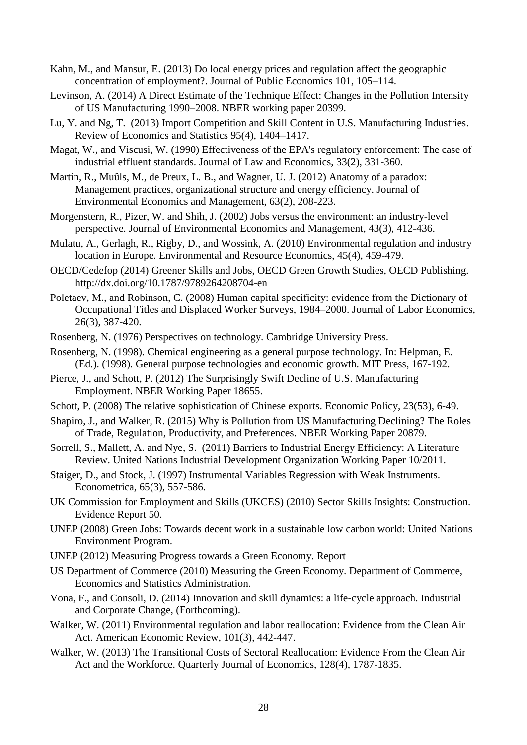- Kahn, M., and Mansur, E. (2013) Do local energy prices and regulation affect the geographic concentration of employment?. Journal of Public Economics 101, 105–114.
- Levinson, A. (2014) A Direct Estimate of the Technique Effect: Changes in the Pollution Intensity of US Manufacturing 1990–2008. NBER working paper 20399.
- Lu, Y. and Ng, T. (2013) Import Competition and Skill Content in U.S. Manufacturing Industries. Review of Economics and Statistics 95(4), 1404–1417.
- Magat, W., and Viscusi, W. (1990) Effectiveness of the EPA's regulatory enforcement: The case of industrial effluent standards. Journal of Law and Economics, 33(2), 331-360.
- Martin, R., Muûls, M., de Preux, L. B., and Wagner, U. J. (2012) Anatomy of a paradox: Management practices, organizational structure and energy efficiency. Journal of Environmental Economics and Management, 63(2), 208-223.
- Morgenstern, R., Pizer, W. and Shih, J. (2002) Jobs versus the environment: an industry-level perspective. Journal of Environmental Economics and Management, 43(3), 412-436.
- Mulatu, A., Gerlagh, R., Rigby, D., and Wossink, A. (2010) Environmental regulation and industry location in Europe. Environmental and Resource Economics, 45(4), 459-479.
- OECD/Cedefop (2014) Greener Skills and Jobs, OECD Green Growth Studies, OECD Publishing. http://dx.doi.org/10.1787/9789264208704-en
- Poletaev, M., and Robinson, C. (2008) Human capital specificity: evidence from the Dictionary of Occupational Titles and Displaced Worker Surveys, 1984–2000. Journal of Labor Economics, 26(3), 387-420.
- Rosenberg, N. (1976) Perspectives on technology. Cambridge University Press.
- Rosenberg, N. (1998). Chemical engineering as a general purpose technology. In: Helpman, E. (Ed.). (1998). General purpose technologies and economic growth. MIT Press, 167-192.
- Pierce, J., and Schott, P. (2012) [The Surprisingly Swift Decline of U.S. Manufacturing](http://faculty.som.yale.edu/peterschott/files/research/papers/pierce_schott_pntr_20150301.pdf)  [Employment.](http://faculty.som.yale.edu/peterschott/files/research/papers/pierce_schott_pntr_20150301.pdf) [NBER Working Paper 18655.](http://www.nber.org/papers/w18655)
- Schott, P. (2008) The relative sophistication of Chinese exports. Economic Policy, 23(53), 6-49.
- Shapiro, J., and Walker, R. (2015) Why is Pollution from US Manufacturing Declining? The Roles of Trade, Regulation, Productivity, and Preferences. NBER Working Paper 20879.
- Sorrell, S., Mallett, A. and Nye, S. (2011) Barriers to Industrial Energy Efficiency: A Literature Review. United Nations Industrial Development Organization Working Paper 10/2011.
- Staiger, D., and Stock, J. (1997) Instrumental Variables Regression with Weak Instruments. Econometrica, 65(3), 557-586.
- UK Commission for Employment and Skills (UKCES) (2010) Sector Skills Insights: Construction. Evidence Report 50.
- UNEP (2008) Green Jobs: Towards decent work in a sustainable low carbon world: United Nations Environment Program.
- UNEP (2012) Measuring Progress towards a Green Economy. Report
- US Department of Commerce (2010) Measuring the Green Economy. Department of Commerce, Economics and Statistics Administration.
- Vona, F., and Consoli, D. (2014) Innovation and skill dynamics: a life-cycle approach. Industrial and Corporate Change, (Forthcoming).
- Walker, W. (2011) Environmental regulation and labor reallocation: Evidence from the Clean Air Act. American Economic Review, 101(3), 442-447.
- Walker, W. (2013) The Transitional Costs of Sectoral Reallocation: Evidence From the Clean Air Act and the Workforce. Quarterly Journal of Economics, 128(4), 1787-1835.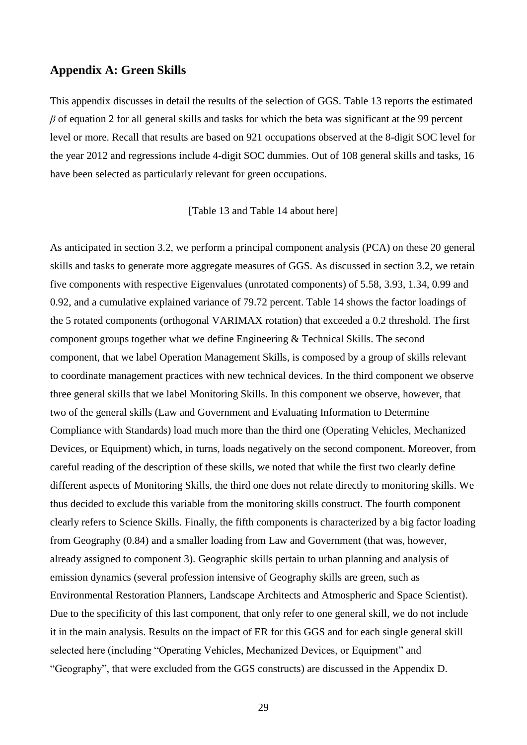#### **Appendix A: Green Skills**

This appendix discusses in detail the results of the selection of GGS. [Table 13](#page-41-0) reports the estimated *β* of equation 2 for all general skills and tasks for which the beta was significant at the 99 percent level or more. Recall that results are based on 921 occupations observed at the 8-digit SOC level for the year 2012 and regressions include 4-digit SOC dummies. Out of 108 general skills and tasks, 16 have been selected as particularly relevant for green occupations.

[\[Table 13](#page-41-0) and [Table 14](#page-41-1) about here]

As anticipated in section 3.2, we perform a principal component analysis (PCA) on these 20 general skills and tasks to generate more aggregate measures of GGS. As discussed in section 3.2, we retain five components with respective Eigenvalues (unrotated components) of 5.58, 3.93, 1.34, 0.99 and 0.92, and a cumulative explained variance of 79.72 percent. [Table 14](#page-41-1) shows the factor loadings of the 5 rotated components (orthogonal VARIMAX rotation) that exceeded a 0.2 threshold. The first component groups together what we define Engineering & Technical Skills. The second component, that we label Operation Management Skills, is composed by a group of skills relevant to coordinate management practices with new technical devices. In the third component we observe three general skills that we label Monitoring Skills. In this component we observe, however, that two of the general skills (Law and Government and Evaluating Information to Determine Compliance with Standards) load much more than the third one (Operating Vehicles, Mechanized Devices, or Equipment) which, in turns, loads negatively on the second component. Moreover, from careful reading of the description of these skills, we noted that while the first two clearly define different aspects of Monitoring Skills, the third one does not relate directly to monitoring skills. We thus decided to exclude this variable from the monitoring skills construct. The fourth component clearly refers to Science Skills. Finally, the fifth components is characterized by a big factor loading from Geography (0.84) and a smaller loading from Law and Government (that was, however, already assigned to component 3). Geographic skills pertain to urban planning and analysis of emission dynamics (several profession intensive of Geography skills are green, such as Environmental Restoration Planners, Landscape Architects and Atmospheric and Space Scientist). Due to the specificity of this last component, that only refer to one general skill, we do not include it in the main analysis. Results on the impact of ER for this GGS and for each single general skill selected here (including "Operating Vehicles, Mechanized Devices, or Equipment" and "Geography", that were excluded from the GGS constructs) are discussed in the Appendix D.

29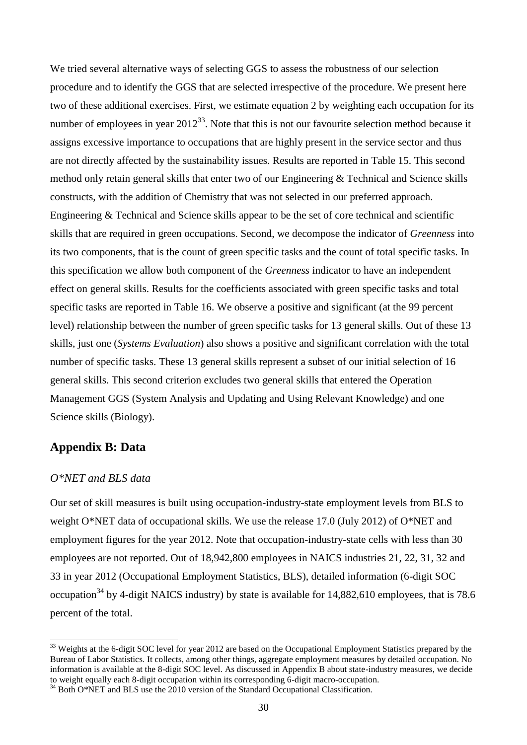We tried several alternative ways of selecting GGS to assess the robustness of our selection procedure and to identify the GGS that are selected irrespective of the procedure. We present here two of these additional exercises. First, we estimate equation 2 by weighting each occupation for its number of employees in year  $2012^{33}$ . Note that this is not our favourite selection method because it assigns excessive importance to occupations that are highly present in the service sector and thus are not directly affected by the sustainability issues. Results are reported in [Table 15.](#page-42-0) This second method only retain general skills that enter two of our Engineering & Technical and Science skills constructs, with the addition of Chemistry that was not selected in our preferred approach. Engineering & Technical and Science skills appear to be the set of core technical and scientific skills that are required in green occupations. Second, we decompose the indicator of *Greenness* into its two components, that is the count of green specific tasks and the count of total specific tasks. In this specification we allow both component of the *Greenness* indicator to have an independent effect on general skills. Results for the coefficients associated with green specific tasks and total specific tasks are reported in [Table 16.](#page-42-1) We observe a positive and significant (at the 99 percent level) relationship between the number of green specific tasks for 13 general skills. Out of these 13 skills, just one (*Systems Evaluation*) also shows a positive and significant correlation with the total number of specific tasks. These 13 general skills represent a subset of our initial selection of 16 general skills. This second criterion excludes two general skills that entered the Operation Management GGS (System Analysis and Updating and Using Relevant Knowledge) and one Science skills (Biology).

#### **Appendix B: Data**

#### *O\*NET and BLS data*

 $\overline{a}$ 

Our set of skill measures is built using occupation-industry-state employment levels from BLS to weight O\*NET data of occupational skills. We use the release 17.0 (July 2012) of O\*NET and employment figures for the year 2012. Note that occupation-industry-state cells with less than 30 employees are not reported. Out of 18,942,800 employees in NAICS industries 21, 22, 31, 32 and 33 in year 2012 (Occupational Employment Statistics, BLS), detailed information (6-digit SOC occupation<sup>34</sup> by 4-digit NAICS industry) by state is available for  $14,882,610$  employees, that is 78.6 percent of the total.

 $33$  Weights at the 6-digit SOC level for year 2012 are based on the Occupational Employment Statistics prepared by the Bureau of Labor Statistics. It collects, among other things, aggregate employment measures by detailed occupation. No information is available at the 8-digit SOC level. As discussed in Appendix B about state-industry measures, we decide to weight equally each 8-digit occupation within its corresponding 6-digit macro-occupation.

<sup>&</sup>lt;sup>34</sup> Both O\*NET and BLS use the 2010 version of the Standard Occupational Classification.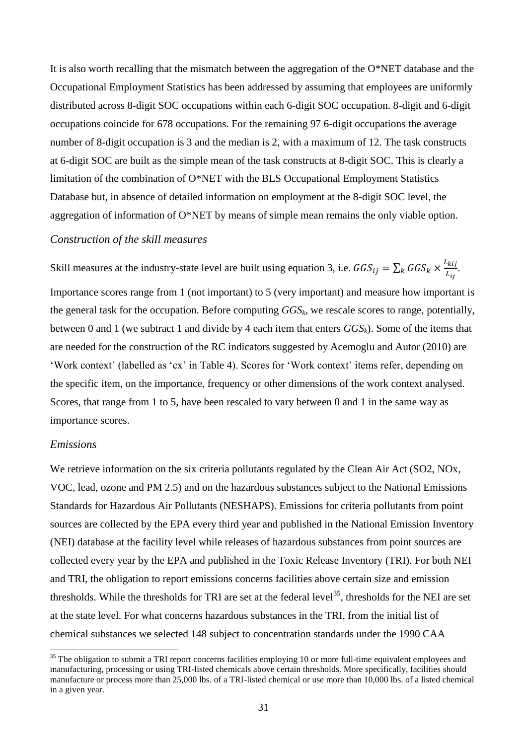It is also worth recalling that the mismatch between the aggregation of the O\*NET database and the Occupational Employment Statistics has been addressed by assuming that employees are uniformly distributed across 8-digit SOC occupations within each 6-digit SOC occupation. 8-digit and 6-digit occupations coincide for 678 occupations. For the remaining 97 6-digit occupations the average number of 8-digit occupation is 3 and the median is 2, with a maximum of 12. The task constructs at 6-digit SOC are built as the simple mean of the task constructs at 8-digit SOC. This is clearly a limitation of the combination of O\*NET with the BLS Occupational Employment Statistics Database but, in absence of detailed information on employment at the 8-digit SOC level, the aggregation of information of O\*NET by means of simple mean remains the only viable option.

#### *Construction of the skill measures*

Skill measures at the industry-state level are built using equation 3, i.e.  $GGS_{ij} = \sum_k GGS_k \times \frac{L_{kij}}{L_{kij}}$  $\frac{\kappa_{ij}}{L_{ij}}$ .

Importance scores range from 1 (not important) to 5 (very important) and measure how important is the general task for the occupation. Before computing *GGSk*, we rescale scores to range, potentially, between 0 and 1 (we subtract 1 and divide by 4 each item that enters *GGSk*). Some of the items that are needed for the construction of the RC indicators suggested by Acemoglu and Autor (2010) are 'Work context' (labelled as 'cx' in [Table 4\)](#page-36-0). Scores for 'Work context' items refer, depending on the specific item, on the importance, frequency or other dimensions of the work context analysed. Scores, that range from 1 to 5, have been rescaled to vary between 0 and 1 in the same way as importance scores.

#### *Emissions*

1

We retrieve information on the six criteria pollutants regulated by the Clean Air Act (SO2, NOx, VOC, lead, ozone and PM 2.5) and on the hazardous substances subject to the National Emissions Standards for Hazardous Air Pollutants (NESHAPS). Emissions for criteria pollutants from point sources are collected by the EPA every third year and published in the National Emission Inventory (NEI) database at the facility level while releases of hazardous substances from point sources are collected every year by the EPA and published in the Toxic Release Inventory (TRI). For both NEI and TRI, the obligation to report emissions concerns facilities above certain size and emission thresholds. While the thresholds for TRI are set at the federal level<sup>35</sup>, thresholds for the NEI are set at the state level. For what concerns hazardous substances in the TRI, from the initial list of chemical substances we selected 148 subject to concentration standards under the 1990 CAA

 $35$  The obligation to submit a TRI report concerns facilities employing 10 or more full-time equivalent employees and manufacturing, processing or using TRI-listed chemicals above certain thresholds. More specifically, facilities should manufacture or process more than 25,000 lbs. of a TRI-listed chemical or use more than 10,000 lbs. of a listed chemical in a given year.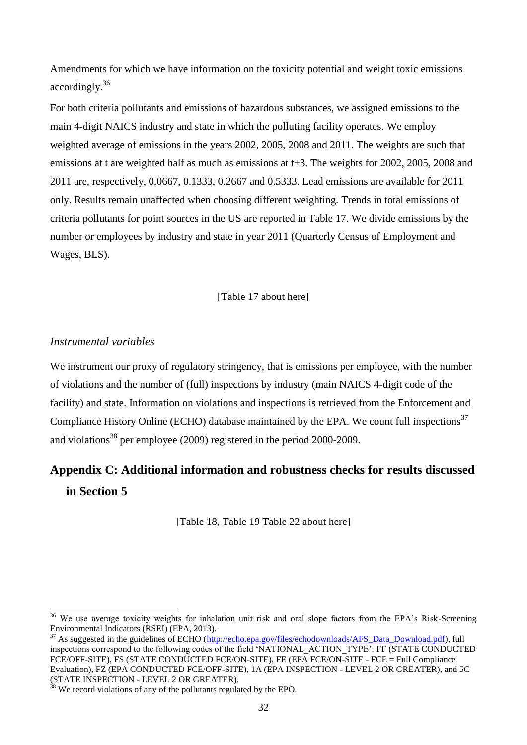Amendments for which we have information on the toxicity potential and weight toxic emissions accordingly.<sup>36</sup>

For both criteria pollutants and emissions of hazardous substances, we assigned emissions to the main 4-digit NAICS industry and state in which the polluting facility operates. We employ weighted average of emissions in the years 2002, 2005, 2008 and 2011. The weights are such that emissions at t are weighted half as much as emissions at t+3. The weights for 2002, 2005, 2008 and 2011 are, respectively, 0.0667, 0.1333, 0.2667 and 0.5333. Lead emissions are available for 2011 only. Results remain unaffected when choosing different weighting. Trends in total emissions of criteria pollutants for point sources in the US are reported in [Table 17.](#page-43-1) We divide emissions by the number or employees by industry and state in year 2011 (Quarterly Census of Employment and Wages, BLS).

#### [\[Table 17](#page-43-1) about here]

#### *Instrumental variables*

-

We instrument our proxy of regulatory stringency, that is emissions per employee, with the number of violations and the number of (full) inspections by industry (main NAICS 4-digit code of the facility) and state. Information on violations and inspections is retrieved from the Enforcement and Compliance History Online (ECHO) database maintained by the EPA. We count full inspections<sup>37</sup> and violations<sup>38</sup> per employee (2009) registered in the period 2000-2009.

# **Appendix C: Additional information and robustness checks for results discussed in Section 5**

[\[Table 18,](#page-43-0) [Table 19](#page-44-0) [Table 22](#page-46-0) about here]

<sup>&</sup>lt;sup>36</sup> We use average toxicity weights for inhalation unit risk and oral slope factors from the EPA's Risk-Screening Environmental Indicators (RSEI) (EPA, 2013).

<sup>&</sup>lt;sup>37</sup> As suggested in the guidelines of ECHO [\(http://echo.epa.gov/files/echodownloads/AFS\\_Data\\_Download.pdf\)](http://echo.epa.gov/files/echodownloads/AFS_Data_Download.pdf), full inspections correspond to the following codes of the field 'NATIONAL\_ACTION\_TYPE': FF (STATE CONDUCTED FCE/OFF-SITE), FS (STATE CONDUCTED FCE/ON-SITE), FE (EPA FCE/ON-SITE - FCE = Full Compliance Evaluation), FZ (EPA CONDUCTED FCE/OFF-SITE), 1A (EPA INSPECTION - LEVEL 2 OR GREATER), and 5C (STATE INSPECTION - LEVEL 2 OR GREATER).

 $38$  We record violations of any of the pollutants regulated by the EPO.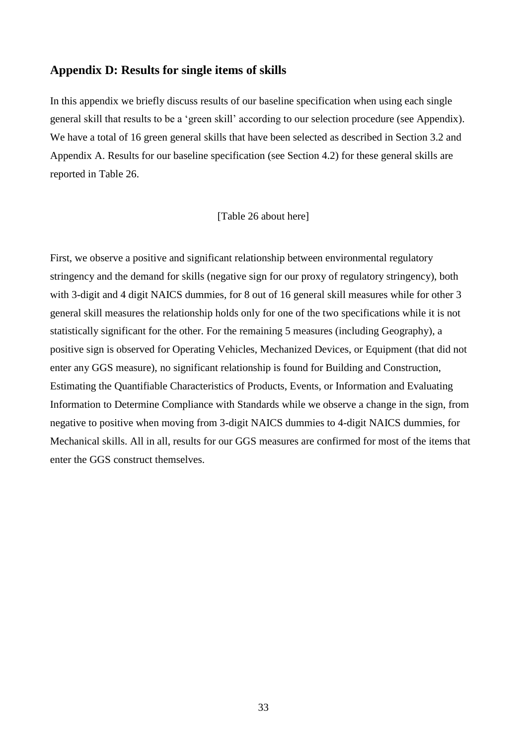#### **Appendix D: Results for single items of skills**

In this appendix we briefly discuss results of our baseline specification when using each single general skill that results to be a 'green skill' according to our selection procedure (see Appendix). We have a total of 16 green general skills that have been selected as described in Section 3.2 and Appendix A. Results for our baseline specification (see Section 4.2) for these general skills are reported in [Table 26.](#page-48-0)

#### [\[Table 26](#page-48-0) about here]

First, we observe a positive and significant relationship between environmental regulatory stringency and the demand for skills (negative sign for our proxy of regulatory stringency), both with 3-digit and 4 digit NAICS dummies, for 8 out of 16 general skill measures while for other 3 general skill measures the relationship holds only for one of the two specifications while it is not statistically significant for the other. For the remaining 5 measures (including Geography), a positive sign is observed for Operating Vehicles, Mechanized Devices, or Equipment (that did not enter any GGS measure), no significant relationship is found for Building and Construction, Estimating the Quantifiable Characteristics of Products, Events, or Information and Evaluating Information to Determine Compliance with Standards while we observe a change in the sign, from negative to positive when moving from 3-digit NAICS dummies to 4-digit NAICS dummies, for Mechanical skills. All in all, results for our GGS measures are confirmed for most of the items that enter the GGS construct themselves.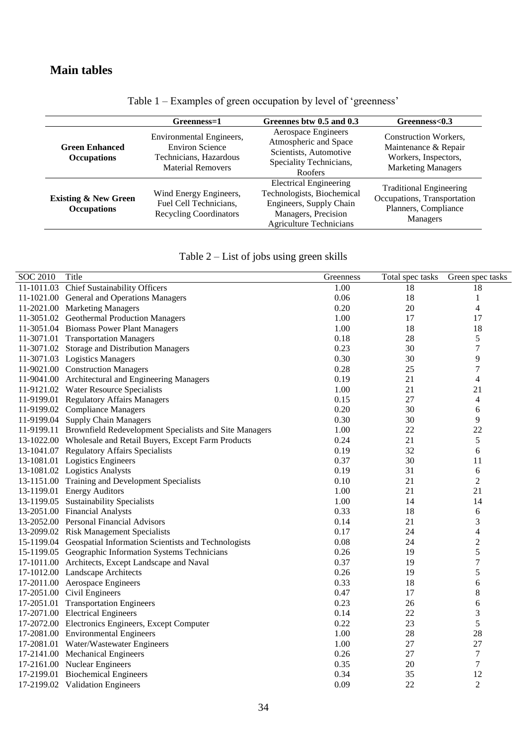<span id="page-33-0"></span>

|                                                       | Greenness=1                                                                                              | Greennes btw 0.5 and 0.3                                                                                                                        | Greenness<0.3                                                                                             |
|-------------------------------------------------------|----------------------------------------------------------------------------------------------------------|-------------------------------------------------------------------------------------------------------------------------------------------------|-----------------------------------------------------------------------------------------------------------|
| <b>Green Enhanced</b><br><b>Occupations</b>           | Environmental Engineers,<br><b>Environ Science</b><br>Technicians, Hazardous<br><b>Material Removers</b> | Aerospace Engineers<br>Atmospheric and Space<br>Scientists, Automotive<br>Speciality Technicians,<br><b>Roofers</b>                             | <b>Construction Workers,</b><br>Maintenance & Repair<br>Workers, Inspectors,<br><b>Marketing Managers</b> |
| <b>Existing &amp; New Green</b><br><b>Occupations</b> | Wind Energy Engineers,<br>Fuel Cell Technicians,<br><b>Recycling Coordinators</b>                        | <b>Electrical Engineering</b><br>Technologists, Biochemical<br>Engineers, Supply Chain<br>Managers, Precision<br><b>Agriculture Technicians</b> | <b>Traditional Engineering</b><br>Occupations, Transportation<br>Planners, Compliance<br>Managers         |

Table 1 – Examples of green occupation by level of 'greenness'

| Table 2 – List of jobs using green skills |  |  |  |
|-------------------------------------------|--|--|--|
|                                           |  |  |  |

<span id="page-33-1"></span>

| <b>SOC 2010</b> | Title                                                             | Greenness | Total spec tasks | Green spec tasks         |
|-----------------|-------------------------------------------------------------------|-----------|------------------|--------------------------|
|                 | 11-1011.03 Chief Sustainability Officers                          | 1.00      | 18               | 18                       |
|                 | 11-1021.00 General and Operations Managers                        | 0.06      | 18               | $\mathbf{1}$             |
|                 | 11-2021.00 Marketing Managers                                     | 0.20      | 20               | $\overline{\mathcal{L}}$ |
|                 | 11-3051.02 Geothermal Production Managers                         | 1.00      | 17               | 17                       |
|                 | 11-3051.04 Biomass Power Plant Managers                           | 1.00      | 18               | 18                       |
|                 | 11-3071.01 Transportation Managers                                | 0.18      | 28               | 5                        |
|                 | 11-3071.02 Storage and Distribution Managers                      | 0.23      | 30               | 7                        |
|                 | 11-3071.03 Logistics Managers                                     | 0.30      | 30               | 9                        |
|                 | 11-9021.00 Construction Managers                                  | 0.28      | 25               | $\sqrt{ }$               |
|                 | 11-9041.00 Architectural and Engineering Managers                 | 0.19      | 21               | $\overline{\mathcal{L}}$ |
|                 | 11-9121.02 Water Resource Specialists                             | 1.00      | 21               | 21                       |
|                 | 11-9199.01 Regulatory Affairs Managers                            | 0.15      | 27               | $\overline{\mathcal{A}}$ |
|                 | 11-9199.02 Compliance Managers                                    | 0.20      | 30               | 6                        |
|                 | 11-9199.04 Supply Chain Managers                                  | 0.30      | 30               | 9                        |
|                 | 11-9199.11 Brownfield Redevelopment Specialists and Site Managers | 1.00      | 22               | 22                       |
|                 | 13-1022.00 Wholesale and Retail Buyers, Except Farm Products      | 0.24      | 21               | 5                        |
|                 | 13-1041.07 Regulatory Affairs Specialists                         | 0.19      | 32               | 6                        |
|                 | 13-1081.01 Logistics Engineers                                    | 0.37      | 30               | 11                       |
|                 | 13-1081.02 Logistics Analysts                                     | 0.19      | 31               | 6                        |
|                 | 13-1151.00 Training and Development Specialists                   | 0.10      | 21               | $\overline{c}$           |
|                 | 13-1199.01 Energy Auditors                                        | 1.00      | 21               | 21                       |
|                 | 13-1199.05 Sustainability Specialists                             | 1.00      | 14               | 14                       |
|                 | 13-2051.00 Financial Analysts                                     | 0.33      | 18               | 6                        |
|                 | 13-2052.00 Personal Financial Advisors                            | 0.14      | 21               | 3                        |
|                 | 13-2099.02 Risk Management Specialists                            | 0.17      | 24               | $\overline{\mathcal{L}}$ |
|                 | 15-1199.04 Geospatial Information Scientists and Technologists    | 0.08      | 24               | $\overline{c}$           |
|                 | 15-1199.05 Geographic Information Systems Technicians             | 0.26      | 19               | 5                        |
|                 | 17-1011.00 Architects, Except Landscape and Naval                 | 0.37      | 19               | $\sqrt{ }$               |
|                 | 17-1012.00 Landscape Architects                                   | 0.26      | 19               | 5                        |
|                 | 17-2011.00 Aerospace Engineers                                    | 0.33      | 18               | 6                        |
|                 | 17-2051.00 Civil Engineers                                        | 0.47      | 17               | 8                        |
|                 | 17-2051.01 Transportation Engineers                               | 0.23      | 26               | 6                        |
|                 | 17-2071.00 Electrical Engineers                                   | 0.14      | 22               | 3                        |
|                 | 17-2072.00 Electronics Engineers, Except Computer                 | 0.22      | 23               | 5                        |
|                 | 17-2081.00 Environmental Engineers                                | 1.00      | 28               | 28                       |
|                 | 17-2081.01 Water/Wastewater Engineers                             | 1.00      | 27               | 27                       |
|                 | 17-2141.00 Mechanical Engineers                                   | 0.26      | 27               | $\tau$                   |
|                 | 17-2161.00 Nuclear Engineers                                      | 0.35      | 20               | 7                        |
|                 | 17-2199.01 Biochemical Engineers                                  | 0.34      | 35               | 12                       |
|                 | 17-2199.02 Validation Engineers                                   | 0.09      | 22               | $\overline{2}$           |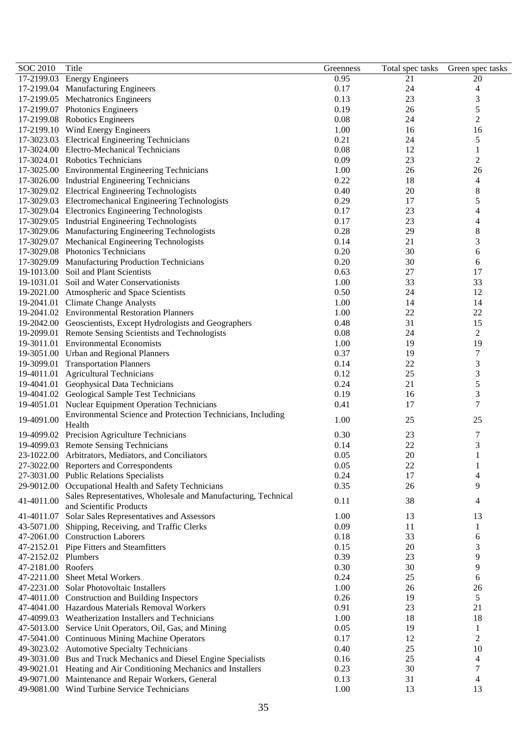| <b>SOC 2010</b>     | Title                                                                 | Greenness | Total spec tasks | Green spec tasks         |
|---------------------|-----------------------------------------------------------------------|-----------|------------------|--------------------------|
|                     | 17-2199.03 Energy Engineers                                           | 0.95      | 21               | 20                       |
|                     | 17-2199.04 Manufacturing Engineers                                    | 0.17      | 24               | 4                        |
|                     | 17-2199.05 Mechatronics Engineers                                     | 0.13      | 23               | 3                        |
|                     | 17-2199.07 Photonics Engineers                                        | 0.19      | 26               | 5                        |
|                     | 17-2199.08 Robotics Engineers                                         | 0.08      | 24               | $\overline{c}$           |
|                     | 17-2199.10 Wind Energy Engineers                                      | 1.00      | 16               | 16                       |
|                     | 17-3023.03 Electrical Engineering Technicians                         | 0.21      | 24               | $\mathfrak s$            |
|                     | 17-3024.00 Electro-Mechanical Technicians                             | 0.08      | 12               | $\mathbf{1}$             |
|                     | 17-3024.01 Robotics Technicians                                       | 0.09      | 23               | $\overline{2}$           |
|                     | 17-3025.00 Environmental Engineering Technicians                      | 1.00      | 26               | 26                       |
|                     | 17-3026.00 Industrial Engineering Technicians                         | 0.22      | 18               | $\overline{4}$           |
|                     | 17-3029.02 Electrical Engineering Technologists                       | 0.40      | 20               | $\,$ 8 $\,$              |
|                     | 17-3029.03 Electromechanical Engineering Technologists                | 0.29      | 17               | 5                        |
|                     | 17-3029.04 Electronics Engineering Technologists                      | 0.17      | 23               | $\overline{4}$           |
|                     | 17-3029.05 Industrial Engineering Technologists                       | 0.17      | 23               | $\overline{\mathcal{L}}$ |
|                     | 17-3029.06 Manufacturing Engineering Technologists                    | 0.28      | 29               | $\,$ 8 $\,$              |
|                     | 17-3029.07 Mechanical Engineering Technologists                       | 0.14      | 21               | 3                        |
|                     | 17-3029.08 Photonics Technicians                                      | 0.20      | 30               | 6                        |
|                     | 17-3029.09 Manufacturing Production Technicians                       | 0.20      | 30               | 6                        |
|                     | 19-1013.00 Soil and Plant Scientists                                  | 0.63      | 27               | 17                       |
|                     | 19-1031.01 Soil and Water Conservationists                            | 1.00      | 33               | 33                       |
|                     | 19-2021.00 Atmospheric and Space Scientists                           | 0.50      | 24               | 12                       |
|                     | 19-2041.01 Climate Change Analysts                                    | 1.00      | 14               | 14                       |
|                     | 19-2041.02 Environmental Restoration Planners                         | 1.00      | 22               | 22                       |
|                     | 19-2042.00 Geoscientists, Except Hydrologists and Geographers         | 0.48      | 31               | 15                       |
|                     | 19-2099.01 Remote Sensing Scientists and Technologists                | 0.08      | 24               | $\sqrt{2}$               |
|                     | 19-3011.01 Environmental Economists                                   | 1.00      | 19               | 19                       |
|                     |                                                                       |           | 19               |                          |
|                     | 19-3051.00 Urban and Regional Planners                                | 0.37      |                  | $\sqrt{ }$               |
|                     | 19-3099.01 Transportation Planners                                    | 0.14      | 22               | $\mathfrak{Z}$           |
|                     | 19-4011.01 Agricultural Technicians                                   | 0.12      | 25               | 3                        |
|                     | 19-4041.01 Geophysical Data Technicians                               | 0.24      | 21               | 5                        |
|                     | 19-4041.02 Geological Sample Test Technicians                         | 0.19      | 16               | $\overline{3}$           |
|                     | 19-4051.01 Nuclear Equipment Operation Technicians                    | 0.41      | 17               | $\overline{7}$           |
| 19-4091.00          | Environmental Science and Protection Technicians, Including<br>Health | 1.00      | 25               | 25                       |
|                     | 19-4099.02 Precision Agriculture Technicians                          | 0.30      | 23               | $\overline{7}$           |
|                     | 19-4099.03 Remote Sensing Technicians                                 | 0.14      | 22               | $\sqrt{3}$               |
|                     | 23-1022.00 Arbitrators, Mediators, and Conciliators                   | 0.05      | 20               | $\,1$                    |
|                     | 27-3022.00 Reporters and Correspondents                               | 0.05      | 22               | 1                        |
|                     | 27-3031.00 Public Relations Specialists                               | 0.24      | 17               | 4                        |
|                     | 29-9012.00 Occupational Health and Safety Technicians                 | 0.35      | 26               | 9                        |
| 41-4011.00          | Sales Representatives, Wholesale and Manufacturing, Technical         |           | 38               |                          |
|                     | and Scientific Products                                               | 0.11      |                  | 4                        |
|                     | 41-4011.07 Solar Sales Representatives and Assessors                  | 1.00      | 13               | 13                       |
|                     | 43-5071.00 Shipping, Receiving, and Traffic Clerks                    | 0.09      | 11               | 1                        |
|                     | 47-2061.00 Construction Laborers                                      | 0.18      | 33               | 6                        |
|                     | 47-2152.01 Pipe Fitters and Steamfitters                              | 0.15      | 20               | 3                        |
| 47-2152.02 Plumbers |                                                                       | 0.39      | 23               | 9                        |
| 47-2181.00 Roofers  |                                                                       | 0.30      | 30               | 9                        |
|                     | 47-2211.00 Sheet Metal Workers                                        | 0.24      | 25               | $\sqrt{6}$               |
|                     | 47-2231.00 Solar Photovoltaic Installers                              | 1.00      | 26               | 26                       |
|                     | 47-4011.00 Construction and Building Inspectors                       | 0.26      | 19               | 5                        |
|                     | 47-4041.00 Hazardous Materials Removal Workers                        | 0.91      | 23               | 21                       |
|                     | 47-4099.03 Weatherization Installers and Technicians                  | 1.00      | 18               | 18                       |
|                     | 47-5013.00 Service Unit Operators, Oil, Gas, and Mining               | 0.05      | 19               | $\mathbf{1}$             |
|                     | 47-5041.00 Continuous Mining Machine Operators                        | 0.17      | 12               | $\mathbf{2}$             |
|                     | 49-3023.02 Automotive Specialty Technicians                           | 0.40      | 25               | 10                       |
|                     | 49-3031.00 Bus and Truck Mechanics and Diesel Engine Specialists      | 0.16      | 25               | $\overline{4}$           |
|                     | 49-9021.01 Heating and Air Conditioning Mechanics and Installers      | 0.23      | 30               | $\tau$                   |
|                     | 49-9071.00 Maintenance and Repair Workers, General                    | 0.13      | 31               | 4                        |
|                     | 49-9081.00 Wind Turbine Service Technicians                           | 1.00      | 13               | 13                       |
|                     |                                                                       |           |                  |                          |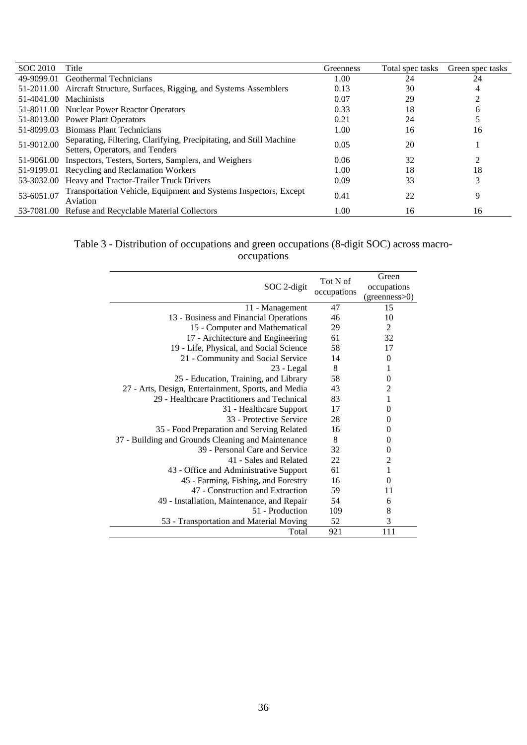| SOC 2010              | Title                                                                                                  | Greenness | Total spec tasks | Green spec tasks |
|-----------------------|--------------------------------------------------------------------------------------------------------|-----------|------------------|------------------|
| 49-9099.01            | Geothermal Technicians                                                                                 | 1.00      | 24               | 24               |
|                       | 51-2011.00 Aircraft Structure, Surfaces, Rigging, and Systems Assemblers                               | 0.13      | 30               |                  |
| 51-4041.00 Machinists |                                                                                                        | 0.07      | 29               |                  |
|                       | 51-8011.00 Nuclear Power Reactor Operators                                                             | 0.33      | 18               | h.               |
|                       | 51-8013.00 Power Plant Operators                                                                       | 0.21      | 24               |                  |
| 51-8099.03            | <b>Biomass Plant Technicians</b>                                                                       | 1.00      | 16               | 16               |
| 51-9012.00            | Separating, Filtering, Clarifying, Precipitating, and Still Machine<br>Setters, Operators, and Tenders | 0.05      | 20               |                  |
|                       | 51-9061.00 Inspectors, Testers, Sorters, Samplers, and Weighers                                        | 0.06      | 32               |                  |
|                       | 51-9199.01 Recycling and Reclamation Workers                                                           | 1.00      | 18               | 18               |
|                       | 53-3032.00 Heavy and Tractor-Trailer Truck Drivers                                                     | 0.09      | 33               |                  |
| 53-6051.07            | Transportation Vehicle, Equipment and Systems Inspectors, Except<br>Aviation                           | 0.41      | 22               | 9                |
|                       | 53-7081.00 Refuse and Recyclable Material Collectors                                                   | 1.00      | 16               | 16               |

#### Table 3 - Distribution of occupations and green occupations (8-digit SOC) across macrooccupations

| SOC 2-digit                                         | Tot N of<br>occupations | Green<br>occupations<br>(greenness>0) |
|-----------------------------------------------------|-------------------------|---------------------------------------|
| 11 - Management                                     | 47                      | 15                                    |
| 13 - Business and Financial Operations              | 46                      | 10                                    |
| 15 - Computer and Mathematical                      | 29                      | $\overline{2}$                        |
| 17 - Architecture and Engineering                   | 61                      | 32                                    |
| 19 - Life, Physical, and Social Science             | 58                      | 17                                    |
| 21 - Community and Social Service                   | 14                      | $\theta$                              |
| $23 - Legal$                                        | 8                       | 1                                     |
| 25 - Education, Training, and Library               | 58                      | $\theta$                              |
| 27 - Arts, Design, Entertainment, Sports, and Media | 43                      | $\overline{2}$                        |
| 29 - Healthcare Practitioners and Technical         | 83                      | 1                                     |
| 31 - Healthcare Support                             | 17                      | $\theta$                              |
| 33 - Protective Service                             | 28                      | $\theta$                              |
| 35 - Food Preparation and Serving Related           | 16                      | $\Omega$                              |
| 37 - Building and Grounds Cleaning and Maintenance  | 8                       | $\theta$                              |
| 39 - Personal Care and Service                      | 32                      | $\theta$                              |
| 41 - Sales and Related                              | 22                      | $\overline{c}$                        |
| 43 - Office and Administrative Support              | 61                      | $\mathbf{1}$                          |
| 45 - Farming, Fishing, and Forestry                 | 16                      | $\Omega$                              |
| 47 - Construction and Extraction                    | 59                      | 11                                    |
| 49 - Installation, Maintenance, and Repair          | 54                      | 6                                     |
| 51 - Production                                     | 109                     | 8                                     |
| 53 - Transportation and Material Moving             | 52                      | 3                                     |
| Total                                               | 921                     | 111                                   |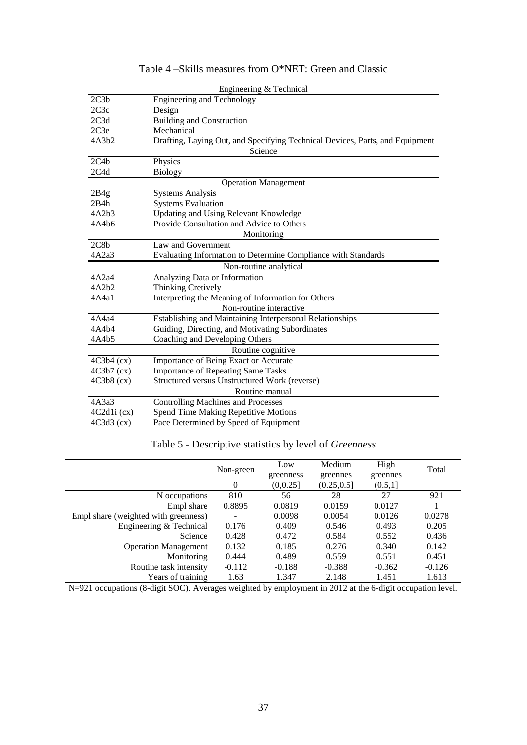<span id="page-36-0"></span>

|              | Engineering & Technical                                                      |  |  |  |  |  |
|--------------|------------------------------------------------------------------------------|--|--|--|--|--|
| 2C3b         | <b>Engineering and Technology</b>                                            |  |  |  |  |  |
| 2C3c         | Design                                                                       |  |  |  |  |  |
| 2C3d         | <b>Building and Construction</b>                                             |  |  |  |  |  |
| 2C3e         | Mechanical                                                                   |  |  |  |  |  |
| 4A3b2        | Drafting, Laying Out, and Specifying Technical Devices, Parts, and Equipment |  |  |  |  |  |
|              | Science                                                                      |  |  |  |  |  |
| 2C4b         | Physics                                                                      |  |  |  |  |  |
| 2C4d         | <b>Biology</b>                                                               |  |  |  |  |  |
|              | <b>Operation Management</b>                                                  |  |  |  |  |  |
| 2B4g         | <b>Systems Analysis</b>                                                      |  |  |  |  |  |
| 2B4h         | <b>Systems Evaluation</b>                                                    |  |  |  |  |  |
| 4A2b3        | <b>Updating and Using Relevant Knowledge</b>                                 |  |  |  |  |  |
| 4A4b6        | Provide Consultation and Advice to Others                                    |  |  |  |  |  |
|              | Monitoring                                                                   |  |  |  |  |  |
| 2C8b         | Law and Government                                                           |  |  |  |  |  |
| 4A2a3        | Evaluating Information to Determine Compliance with Standards                |  |  |  |  |  |
|              | Non-routine analytical                                                       |  |  |  |  |  |
| 4A2a4        | Analyzing Data or Information                                                |  |  |  |  |  |
| 4A2b2        | Thinking Cretively                                                           |  |  |  |  |  |
| 4A4a1        | Interpreting the Meaning of Information for Others                           |  |  |  |  |  |
|              | Non-routine interactive                                                      |  |  |  |  |  |
| 4A4a4        | Establishing and Maintaining Interpersonal Relationships                     |  |  |  |  |  |
| 4A4b4        | Guiding, Directing, and Motivating Subordinates                              |  |  |  |  |  |
| 4A4b5        | Coaching and Developing Others                                               |  |  |  |  |  |
|              | Routine cognitive                                                            |  |  |  |  |  |
| $4C3b4$ (cx) | Importance of Being Exact or Accurate                                        |  |  |  |  |  |
| $4C3b7$ (cx) | <b>Importance of Repeating Same Tasks</b>                                    |  |  |  |  |  |
| $4C3b8$ (cx) | Structured versus Unstructured Work (reverse)                                |  |  |  |  |  |
|              | Routine manual                                                               |  |  |  |  |  |
| 4A3a3        | <b>Controlling Machines and Processes</b>                                    |  |  |  |  |  |
| 4C2d1i(cx)   | Spend Time Making Repetitive Motions                                         |  |  |  |  |  |
| $4C3d3$ (cx) | Pace Determined by Speed of Equipment                                        |  |  |  |  |  |

Table 4 –Skills measures from O\*NET: Green and Classic

# Table 5 - Descriptive statistics by level of *Greenness*

<span id="page-36-1"></span>

|                                      | Non-green | Low<br>greenness | Medium<br>greennes | High<br>greennes | Total    |
|--------------------------------------|-----------|------------------|--------------------|------------------|----------|
|                                      | 0         | (0,0.25]         | (0.25, 0.5]        | (0.5,1]          |          |
| N occupations                        | 810       | 56               | 28                 | 27               | 921      |
| Empl share                           | 0.8895    | 0.0819           | 0.0159             | 0.0127           |          |
| Empl share (weighted with greenness) |           | 0.0098           | 0.0054             | 0.0126           | 0.0278   |
| Engineering & Technical              | 0.176     | 0.409            | 0.546              | 0.493            | 0.205    |
| Science                              | 0.428     | 0.472            | 0.584              | 0.552            | 0.436    |
| <b>Operation Management</b>          | 0.132     | 0.185            | 0.276              | 0.340            | 0.142    |
| Monitoring                           | 0.444     | 0.489            | 0.559              | 0.551            | 0.451    |
| Routine task intensity               | $-0.112$  | $-0.188$         | $-0.388$           | $-0.362$         | $-0.126$ |
| Years of training                    | 1.63      | 1.347            | 2.148              | 1.451            | 1.613    |

N=921 occupations (8-digit SOC). Averages weighted by employment in 2012 at the 6-digit occupation level.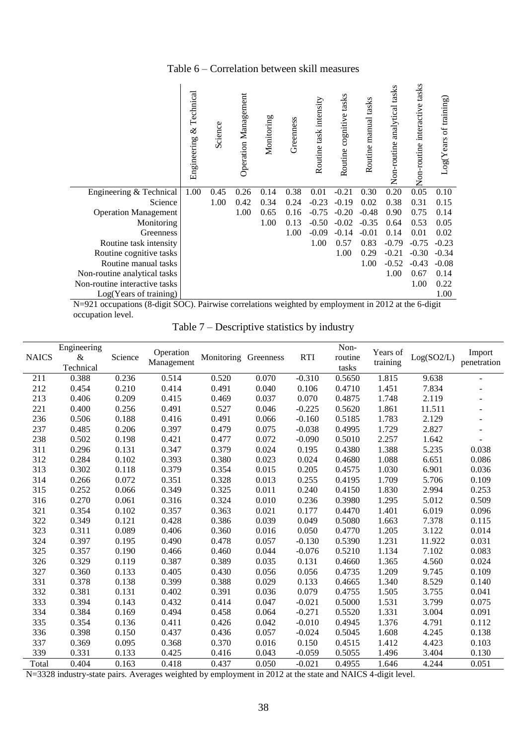#### Table 6 – Correlation between skill measures

<span id="page-37-0"></span>

|                               | Technical<br>$\infty$<br>Engineering | Science | Operation Management | Monitoring | Greenness | Routine task intensity | cognitive tasks<br>Routine | Routine manual tasks | Non-routine analytical tasks | Non-routine interactive tasks | $Log(Years$ of training) |
|-------------------------------|--------------------------------------|---------|----------------------|------------|-----------|------------------------|----------------------------|----------------------|------------------------------|-------------------------------|--------------------------|
| Engineering & Technical       | 1.00                                 | 0.45    | 0.26                 | 0.14       | 0.38      | 0.01                   | $-0.21$                    | 0.30                 | 0.20                         | 0.05                          | 0.10                     |
| Science                       |                                      | 1.00    | 0.42                 | 0.34       | 0.24      | $-0.23$                | $-0.19$                    | 0.02                 | 0.38                         | 0.31                          | 0.15                     |
| <b>Operation Management</b>   |                                      |         | 1.00                 | 0.65       | 0.16      | $-0.75$                | $-0.20$                    | $-0.48$              | 0.90                         | 0.75                          | 0.14                     |
| Monitoring                    |                                      |         |                      | 1.00       | 0.13      | $-0.50$                | $-0.02$                    | $-0.35$              | 0.64                         | 0.53                          | 0.05                     |
| Greenness                     |                                      |         |                      |            | 1.00      | $-0.09$                | $-0.14$                    | $-0.01$              | 0.14                         | 0.01                          | 0.02                     |
| Routine task intensity        |                                      |         |                      |            |           | 1.00                   | 0.57                       | 0.83                 | $-0.79$                      | $-0.75$                       | $-0.23$                  |
| Routine cognitive tasks       |                                      |         |                      |            |           |                        | 1.00                       | 0.29                 | $-0.21$                      | $-0.30$                       | $-0.34$                  |
| Routine manual tasks          |                                      |         |                      |            |           |                        |                            | 1.00                 | $-0.52$                      | $-0.43$                       | $-0.08$                  |
| Non-routine analytical tasks  |                                      |         |                      |            |           |                        |                            |                      | 1.00                         | 0.67                          | 0.14                     |
| Non-routine interactive tasks |                                      |         |                      |            |           |                        |                            |                      |                              | 1.00                          | 0.22                     |
| Log(Years of training)        |                                      |         |                      |            |           |                        |                            |                      |                              |                               | 1.00                     |

<span id="page-37-1"></span>N=921 occupations (8-digit SOC). Pairwise correlations weighted by employment in 2012 at the 6-digit occupation level.

Table 7 – Descriptive statistics by industry

| <b>NAICS</b> | Engineering<br>$\&$<br>Technical | Science | Operation<br>Management | Monitoring | Greenness | <b>RTI</b> | Non-<br>routine<br>tasks | Years of<br>training | Log(SO2/L) | Import<br>penetration |
|--------------|----------------------------------|---------|-------------------------|------------|-----------|------------|--------------------------|----------------------|------------|-----------------------|
| 211          | 0.388                            | 0.236   | 0.514                   | 0.520      | 0.070     | $-0.310$   | 0.5650                   | 1.815                | 9.638      |                       |
| 212          | 0.454                            | 0.210   | 0.414                   | 0.491      | 0.040     | 0.106      | 0.4710                   | 1.451                | 7.834      |                       |
| 213          | 0.406                            | 0.209   | 0.415                   | 0.469      | 0.037     | 0.070      | 0.4875                   | 1.748                | 2.119      |                       |
| 221          | 0.400                            | 0.256   | 0.491                   | 0.527      | 0.046     | $-0.225$   | 0.5620                   | 1.861                | 11.511     |                       |
| 236          | 0.506                            | 0.188   | 0.416                   | 0.491      | 0.066     | $-0.160$   | 0.5185                   | 1.783                | 2.129      |                       |
| 237          | 0.485                            | 0.206   | 0.397                   | 0.479      | 0.075     | $-0.038$   | 0.4995                   | 1.729                | 2.827      |                       |
| 238          | 0.502                            | 0.198   | 0.421                   | 0.477      | 0.072     | $-0.090$   | 0.5010                   | 2.257                | 1.642      |                       |
| 311          | 0.296                            | 0.131   | 0.347                   | 0.379      | 0.024     | 0.195      | 0.4380                   | 1.388                | 5.235      | 0.038                 |
| 312          | 0.284                            | 0.102   | 0.393                   | 0.380      | 0.023     | 0.024      | 0.4680                   | 1.088                | 6.651      | 0.086                 |
| 313          | 0.302                            | 0.118   | 0.379                   | 0.354      | 0.015     | 0.205      | 0.4575                   | 1.030                | 6.901      | 0.036                 |
| 314          | 0.266                            | 0.072   | 0.351                   | 0.328      | 0.013     | 0.255      | 0.4195                   | 1.709                | 5.706      | 0.109                 |
| 315          | 0.252                            | 0.066   | 0.349                   | 0.325      | 0.011     | 0.240      | 0.4150                   | 1.830                | 2.994      | 0.253                 |
| 316          | 0.270                            | 0.061   | 0.316                   | 0.324      | 0.010     | 0.236      | 0.3980                   | 1.295                | 5.012      | 0.509                 |
| 321          | 0.354                            | 0.102   | 0.357                   | 0.363      | 0.021     | 0.177      | 0.4470                   | 1.401                | 6.019      | 0.096                 |
| 322          | 0.349                            | 0.121   | 0.428                   | 0.386      | 0.039     | 0.049      | 0.5080                   | 1.663                | 7.378      | 0.115                 |
| 323          | 0.311                            | 0.089   | 0.406                   | 0.360      | 0.016     | 0.050      | 0.4770                   | 1.205                | 3.122      | 0.014                 |
| 324          | 0.397                            | 0.195   | 0.490                   | 0.478      | 0.057     | $-0.130$   | 0.5390                   | 1.231                | 11.922     | 0.031                 |
| 325          | 0.357                            | 0.190   | 0.466                   | 0.460      | 0.044     | $-0.076$   | 0.5210                   | 1.134                | 7.102      | 0.083                 |
| 326          | 0.329                            | 0.119   | 0.387                   | 0.389      | 0.035     | 0.131      | 0.4660                   | 1.365                | 4.560      | 0.024                 |
| 327          | 0.360                            | 0.133   | 0.405                   | 0.430      | 0.056     | 0.056      | 0.4735                   | 1.209                | 9.745      | 0.109                 |
| 331          | 0.378                            | 0.138   | 0.399                   | 0.388      | 0.029     | 0.133      | 0.4665                   | 1.340                | 8.529      | 0.140                 |
| 332          | 0.381                            | 0.131   | 0.402                   | 0.391      | 0.036     | 0.079      | 0.4755                   | 1.505                | 3.755      | 0.041                 |
| 333          | 0.394                            | 0.143   | 0.432                   | 0.414      | 0.047     | $-0.021$   | 0.5000                   | 1.531                | 3.799      | 0.075                 |
| 334          | 0.384                            | 0.169   | 0.494                   | 0.458      | 0.064     | $-0.271$   | 0.5520                   | 1.331                | 3.004      | 0.091                 |
| 335          | 0.354                            | 0.136   | 0.411                   | 0.426      | 0.042     | $-0.010$   | 0.4945                   | 1.376                | 4.791      | 0.112                 |
| 336          | 0.398                            | 0.150   | 0.437                   | 0.436      | 0.057     | $-0.024$   | 0.5045                   | 1.608                | 4.245      | 0.138                 |
| 337          | 0.369                            | 0.095   | 0.368                   | 0.370      | 0.016     | 0.150      | 0.4515                   | 1.412                | 4.423      | 0.103                 |
| 339          | 0.331                            | 0.133   | 0.425                   | 0.416      | 0.043     | $-0.059$   | 0.5055                   | 1.496                | 3.404      | 0.130                 |
| Total        | 0.404                            | 0.163   | 0.418                   | 0.437      | 0.050     | $-0.021$   | 0.4955                   | 1.646                | 4.244      | 0.051                 |

N=3328 industry-state pairs. Averages weighted by employment in 2012 at the state and NAICS 4-digit level.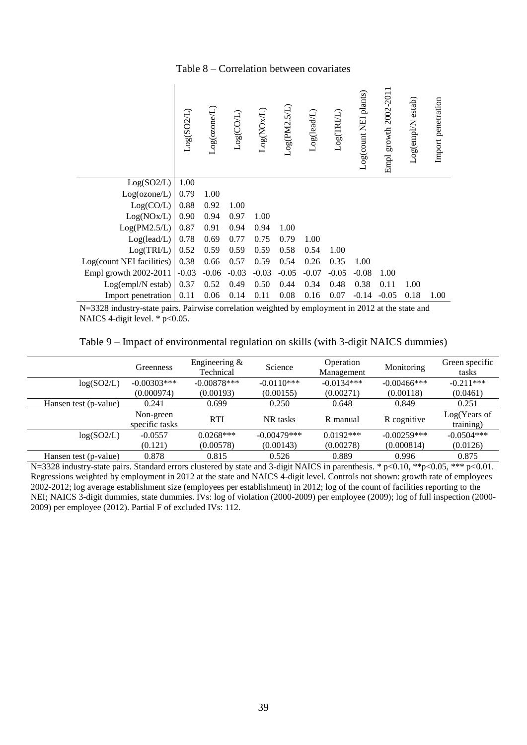#### Table 8 – Correlation between covariates

<span id="page-38-0"></span>

|                           | Log(SO2L) | Log(oxone/L) | Log(COL) | Log(NOxL) | Log(PM2.5/L) | Log(leadL) | Log(TRIL) | Log(count NEI plants) | Empl growth 2002-2011 | Log(empl/N estab) | Import penetration |
|---------------------------|-----------|--------------|----------|-----------|--------------|------------|-----------|-----------------------|-----------------------|-------------------|--------------------|
| Log(SO2/L)                | 1.00      |              |          |           |              |            |           |                       |                       |                   |                    |
| Log(ozone/L)              | 0.79      | 1.00         |          |           |              |            |           |                       |                       |                   |                    |
| Log(CO/L)                 | 0.88      | 0.92         | 1.00     |           |              |            |           |                       |                       |                   |                    |
| Log(NOx/L)                | 0.90      | 0.94         | 0.97     | 1.00      |              |            |           |                       |                       |                   |                    |
| Log(PM2.5/L)              | 0.87      | 0.91         | 0.94     | 0.94      | 1.00         |            |           |                       |                       |                   |                    |
| Log(lead/L)               | 0.78      | 0.69         | 0.77     | 0.75      | 0.79         | 1.00       |           |                       |                       |                   |                    |
| Log(TRI/L)                | 0.52      | 0.59         | 0.59     | 0.59      | 0.58         | 0.54       | 1.00      |                       |                       |                   |                    |
| Log(count NEI facilities) | 0.38      | 0.66         | 0.57     | 0.59      | 0.54         | 0.26       | 0.35      | 1.00                  |                       |                   |                    |
| Empl growth 2002-2011     | $-0.03$   | $-0.06$      | $-0.03$  | $-0.03$   | $-0.05$      | $-0.07$    | $-0.05$   | $-0.08$               | 1.00                  |                   |                    |
| Log(empl/N estab)         | 0.37      | 0.52         | 0.49     | 0.50      | 0.44         | 0.34       | 0.48      | 0.38                  | 0.11                  | 1.00              |                    |
| Import penetration        | 0.11      | 0.06         | 0.14     | 0.11      | 0.08         | 0.16       | 0.07      | $-0.14$               | $-0.05$               | 0.18              | 1.00               |

N=3328 industry-state pairs. Pairwise correlation weighted by employment in 2012 at the state and NAICS 4-digit level.  $*$  p<0.05.

Table 9 – Impact of environmental regulation on skills (with 3-digit NAICS dummies)

<span id="page-38-1"></span>

|                       | Greenness                   | Engineering $\&$<br>Technical | Operation<br>Science<br>Management |             | Monitoring     | Green specific<br>tasks   |
|-----------------------|-----------------------------|-------------------------------|------------------------------------|-------------|----------------|---------------------------|
| log(SO2/L)            | $-0.00303***$               | $-0.00878***$                 | $-0.0134***$<br>$-0.0110***$       |             | $-0.00466$ *** | $-0.211***$               |
|                       | (0.000974)                  | (0.00193)                     | (0.00155)                          | (0.00271)   | (0.00118)      | (0.0461)                  |
| Hansen test (p-value) | 0.241                       | 0.699                         | 0.250                              | 0.648       | 0.849          | 0.251                     |
|                       | Non-green<br>specific tasks | <b>RTI</b>                    | NR tasks                           | R manual    | R cognitive    | Log(Years of<br>training) |
| log(SO2/L)            | $-0.0557$                   | $0.0268***$                   | $-0.00479***$                      | $0.0192***$ | $-0.00259***$  | $-0.0504***$              |
|                       | (0.121)                     | (0.00578)                     | (0.00143)                          | (0.00278)   | (0.000814)     | (0.0126)                  |
| Hansen test (p-value) | 0.878                       | 0.815                         | 0.526                              | 0.889       | 0.996          | 0.875                     |

N=3328 industry-state pairs. Standard errors clustered by state and 3-digit NAICS in parenthesis. \* p<0.10, \*\*p<0.05, \*\*\* p<0.01. Regressions weighted by employment in 2012 at the state and NAICS 4-digit level. Controls not shown: growth rate of employees 2002-2012; log average establishment size (employees per establishment) in 2012; log of the count of facilities reporting to the NEI; NAICS 3-digit dummies, state dummies. IVs: log of violation (2000-2009) per employee (2009); log of full inspection (2000- 2009) per employee (2012). Partial F of excluded IVs: 112.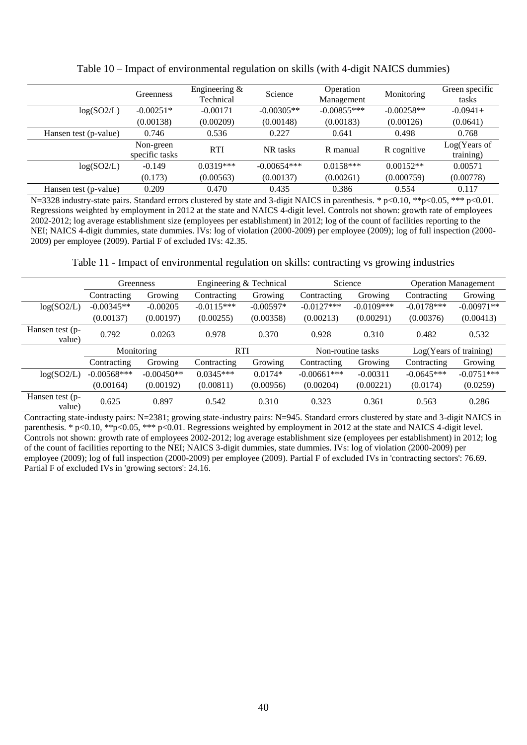|                       | Greenness                   | Engineering $&$<br>Technical | Science       | Operation<br>Management | Monitoring   | Green specific<br>tasks   |
|-----------------------|-----------------------------|------------------------------|---------------|-------------------------|--------------|---------------------------|
| log(SO2/L)            | $-0.00251*$                 | $-0.00171$                   | $-0.00305**$  | $-0.00855***$           | $-0.00258**$ | $-0.0941+$                |
|                       | (0.00138)                   | (0.00209)                    | (0.00148)     | (0.00183)               | (0.00126)    | (0.0641)                  |
| Hansen test (p-value) | 0.746                       | 0.536                        | 0.227         | 0.641                   | 0.498        | 0.768                     |
|                       | Non-green<br>specific tasks | <b>RTI</b>                   | NR tasks      | R manual                | R cognitive  | Log(Years of<br>training) |
| log(SO2/L)            | $-0.149$                    | $0.0319***$                  | $-0.00654***$ | $0.0158***$             | $0.00152**$  | 0.00571                   |
|                       | (0.173)                     | (0.00563)                    | (0.00137)     | (0.00261)               | (0.000759)   | (0.00778)                 |
| Hansen test (p-value) | 0.209                       | 0.470                        | 0.435         | 0.386                   | 0.554        | 0.117                     |

<span id="page-39-0"></span>Table 10 – Impact of environmental regulation on skills (with 4-digit NAICS dummies)

N=3328 industry-state pairs. Standard errors clustered by state and 3-digit NAICS in parenthesis. \* p<0.10, \*\*p<0.05, \*\*\* p<0.01. Regressions weighted by employment in 2012 at the state and NAICS 4-digit level. Controls not shown: growth rate of employees 2002-2012; log average establishment size (employees per establishment) in 2012; log of the count of facilities reporting to the NEI; NAICS 4-digit dummies, state dummies. IVs: log of violation (2000-2009) per employee (2009); log of full inspection (2000- 2009) per employee (2009). Partial F of excluded IVs: 42.35.

<span id="page-39-1"></span>Table 11 - Impact of environmental regulation on skills: contracting vs growing industries

|                           |               | Greenness    | Engineering & Technical |             | Science           |              | <b>Operation Management</b> |              |
|---------------------------|---------------|--------------|-------------------------|-------------|-------------------|--------------|-----------------------------|--------------|
|                           | Contracting   | Growing      | Contracting             | Growing     | Contracting       | Growing      | Contracting                 | Growing      |
| log(SO2/L)                | $-0.00345**$  | $-0.00205$   | $-0.0115***$            | $-0.00597*$ | $-0.0127***$      | $-0.0109***$ | $-0.0178***$                | $-0.00971**$ |
|                           | (0.00137)     | (0.00197)    | (0.00255)               | (0.00358)   | (0.00213)         | (0.00291)    | (0.00376)                   | (0.00413)    |
| Hansen test (p-<br>value) | 0.792         | 0.0263       | 0.978                   | 0.370       | 0.928             | 0.310        | 0.482                       | 0.532        |
|                           |               | Monitoring   | <b>RTI</b>              |             | Non-routine tasks |              | Log(Years of training)      |              |
|                           | Contracting   | Growing      | Contracting             | Growing     | Contracting       | Growing      | Contracting                 | Growing      |
| log(SO2/L)                | $-0.00568***$ | $-0.00450**$ | $0.0345***$             | $0.0174*$   | $-0.00661***$     | $-0.00311$   | $-0.0645***$                | $-0.0751***$ |
|                           | (0.00164)     | (0.00192)    | (0.00811)               | (0.00956)   | (0.00204)         | (0.00221)    | (0.0174)                    | (0.0259)     |
| Hansen test (p-           | 0.625         | 0.897        | 0.542                   | 0.310       | 0.323             | 0.361        | 0.563                       | 0.286        |

Contracting state-industy pairs: N=2381; growing state-industry pairs: N=945. Standard errors clustered by state and 3-digit NAICS in parenthesis. \* p<0.10, \*\*p<0.05, \*\*\* p<0.01. Regressions weighted by employment in 2012 at the state and NAICS 4-digit level. Controls not shown: growth rate of employees 2002-2012; log average establishment size (employees per establishment) in 2012; log of the count of facilities reporting to the NEI; NAICS 3-digit dummies, state dummies. IVs: log of violation (2000-2009) per employee (2009); log of full inspection (2000-2009) per employee (2009). Partial F of excluded IVs in 'contracting sectors': 76.69. Partial F of excluded IVs in 'growing sectors': 24.16.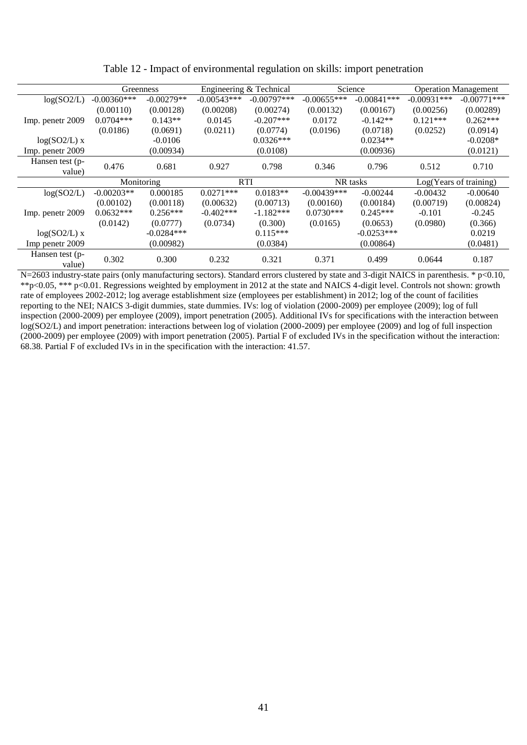<span id="page-40-0"></span>

|                           | Greenness                |              |               | Engineering & Technical |               | Science       |                        | <b>Operation Management</b> |
|---------------------------|--------------------------|--------------|---------------|-------------------------|---------------|---------------|------------------------|-----------------------------|
| log(SO2/L)                | $-0.00360***$            | $-0.00279**$ | $-0.00543***$ | $-0.00797***$           | $-0.00655***$ | $-0.00841***$ | $-0.00931***$          | $-0.00771$ ***              |
|                           | (0.00110)                | (0.00128)    | (0.00208)     | (0.00274)               | (0.00132)     | (0.00167)     | (0.00256)              | (0.00289)                   |
| Imp. penetr 2009          | $0.0704***$              | $0.143**$    | 0.0145        | $-0.207***$             | 0.0172        | $-0.142**$    | $0.121***$             | $0.262***$                  |
|                           | (0.0186)                 | (0.0691)     | (0.0211)      | (0.0774)                | (0.0196)      | (0.0718)      | (0.0252)               | (0.0914)                    |
| $log(SO2/L)$ x            |                          | $-0.0106$    |               | $0.0326***$             |               | $0.0234**$    |                        | $-0.0208*$                  |
| Imp. penetr 2009          |                          | (0.00934)    |               | (0.0108)                |               | (0.00936)     |                        | (0.0121)                    |
| Hansen test (p-           | 0.476                    | 0.681        | 0.927         | 0.798                   | 0.346         | 0.796         | 0.512                  | 0.710                       |
| value)                    |                          |              |               |                         |               |               |                        |                             |
|                           | <b>RTI</b><br>Monitoring |              |               |                         | NR tasks      |               | Log(Years of training) |                             |
| log(SO2/L)                | $-0.00203**$             | 0.000185     | $0.0271***$   | $0.0183**$              | $-0.00439***$ | $-0.00244$    | $-0.00432$             | $-0.00640$                  |
|                           | (0.00102)                | (0.00118)    | (0.00632)     | (0.00713)               | (0.00160)     | (0.00184)     | (0.00719)              | (0.00824)                   |
| Imp. penetr 2009          | $0.0632***$              | $0.256***$   | $-0.402$ ***  | $-1.182***$             | $0.0730***$   | $0.245***$    | $-0.101$               | $-0.245$                    |
|                           | (0.0142)                 | (0.0777)     | (0.0734)      | (0.300)                 | (0.0165)      | (0.0653)      | (0.0980)               | (0.366)                     |
| $log(SO2/L)$ x            |                          | $-0.0284***$ |               | $0.115***$              |               | $-0.0253***$  |                        | 0.0219                      |
| Imp penetr 2009           |                          | (0.00982)    |               | (0.0384)                |               | (0.00864)     |                        | (0.0481)                    |
| Hansen test (p-<br>value) | 0.302                    | 0.300        | 0.232         | 0.321                   | 0.371         | 0.499         | 0.0644                 | 0.187                       |

Table 12 - Impact of environmental regulation on skills: import penetration

N=2603 industry-state pairs (only manufacturing sectors). Standard errors clustered by state and 3-digit NAICS in parenthesis. \* p<0.10, \*\*p<0.05, \*\*\* p<0.01. Regressions weighted by employment in 2012 at the state and NAICS 4-digit level. Controls not shown: growth rate of employees 2002-2012; log average establishment size (employees per establishment) in 2012; log of the count of facilities reporting to the NEI; NAICS 3-digit dummies, state dummies. IVs: log of violation (2000-2009) per employee (2009); log of full inspection (2000-2009) per employee (2009), import penetration (2005). Additional IVs for specifications with the interaction between log(SO2/L) and import penetration: interactions between log of violation (2000-2009) per employee (2009) and log of full inspection (2000-2009) per employee (2009) with import penetration (2005). Partial F of excluded IVs in the specification without the interaction: 68.38. Partial F of excluded IVs in in the specification with the interaction: 41.57.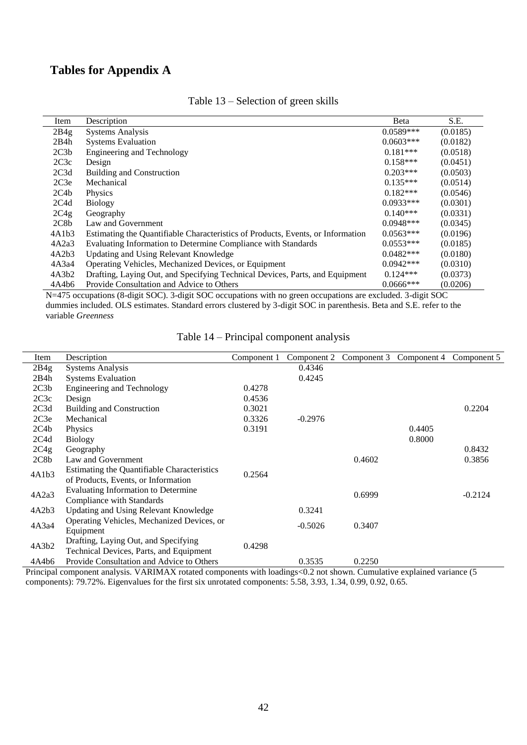# **Tables for Appendix A**

<span id="page-41-0"></span>

| Item  | Description                                                                     | Beta        | S.E.     |
|-------|---------------------------------------------------------------------------------|-------------|----------|
| 2B4g  | <b>Systems Analysis</b>                                                         | $0.0589***$ | (0.0185) |
| 2B4h  | <b>Systems Evaluation</b>                                                       | $0.0603***$ | (0.0182) |
| 2C3b  | Engineering and Technology                                                      | $0.181***$  | (0.0518) |
| 2C3c  | Design                                                                          | $0.158***$  | (0.0451) |
| 2C3d  | <b>Building and Construction</b>                                                | $0.203***$  | (0.0503) |
| 2C3e  | Mechanical                                                                      | $0.135***$  | (0.0514) |
| 2C4b  | Physics                                                                         | $0.182***$  | (0.0546) |
| 2C4d  | <b>Biology</b>                                                                  | $0.0933***$ | (0.0301) |
| 2C4g  | Geography                                                                       | $0.140***$  | (0.0331) |
| 2C8b  | Law and Government                                                              | $0.0948***$ | (0.0345) |
| 4A1b3 | Estimating the Quantifiable Characteristics of Products, Events, or Information | $0.0563***$ | (0.0196) |
| 4A2a3 | Evaluating Information to Determine Compliance with Standards                   | $0.0553***$ | (0.0185) |
| 4A2b3 | Updating and Using Relevant Knowledge                                           | $0.0482***$ | (0.0180) |
| 4A3a4 | Operating Vehicles, Mechanized Devices, or Equipment                            | $0.0942***$ | (0.0310) |
| 4A3b2 | Drafting, Laying Out, and Specifying Technical Devices, Parts, and Equipment    | $0.124***$  | (0.0373) |
| 4A4b6 | Provide Consultation and Advice to Others                                       | $0.0666***$ | (0.0206) |

#### Table 13 – Selection of green skills

N=475 occupations (8-digit SOC). 3-digit SOC occupations with no green occupations are excluded. 3-digit SOC dummies included. OLS estimates. Standard errors clustered by 3-digit SOC in parenthesis. Beta and S.E. refer to the variable *Greenness*

<span id="page-41-1"></span>

| Item  | Description                                 | Component 1 | Component 2 |        | Component 3 Component 4 | Component 5 |
|-------|---------------------------------------------|-------------|-------------|--------|-------------------------|-------------|
| 2B4g  | <b>Systems Analysis</b>                     |             | 0.4346      |        |                         |             |
| 2B4h  | <b>Systems Evaluation</b>                   |             | 0.4245      |        |                         |             |
| 2C3b  | <b>Engineering and Technology</b>           | 0.4278      |             |        |                         |             |
| 2C3c  | Design                                      | 0.4536      |             |        |                         |             |
| 2C3d  | <b>Building and Construction</b>            | 0.3021      |             |        |                         | 0.2204      |
| 2C3e  | Mechanical                                  | 0.3326      | $-0.2976$   |        |                         |             |
| 2C4b  | Physics                                     | 0.3191      |             |        | 0.4405                  |             |
| 2C4d  | <b>Biology</b>                              |             |             |        | 0.8000                  |             |
| 2C4g  | Geography                                   |             |             |        |                         | 0.8432      |
| 2C8b  | Law and Government                          |             |             | 0.4602 |                         | 0.3856      |
| 4A1b3 | Estimating the Quantifiable Characteristics | 0.2564      |             |        |                         |             |
|       | of Products, Events, or Information         |             |             |        |                         |             |
| 4A2a3 | Evaluating Information to Determine         |             |             | 0.6999 |                         | $-0.2124$   |
|       | Compliance with Standards                   |             |             |        |                         |             |
| 4A2b3 | Updating and Using Relevant Knowledge       |             | 0.3241      |        |                         |             |
| 4A3a4 | Operating Vehicles, Mechanized Devices, or  |             | $-0.5026$   | 0.3407 |                         |             |
|       | Equipment                                   |             |             |        |                         |             |
| 4A3b2 | Drafting, Laying Out, and Specifying        | 0.4298      |             |        |                         |             |
|       | Technical Devices, Parts, and Equipment     |             |             |        |                         |             |
| 4A4b6 | Provide Consultation and Advice to Others   |             | 0.3535      | 0.2250 |                         |             |

#### Table 14 – Principal component analysis

Principal component analysis. VARIMAX rotated components with loadings<0.2 not shown. Cumulative explained variance (5 components): 79.72%. Eigenvalues for the first six unrotated components: 5.58, 3.93, 1.34, 0.99, 0.92, 0.65.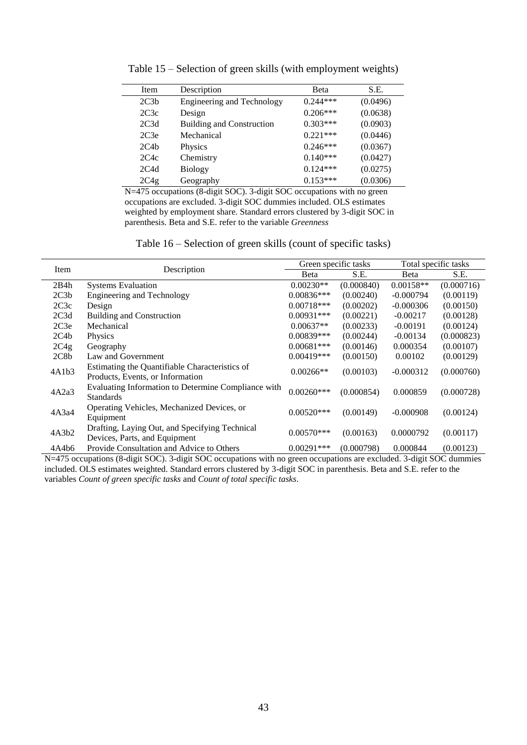<span id="page-42-0"></span>

| Item             | Description                       | Beta       | S.E.     |
|------------------|-----------------------------------|------------|----------|
| 2C3h             | <b>Engineering and Technology</b> | $0.244***$ | (0.0496) |
| 2C3c             | Design                            | $0.206***$ | (0.0638) |
| 2C <sub>3d</sub> | <b>Building and Construction</b>  | $0.303***$ | (0.0903) |
| 2C3e             | Mechanical                        | $0.221***$ | (0.0446) |
| 2C4b             | Physics                           | $0.246***$ | (0.0367) |
| 2C4c             | Chemistry                         | $0.140***$ | (0.0427) |
| 2C4d             | <b>Biology</b>                    | $0.124***$ | (0.0275) |
| 2C4g             | Geography                         | $0.153***$ | (0.0306) |

Table 15 – Selection of green skills (with employment weights)

N=475 occupations (8-digit SOC). 3-digit SOC occupations with no green occupations are excluded. 3-digit SOC dummies included. OLS estimates weighted by employment share. Standard errors clustered by 3-digit SOC in parenthesis. Beta and S.E. refer to the variable *Greenness*

<span id="page-42-1"></span>

| Item             | Description                                                                        |              | Green specific tasks | Total specific tasks |            |  |
|------------------|------------------------------------------------------------------------------------|--------------|----------------------|----------------------|------------|--|
|                  |                                                                                    | Beta         | S.E.                 | Beta                 | S.E.       |  |
| 2B4h             | <b>Systems Evaluation</b>                                                          | $0.00230**$  | (0.000840)           | $0.00158**$          | (0.000716) |  |
| 2C3b             | Engineering and Technology                                                         | $0.00836***$ | (0.00240)            | $-0.000794$          | (0.00119)  |  |
| 2C3c             | Design                                                                             | $0.00718***$ | (0.00202)            | $-0.000306$          | (0.00150)  |  |
| 2C3d             | <b>Building and Construction</b>                                                   | $0.00931***$ | (0.00221)            | $-0.00217$           | (0.00128)  |  |
| 2C3e             | Mechanical                                                                         | $0.00637**$  | (0.00233)            | $-0.00191$           | (0.00124)  |  |
| 2C4b             | Physics                                                                            | $0.00839***$ | (0.00244)            | $-0.00134$           | (0.000823) |  |
| 2C4g             | Geography                                                                          | $0.00681***$ | (0.00146)            | 0.000354             | (0.00107)  |  |
| 2C8 <sub>b</sub> | Law and Government                                                                 | $0.00419***$ | (0.00150)            | 0.00102              | (0.00129)  |  |
| 4A1b3            | Estimating the Quantifiable Characteristics of<br>Products, Events, or Information | $0.00266**$  | (0.00103)            | $-0.000312$          | (0.000760) |  |
| 4A2a3            | Evaluating Information to Determine Compliance with<br><b>Standards</b>            | $0.00260***$ | (0.000854)           | 0.000859             | (0.000728) |  |
| 4A3a4            | Operating Vehicles, Mechanized Devices, or<br>Equipment                            | $0.00520***$ | (0.00149)            | $-0.000908$          | (0.00124)  |  |
| 4A3b2            | Drafting, Laying Out, and Specifying Technical<br>Devices, Parts, and Equipment    | $0.00570***$ | (0.00163)            | 0.0000792            | (0.00117)  |  |
| 4A4b6            | Provide Consultation and Advice to Others                                          | $0.00291***$ | (0.000798)           | 0.000844             | (0.00123)  |  |

N=475 occupations (8-digit SOC). 3-digit SOC occupations with no green occupations are excluded. 3-digit SOC dummies included. OLS estimates weighted. Standard errors clustered by 3-digit SOC in parenthesis. Beta and S.E. refer to the variables *Count of green specific tasks* and *Count of total specific tasks*.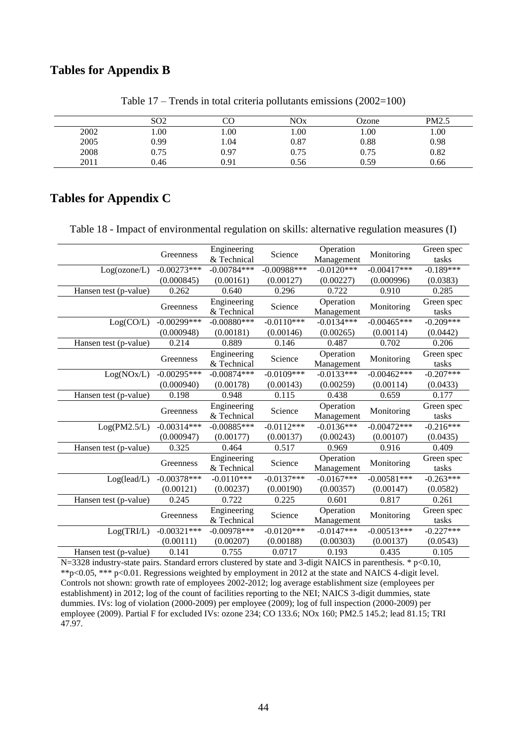# **Tables for Appendix B**

<span id="page-43-1"></span>

|      | SO <sub>2</sub> |      | NOx       | Ozone | PM2.5 |
|------|-----------------|------|-----------|-------|-------|
| 2002 | 00.1            | 00.1 | .00.      | 00.1  | 00.1  |
| 2005 | 0.99            | 1.04 | $_{0.87}$ | 0.88  | 0.98  |
| 2008 | 0.75            | 0.97 | 0.75      | 0.75  | 0.82  |
| 2011 | 0.46            | 0.91 | 0.56      | 0.59  | 0.66  |

Table 17 – Trends in total criteria pollutants emissions (2002=100)

# **Tables for Appendix C**

<span id="page-43-0"></span>Table 18 - Impact of environmental regulation on skills: alternative regulation measures (I)

| Greenness      | Engineering                                                                                                                                                                   | Science                                                                                                                                                                                              | Operation                                                                                                                                           | Monitoring                                                                                                                                                                 | Green spec<br>tasks                                                                                                                                               |
|----------------|-------------------------------------------------------------------------------------------------------------------------------------------------------------------------------|------------------------------------------------------------------------------------------------------------------------------------------------------------------------------------------------------|-----------------------------------------------------------------------------------------------------------------------------------------------------|----------------------------------------------------------------------------------------------------------------------------------------------------------------------------|-------------------------------------------------------------------------------------------------------------------------------------------------------------------|
|                |                                                                                                                                                                               |                                                                                                                                                                                                      |                                                                                                                                                     |                                                                                                                                                                            | $-0.189***$                                                                                                                                                       |
|                |                                                                                                                                                                               |                                                                                                                                                                                                      |                                                                                                                                                     |                                                                                                                                                                            | (0.0383)                                                                                                                                                          |
|                |                                                                                                                                                                               |                                                                                                                                                                                                      |                                                                                                                                                     |                                                                                                                                                                            | 0.285                                                                                                                                                             |
|                |                                                                                                                                                                               |                                                                                                                                                                                                      |                                                                                                                                                     |                                                                                                                                                                            |                                                                                                                                                                   |
| Greenness      |                                                                                                                                                                               | Science                                                                                                                                                                                              |                                                                                                                                                     | Monitoring                                                                                                                                                                 | Green spec                                                                                                                                                        |
|                |                                                                                                                                                                               |                                                                                                                                                                                                      |                                                                                                                                                     |                                                                                                                                                                            | tasks                                                                                                                                                             |
|                |                                                                                                                                                                               |                                                                                                                                                                                                      |                                                                                                                                                     |                                                                                                                                                                            | $-0.209***$                                                                                                                                                       |
|                |                                                                                                                                                                               |                                                                                                                                                                                                      |                                                                                                                                                     |                                                                                                                                                                            | (0.0442)                                                                                                                                                          |
|                |                                                                                                                                                                               |                                                                                                                                                                                                      |                                                                                                                                                     |                                                                                                                                                                            | 0.206                                                                                                                                                             |
|                |                                                                                                                                                                               |                                                                                                                                                                                                      |                                                                                                                                                     |                                                                                                                                                                            | Green spec                                                                                                                                                        |
|                |                                                                                                                                                                               |                                                                                                                                                                                                      |                                                                                                                                                     |                                                                                                                                                                            | tasks                                                                                                                                                             |
|                |                                                                                                                                                                               |                                                                                                                                                                                                      |                                                                                                                                                     |                                                                                                                                                                            | $-0.207***$                                                                                                                                                       |
|                | (0.00178)                                                                                                                                                                     | (0.00143)                                                                                                                                                                                            | (0.00259)                                                                                                                                           | (0.00114)                                                                                                                                                                  | (0.0433)                                                                                                                                                          |
| 0.198          | 0.948                                                                                                                                                                         | 0.115                                                                                                                                                                                                | 0.438                                                                                                                                               | 0.659                                                                                                                                                                      | 0.177                                                                                                                                                             |
|                | Engineering                                                                                                                                                                   |                                                                                                                                                                                                      | Operation                                                                                                                                           |                                                                                                                                                                            | Green spec                                                                                                                                                        |
|                | & Technical                                                                                                                                                                   |                                                                                                                                                                                                      | Management                                                                                                                                          |                                                                                                                                                                            | tasks                                                                                                                                                             |
| $-0.00314***$  | $-0.00885***$                                                                                                                                                                 | $-0.0112***$                                                                                                                                                                                         | $-0.0136***$                                                                                                                                        | $-0.00472***$                                                                                                                                                              | $-0.216***$                                                                                                                                                       |
| (0.000947)     | (0.00177)                                                                                                                                                                     | (0.00137)                                                                                                                                                                                            | (0.00243)                                                                                                                                           | (0.00107)                                                                                                                                                                  | (0.0435)                                                                                                                                                          |
| 0.325          | 0.464                                                                                                                                                                         | 0.517                                                                                                                                                                                                | 0.969                                                                                                                                               | 0.916                                                                                                                                                                      | 0.409                                                                                                                                                             |
|                |                                                                                                                                                                               |                                                                                                                                                                                                      | Operation                                                                                                                                           |                                                                                                                                                                            | Green spec                                                                                                                                                        |
|                | & Technical                                                                                                                                                                   |                                                                                                                                                                                                      | Management                                                                                                                                          |                                                                                                                                                                            | tasks                                                                                                                                                             |
| $-0.00378***$  | $-0.0110***$                                                                                                                                                                  | $-0.0137***$                                                                                                                                                                                         | $-0.0167***$                                                                                                                                        | $-0.00581***$                                                                                                                                                              | $-0.263***$                                                                                                                                                       |
| (0.00121)      | (0.00237)                                                                                                                                                                     | (0.00190)                                                                                                                                                                                            | (0.00357)                                                                                                                                           | (0.00147)                                                                                                                                                                  | (0.0582)                                                                                                                                                          |
| 0.245          | 0.722                                                                                                                                                                         | 0.225                                                                                                                                                                                                | 0.601                                                                                                                                               | 0.817                                                                                                                                                                      | 0.261                                                                                                                                                             |
|                |                                                                                                                                                                               |                                                                                                                                                                                                      | Operation                                                                                                                                           |                                                                                                                                                                            | Green spec                                                                                                                                                        |
|                | & Technical                                                                                                                                                                   |                                                                                                                                                                                                      |                                                                                                                                                     |                                                                                                                                                                            | tasks                                                                                                                                                             |
| $-0.00321$ *** | $-0.00978***$                                                                                                                                                                 | $-0.0120***$                                                                                                                                                                                         | $-0.0147***$                                                                                                                                        | $-0.00513***$                                                                                                                                                              | $-0.227***$                                                                                                                                                       |
|                | (0.00207)                                                                                                                                                                     |                                                                                                                                                                                                      | (0.00303)                                                                                                                                           |                                                                                                                                                                            | (0.0543)                                                                                                                                                          |
| 0.141          | 0.755                                                                                                                                                                         | 0.0717                                                                                                                                                                                               | 0.193                                                                                                                                               | 0.435                                                                                                                                                                      | 0.105                                                                                                                                                             |
|                | $-0.00273***$<br>(0.000845)<br>0.262<br>$-0.00299$ ***<br>(0.000948)<br>0.214<br>Greenness<br>$-0.00295***$<br>(0.000940)<br>Greenness<br>Greenness<br>Greenness<br>(0.00111) | & Technical<br>$-0.00784***$<br>(0.00161)<br>0.640<br>Engineering<br>& Technical<br>$-0.00880***$<br>(0.00181)<br>0.889<br>Engineering<br>& Technical<br>$-0.00874***$<br>Engineering<br>Engineering | $-0.00988$ ***<br>(0.00127)<br>0.296<br>$-0.0110***$<br>(0.00146)<br>0.146<br>Science<br>$-0.0109***$<br>Science<br>Science<br>Science<br>(0.00188) | Management<br>$-0.0120***$<br>(0.00227)<br>0.722<br>Operation<br>Management<br>$-0.0134***$<br>(0.00265)<br>0.487<br>Operation<br>Management<br>$-0.0133***$<br>Management | $-0.00417***$<br>(0.000996)<br>0.910<br>$-0.00465***$<br>(0.00114)<br>0.702<br>Monitoring<br>$-0.00462***$<br>Monitoring<br>Monitoring<br>Monitoring<br>(0.00137) |

N=3328 industry-state pairs. Standard errors clustered by state and 3-digit NAICS in parenthesis. \* p<0.10, \*\*p<0.05, \*\*\* p<0.01. Regressions weighted by employment in 2012 at the state and NAICS 4-digit level. Controls not shown: growth rate of employees 2002-2012; log average establishment size (employees per establishment) in 2012; log of the count of facilities reporting to the NEI; NAICS 3-digit dummies, state dummies. IVs: log of violation (2000-2009) per employee (2009); log of full inspection (2000-2009) per employee (2009). Partial F for excluded IVs: ozone 234; CO 133.6; NOx 160; PM2.5 145.2; lead 81.15; TRI 47.97.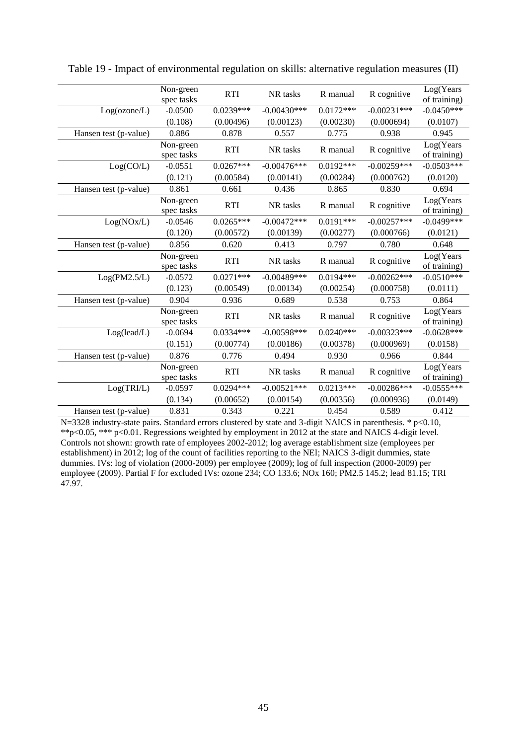|                       | Non-green<br>spec tasks | <b>RTI</b>  | NR tasks      | R manual    | R cognitive   | Log(Years<br>of training)  |
|-----------------------|-------------------------|-------------|---------------|-------------|---------------|----------------------------|
| Log(ozone/L)          | $-0.0500$               | $0.0239***$ | $-0.00430***$ | $0.0172***$ | $-0.00231***$ | $-0.0450***$               |
|                       | (0.108)                 | (0.00496)   | (0.00123)     | (0.00230)   | (0.000694)    | (0.0107)                   |
| Hansen test (p-value) | 0.886                   | 0.878       | 0.557         | 0.775       | 0.938         | 0.945                      |
|                       | Non-green<br>spec tasks | <b>RTI</b>  | NR tasks      | R manual    | R cognitive   | Log(Years<br>of training)  |
| Log(CO/L)             | $-0.0551$               | $0.0267***$ | $-0.00476***$ | $0.0192***$ | $-0.00259***$ | $-0.0503***$               |
|                       | (0.121)                 | (0.00584)   | (0.00141)     | (0.00284)   | (0.000762)    | (0.0120)                   |
| Hansen test (p-value) | 0.861                   | 0.661       | 0.436         | 0.865       | 0.830         | 0.694                      |
|                       | Non-green<br>spec tasks | <b>RTI</b>  | NR tasks      | R manual    | R cognitive   | Log(Years<br>of training)  |
| Log(NOx/L)            | $-0.0546$               | $0.0265***$ | $-0.00472***$ | $0.0191***$ | $-0.00257***$ | $-0.0499***$               |
|                       | (0.120)                 | (0.00572)   | (0.00139)     | (0.00277)   | (0.000766)    | (0.0121)                   |
| Hansen test (p-value) | 0.856                   | 0.620       | 0.413         | 0.797       | 0.780         | 0.648                      |
|                       | Non-green<br>spec tasks | <b>RTI</b>  | NR tasks      | R manual    | R cognitive   | Log(Years)<br>of training) |
| Log(PM2.5/L)          | $-0.0572$               | $0.0271***$ | $-0.00489***$ | $0.0194***$ | $-0.00262***$ | $-0.0510***$               |
|                       | (0.123)                 | (0.00549)   | (0.00134)     | (0.00254)   | (0.000758)    | (0.0111)                   |
| Hansen test (p-value) | 0.904                   | 0.936       | 0.689         | 0.538       | 0.753         | 0.864                      |
|                       | Non-green<br>spec tasks | <b>RTI</b>  | NR tasks      | R manual    | R cognitive   | Log(Years<br>of training)  |
| Log(lead/L)           | $-0.0694$               | $0.0334***$ | $-0.00598***$ | $0.0240***$ | $-0.00323***$ | $-0.0628***$               |
|                       | (0.151)                 | (0.00774)   | (0.00186)     | (0.00378)   | (0.000969)    | (0.0158)                   |
| Hansen test (p-value) | 0.876                   | 0.776       | 0.494         | 0.930       | 0.966         | 0.844                      |
|                       | Non-green<br>spec tasks | <b>RTI</b>  | NR tasks      | R manual    | R cognitive   | Log(Years<br>of training)  |
| Log(TRI/L)            | $-0.0597$               | $0.0294***$ | $-0.00521***$ | $0.0213***$ | $-0.00286***$ | $-0.0555***$               |
|                       | (0.134)                 | (0.00652)   | (0.00154)     | (0.00356)   | (0.000936)    | (0.0149)                   |
| Hansen test (p-value) | 0.831                   | 0.343       | 0.221         | 0.454       | 0.589         | 0.412                      |

<span id="page-44-0"></span>Table 19 - Impact of environmental regulation on skills: alternative regulation measures (II)

 $N=3328$  industry-state pairs. Standard errors clustered by state and 3-digit NAICS in parenthesis. \* p<0.10, \*\*p<0.05, \*\*\* p<0.01. Regressions weighted by employment in 2012 at the state and NAICS 4-digit level. Controls not shown: growth rate of employees 2002-2012; log average establishment size (employees per establishment) in 2012; log of the count of facilities reporting to the NEI; NAICS 3-digit dummies, state dummies. IVs: log of violation (2000-2009) per employee (2009); log of full inspection (2000-2009) per employee (2009). Partial F for excluded IVs: ozone 234; CO 133.6; NOx 160; PM2.5 145.2; lead 81.15; TRI 47.97.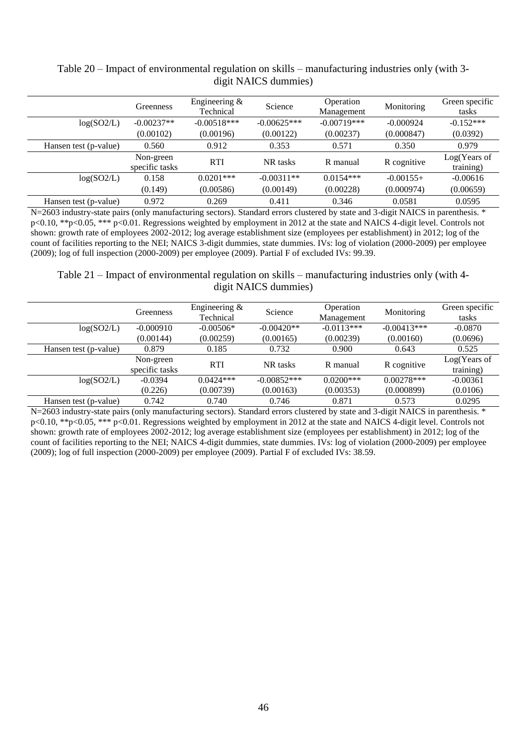|                       | Greenness                   | Engineering $&$<br>Technical | Science       | Operation<br>Management | Monitoring  | Green specific<br>tasks   |
|-----------------------|-----------------------------|------------------------------|---------------|-------------------------|-------------|---------------------------|
| log(SO2/L)            | $-0.00237**$                | $-0.00518***$                | $-0.00625***$ | $-0.00719***$           | $-0.000924$ | $-0.152***$               |
|                       | (0.00102)                   | (0.00196)                    | (0.00122)     | (0.00237)               | (0.000847)  | (0.0392)                  |
| Hansen test (p-value) | 0.560                       | 0.912                        | 0.353         | 0.571                   | 0.350       | 0.979                     |
|                       | Non-green<br>specific tasks | <b>RTI</b>                   | NR tasks      | R manual                | R cognitive | Log(Years of<br>training) |
| log(SO2/L)            | 0.158                       | $0.0201$ ***                 | $-0.00311**$  | $0.0154***$             | $-0.00155+$ | $-0.00616$                |
|                       | (0.149)                     | (0.00586)                    | (0.00149)     | (0.00228)               | (0.000974)  | (0.00659)                 |
| Hansen test (p-value) | 0.972                       | 0.269                        | 0.411         | 0.346                   | 0.0581      | 0.0595                    |

<span id="page-45-0"></span>Table 20 – Impact of environmental regulation on skills – manufacturing industries only (with 3 digit NAICS dummies)

N=2603 industry-state pairs (only manufacturing sectors). Standard errors clustered by state and 3-digit NAICS in parenthesis. \* p<0.10, \*\*p<0.05, \*\*\* p<0.01. Regressions weighted by employment in 2012 at the state and NAICS 4-digit level. Controls not shown: growth rate of employees 2002-2012; log average establishment size (employees per establishment) in 2012; log of the count of facilities reporting to the NEI; NAICS 3-digit dummies, state dummies. IVs: log of violation (2000-2009) per employee (2009); log of full inspection (2000-2009) per employee (2009). Partial F of excluded IVs: 99.39.

<span id="page-45-1"></span>Table 21 – Impact of environmental regulation on skills – manufacturing industries only (with 4 digit NAICS dummies)

|                       | <b>Greenness</b>            | Engineering $\&$<br>Technical | Science       | Operation<br>Management | Monitoring    | Green specific<br>tasks   |
|-----------------------|-----------------------------|-------------------------------|---------------|-------------------------|---------------|---------------------------|
| log(SO2/L)            | $-0.000910$                 | $-0.00506*$                   | $-0.00420**$  | $-0.0113***$            | $-0.00413***$ | $-0.0870$                 |
|                       | (0.00144)                   | (0.00259)                     | (0.00165)     | (0.00239)               | (0.00160)     | (0.0696)                  |
| Hansen test (p-value) | 0.879                       | 0.185                         | 0.732         | 0.900                   | 0.643         | 0.525                     |
|                       | Non-green<br>specific tasks | <b>RTI</b>                    | NR tasks      | R manual                | R cognitive   | Log(Years of<br>training) |
| log(SO2/L)            | $-0.0394$                   | $0.0424***$                   | $-0.00852***$ | $0.0200***$             | $0.00278***$  | $-0.00361$                |
|                       | (0.226)                     | (0.00739)                     | (0.00163)     | (0.00353)               | (0.000899)    | (0.0106)                  |
| Hansen test (p-value) | 0.742                       | 0.740                         | 0.746         | 0.871                   | 0.573         | 0.0295                    |

N=2603 industry-state pairs (only manufacturing sectors). Standard errors clustered by state and 3-digit NAICS in parenthesis. \* p<0.10, \*\*p<0.05, \*\*\* p<0.01. Regressions weighted by employment in 2012 at the state and NAICS 4-digit level. Controls not shown: growth rate of employees 2002-2012; log average establishment size (employees per establishment) in 2012; log of the count of facilities reporting to the NEI; NAICS 4-digit dummies, state dummies. IVs: log of violation (2000-2009) per employee (2009); log of full inspection (2000-2009) per employee (2009). Partial F of excluded IVs: 38.59.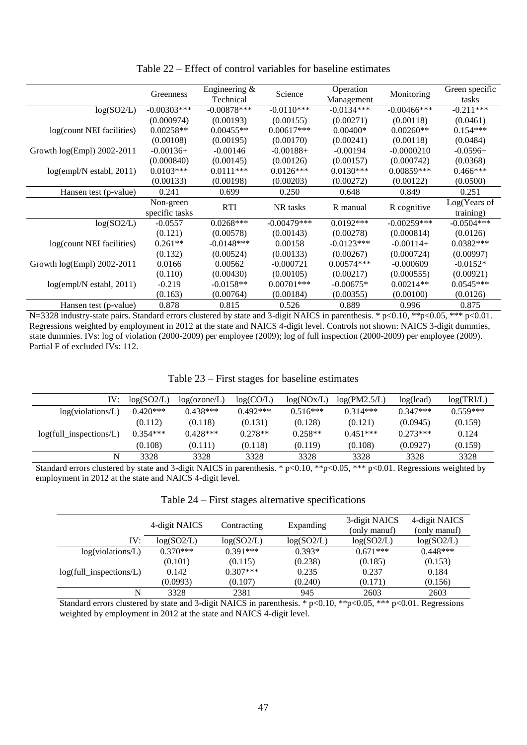<span id="page-46-0"></span>

|                             | Greenness      | Engineering $&$<br>Technical | Science       | Operation<br>Management | Monitoring     | Green specific<br>tasks |
|-----------------------------|----------------|------------------------------|---------------|-------------------------|----------------|-------------------------|
| log(SO2/L)                  | $-0.00303$ *** | $-0.00878***$                | $-0.0110***$  | $-0.0134***$            | $-0.00466$ *** | $-0.211***$             |
|                             | (0.000974)     | (0.00193)                    | (0.00155)     | (0.00271)               | (0.00118)      | (0.0461)                |
| log(count NEI facilities)   | $0.00258**$    | $0.00455**$                  | $0.00617***$  | $0.00400*$              | $0.00260**$    | $0.154***$              |
|                             | (0.00108)      | (0.00195)                    | (0.00170)     | (0.00241)               | (0.00118)      | (0.0484)                |
| Growth log(Empl) 2002-2011  | $-0.00136+$    | $-0.00146$                   | $-0.00188+$   | $-0.00194$              | $-0.0000210$   | $-0.0596+$              |
|                             | (0.000840)     | (0.00145)                    | (0.00126)     | (0.00157)               | (0.000742)     | (0.0368)                |
| $log(empl/N)$ establ, 2011) | $0.0103***$    | $0.0111***$                  | $0.0126***$   | $0.0130***$             | $0.00859***$   | $0.466***$              |
|                             | (0.00133)      | (0.00198)                    | (0.00203)     | (0.00272)               | (0.00122)      | (0.0500)                |
| Hansen test (p-value)       | 0.241          | 0.699                        | 0.250         | 0.648                   | 0.849          | 0.251                   |
|                             | Non-green      | <b>RTI</b>                   | NR tasks      | R manual                | R cognitive    | Log(Years of            |
|                             | specific tasks |                              |               |                         |                | training)               |
| log(SO2/L)                  | $-0.0557$      | $0.0268***$                  | $-0.00479***$ | $0.0192***$             | $-0.00259***$  | $-0.0504***$            |
|                             | (0.121)        | (0.00578)                    | (0.00143)     | (0.00278)               | (0.000814)     | (0.0126)                |
| log(count NEI facilities)   | $0.261**$      | $-0.0148***$                 | 0.00158       | $-0.0123***$            | $-0.00114+$    | $0.0382***$             |
|                             | (0.132)        | (0.00524)                    | (0.00133)     | (0.00267)               | (0.000724)     | (0.00997)               |
| Growth log(Empl) 2002-2011  | 0.0166         | 0.00562                      | $-0.000721$   | $0.00574***$            | $-0.000609$    | $-0.0152*$              |
|                             | (0.110)        | (0.00430)                    | (0.00105)     | (0.00217)               | (0.000555)     | (0.00921)               |
| $log(empl/N)$ establ, 2011) | $-0.219$       | $-0.0158**$                  | $0.00701***$  | $-0.00675*$             | $0.00214**$    | $0.0545***$             |
|                             | (0.163)        | (0.00764)                    | (0.00184)     | (0.00355)               | (0.00100)      | (0.0126)                |
| Hansen test (p-value)       | 0.878          | 0.815                        | 0.526         | 0.889                   | 0.996          | 0.875                   |

Table 22 – Effect of control variables for baseline estimates

N=3328 industry-state pairs. Standard errors clustered by state and 3-digit NAICS in parenthesis. \* p<0.10, \*\*p<0.05, \*\*\* p<0.01. Regressions weighted by employment in 2012 at the state and NAICS 4-digit level. Controls not shown: NAICS 3-digit dummies, state dummies. IVs: log of violation (2000-2009) per employee (2009); log of full inspection (2000-2009) per employee (2009). Partial F of excluded IVs: 112.

<span id="page-46-1"></span>

| IV:                             | log(SO2/L) | log(ozone/L) | log(CO/L)  | log(NOX/L) | log(PM2.5/L) | log(lead)  | log(TRI/L) |
|---------------------------------|------------|--------------|------------|------------|--------------|------------|------------|
| log(violations/L)               | $0.420***$ | $0.438***$   | $0.492***$ | $0.516***$ | $0.314***$   | $0.347***$ | $0.559***$ |
|                                 | (0.112)    | (0.118)      | (0.131)    | (0.128)    | (0.121)      | (0.0945)   | (0.159)    |
| $log(full_in specifications/L)$ | $0.354***$ | $0.428***$   | $0.278**$  | $0.258**$  | $0.451***$   | $0.273***$ | 0.124      |
|                                 | (0.108)    | (0.111)      | (0.118)    | (0.119)    | (0.108)      | (0.0927)   | (0.159)    |
| N                               | 3328       | 3328         | 3328       | 3328       | 3328         | 3328       | 3328       |

Standard errors clustered by state and 3-digit NAICS in parenthesis. \* p<0.10, \*\*p<0.05, \*\*\* p<0.01. Regressions weighted by employment in 2012 at the state and NAICS 4-digit level.

|                                 | 4-digit NAICS | Contracting | Expanding  | 3-digit NAICS | 4-digit NAICS |  |
|---------------------------------|---------------|-------------|------------|---------------|---------------|--|
|                                 |               |             |            | (only manuf)  | (only manuf)  |  |
| IV:                             | log(SO2/L)    | log(SO2/L)  | log(SO2/L) | log(SO2/L)    | log(SO2/L)    |  |
| log(violations/L)               | $0.370***$    | $0.391***$  | $0.393*$   | $0.671***$    | $0.448***$    |  |
|                                 | (0.101)       | (0.115)     | (0.238)    | (0.185)       | (0.153)       |  |
| $log(full_in specifications/L)$ | 0.142         | $0.307***$  | 0.235      | 0.237         | 0.184         |  |
|                                 | (0.0993)      | (0.107)     | (0.240)    | (0.171)       | (0.156)       |  |
| N                               | 3328          | 2381        | 945        | 2603          | 2603          |  |

Standard errors clustered by state and 3-digit NAICS in parenthesis. \*  $p<0.10$ , \*\* $p<0.05$ , \*\*\*  $p<0.01$ . Regressions weighted by employment in 2012 at the state and NAICS 4-digit level.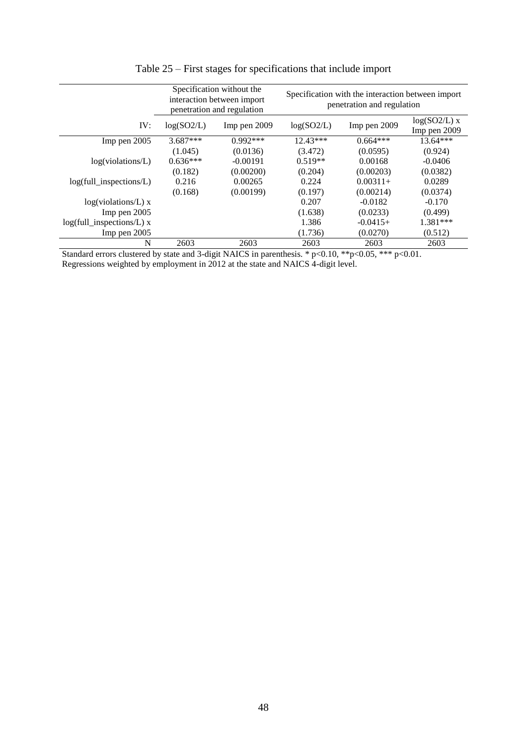|                                   |                            | Specification without the<br>interaction between import<br>penetration and regulation | Specification with the interaction between import<br>penetration and regulation |              |                                |  |
|-----------------------------------|----------------------------|---------------------------------------------------------------------------------------|---------------------------------------------------------------------------------|--------------|--------------------------------|--|
| IV:                               | log(SO2/L)<br>Imp pen 2009 |                                                                                       | log(SO2/L)                                                                      | Imp pen 2009 | $log(SO2/L)$ x<br>Imp pen 2009 |  |
| Imp pen 2005                      | $3.687***$                 | $0.992***$                                                                            | $12.43***$                                                                      | $0.664***$   | $13.64***$                     |  |
|                                   | (1.045)                    | (0.0136)                                                                              | (3.472)                                                                         | (0.0595)     | (0.924)                        |  |
| log(violations/L)                 | $0.636***$                 | $-0.00191$                                                                            | $0.519**$                                                                       | 0.00168      | $-0.0406$                      |  |
|                                   | (0.182)                    | (0.00200)                                                                             | (0.204)                                                                         | (0.00203)    | (0.0382)                       |  |
| $log(full_in_{spections/L})$      | 0.216                      | 0.00265                                                                               | 0.224                                                                           | $0.00311+$   | 0.0289                         |  |
|                                   | (0.168)                    | (0.00199)                                                                             | (0.197)                                                                         | (0.00214)    | (0.0374)                       |  |
| $log(violations/L)$ x             |                            |                                                                                       | 0.207                                                                           | $-0.0182$    | $-0.170$                       |  |
| Imp pen 2005                      |                            |                                                                                       | (1.638)                                                                         | (0.0233)     | (0.499)                        |  |
| $log(full_in specifications/L)$ x |                            |                                                                                       | 1.386                                                                           | $-0.0415+$   | $1.381***$                     |  |
| $Imp$ pen $2005$                  |                            |                                                                                       | (1.736)                                                                         | (0.0270)     | (0.512)                        |  |
| N                                 | 2603                       | 2603                                                                                  | 2603                                                                            | 2603         | 2603                           |  |

Table 25 – First stages for specifications that include import

Standard errors clustered by state and 3-digit NAICS in parenthesis. \*  $p<0.10$ , \*\* $p<0.05$ , \*\*\*  $p<0.01$ . Regressions weighted by employment in 2012 at the state and NAICS 4-digit level.